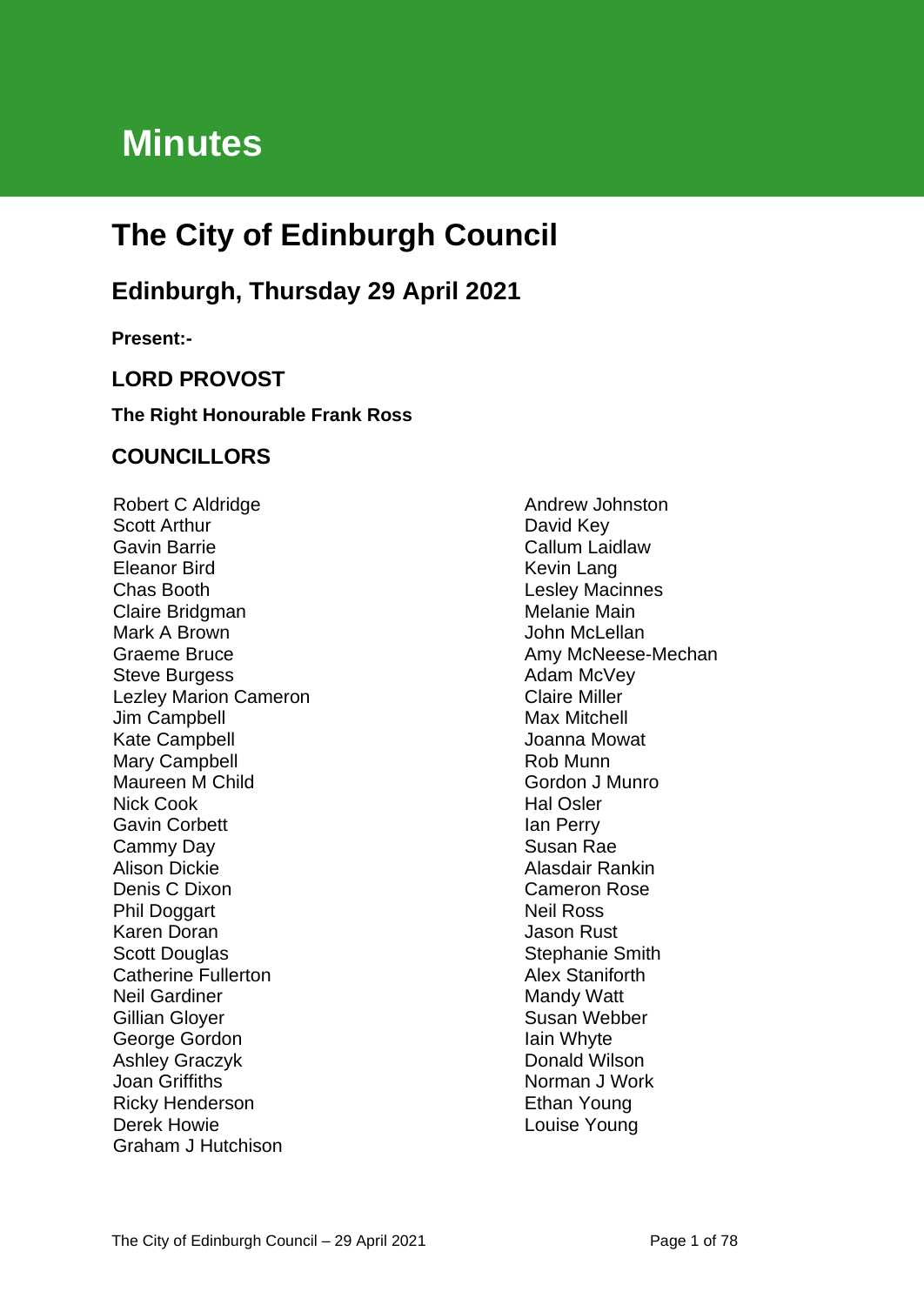# **Minutes**

# **The City of Edinburgh Council**

# **Edinburgh, Thursday 29 April 2021**

**Present:-**

# **LORD PROVOST**

## **The Right Honourable Frank Ross**

# **COUNCILLORS**

Robert C Aldridge Scott Arthur Gavin Barrie Eleanor Bird Chas Booth Claire Bridgman Mark A Brown Graeme Bruce Steve Burgess Lezley Marion Cameron Jim Campbell Kate Campbell Mary Campbell Maureen M Child Nick Cook Gavin Corbett Cammy Day Alison Dickie Denis C Dixon Phil Doggart Karen Doran Scott Douglas Catherine Fullerton Neil Gardiner Gillian Gloyer George Gordon Ashley Graczyk Joan Griffiths Ricky Henderson Derek Howie Graham J Hutchison

Andrew Johnston David Key Callum Laidlaw Kevin Lang Lesley Macinnes Melanie Main John McLellan Amy McNeese-Mechan Adam McVey Claire Miller Max Mitchell Joanna Mowat Rob Munn Gordon J Munro Hal Osler Ian Perry Susan Rae Alasdair Rankin Cameron Rose Neil Ross Jason Rust Stephanie Smith Alex Staniforth Mandy Watt Susan Webber Iain Whyte Donald Wilson Norman J Work Ethan Young Louise Young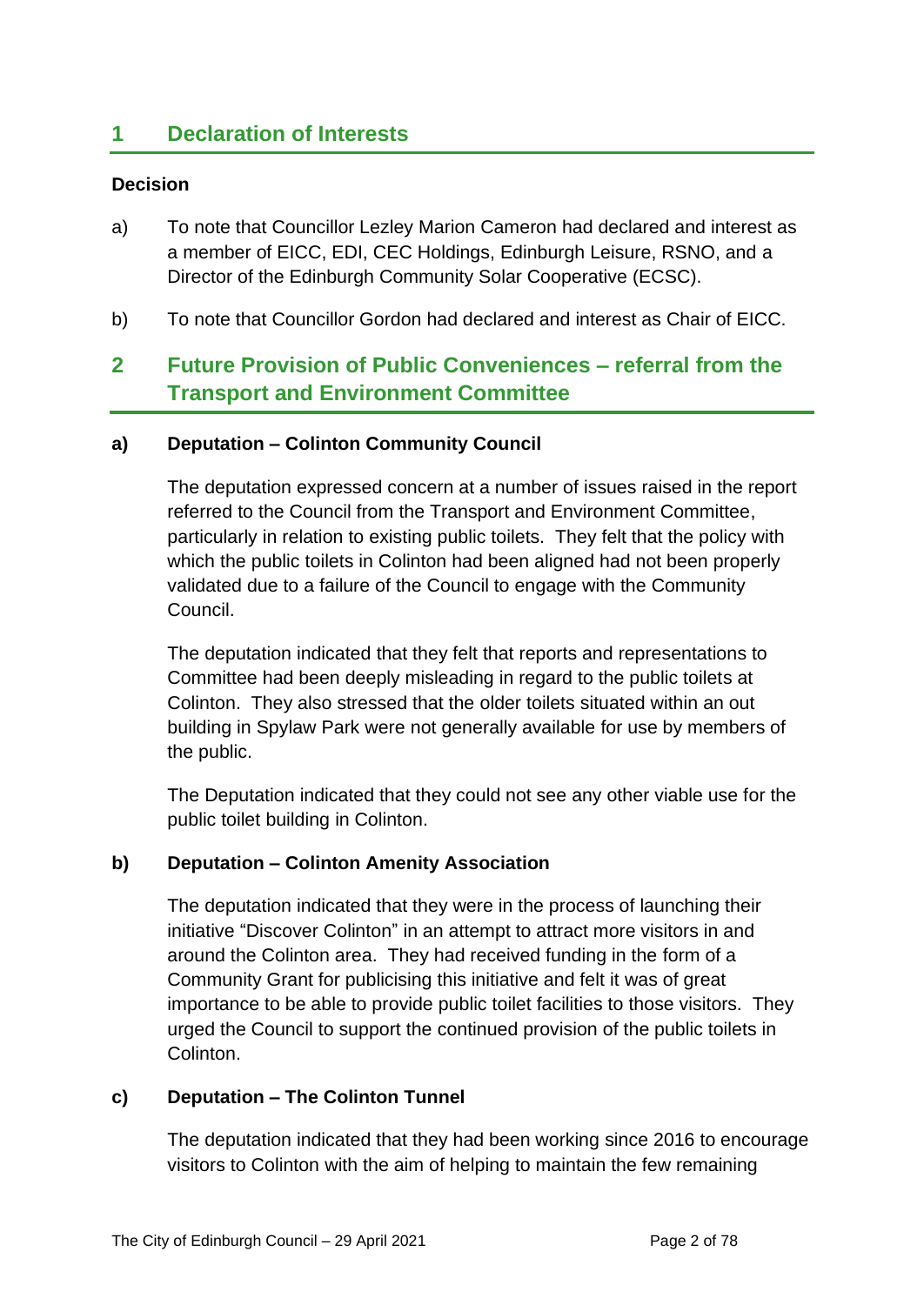# **1 Declaration of Interests**

#### **Decision**

- a) To note that Councillor Lezley Marion Cameron had declared and interest as a member of EICC, EDI, CEC Holdings, Edinburgh Leisure, RSNO, and a Director of the Edinburgh Community Solar Cooperative (ECSC).
- b) To note that Councillor Gordon had declared and interest as Chair of EICC.

# **2 Future Provision of Public Conveniences – referral from the Transport and Environment Committee**

#### **a) Deputation – Colinton Community Council**

The deputation expressed concern at a number of issues raised in the report referred to the Council from the Transport and Environment Committee, particularly in relation to existing public toilets. They felt that the policy with which the public toilets in Colinton had been aligned had not been properly validated due to a failure of the Council to engage with the Community Council.

The deputation indicated that they felt that reports and representations to Committee had been deeply misleading in regard to the public toilets at Colinton. They also stressed that the older toilets situated within an out building in Spylaw Park were not generally available for use by members of the public.

The Deputation indicated that they could not see any other viable use for the public toilet building in Colinton.

## **b) Deputation – Colinton Amenity Association**

The deputation indicated that they were in the process of launching their initiative "Discover Colinton" in an attempt to attract more visitors in and around the Colinton area. They had received funding in the form of a Community Grant for publicising this initiative and felt it was of great importance to be able to provide public toilet facilities to those visitors. They urged the Council to support the continued provision of the public toilets in Colinton.

#### **c) Deputation – The Colinton Tunnel**

The deputation indicated that they had been working since 2016 to encourage visitors to Colinton with the aim of helping to maintain the few remaining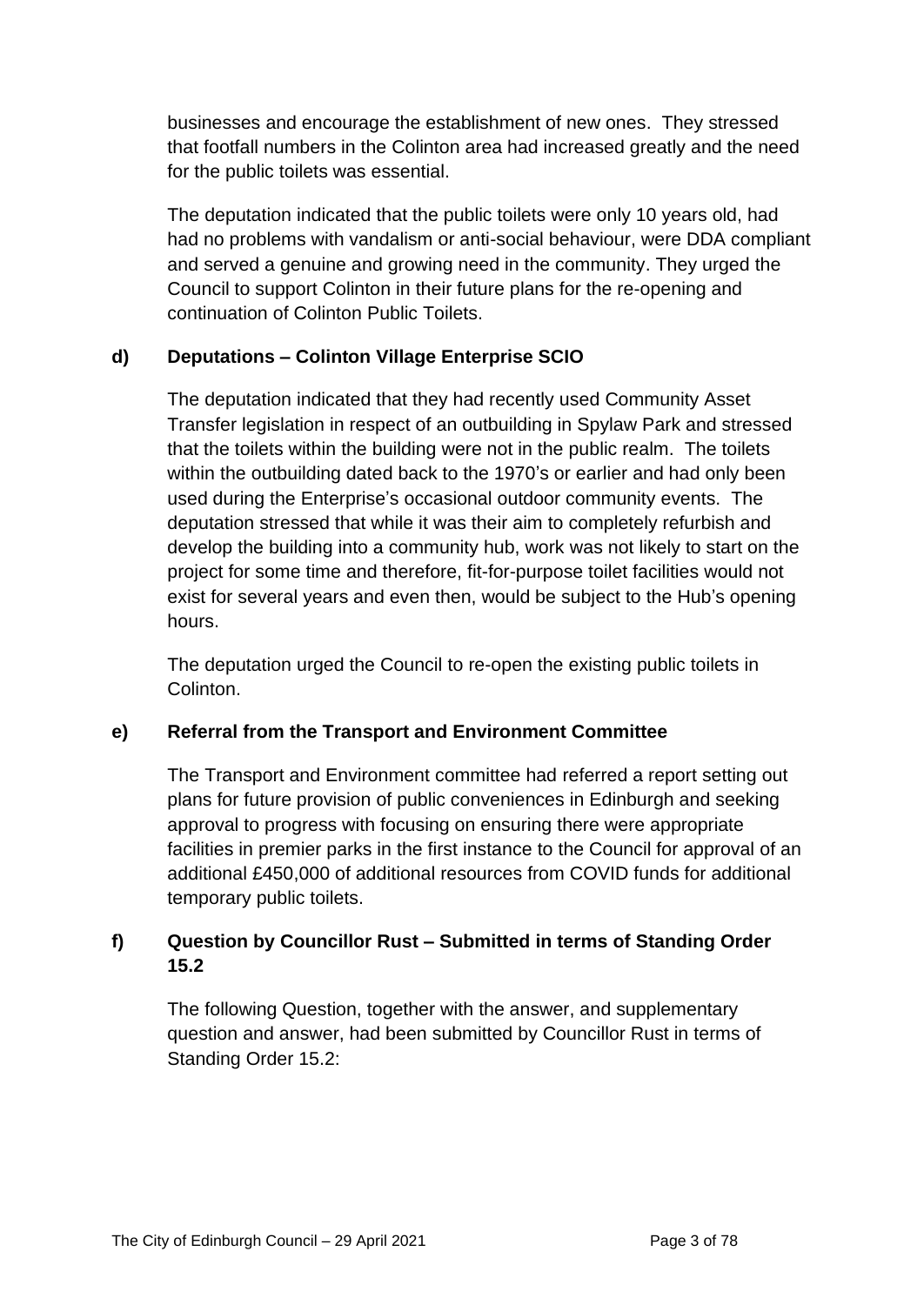businesses and encourage the establishment of new ones. They stressed that footfall numbers in the Colinton area had increased greatly and the need for the public toilets was essential.

The deputation indicated that the public toilets were only 10 years old, had had no problems with vandalism or anti-social behaviour, were DDA compliant and served a genuine and growing need in the community. They urged the Council to support Colinton in their future plans for the re-opening and continuation of Colinton Public Toilets.

# **d) Deputations – Colinton Village Enterprise SCIO**

The deputation indicated that they had recently used Community Asset Transfer legislation in respect of an outbuilding in Spylaw Park and stressed that the toilets within the building were not in the public realm. The toilets within the outbuilding dated back to the 1970's or earlier and had only been used during the Enterprise's occasional outdoor community events. The deputation stressed that while it was their aim to completely refurbish and develop the building into a community hub, work was not likely to start on the project for some time and therefore, fit-for-purpose toilet facilities would not exist for several years and even then, would be subject to the Hub's opening hours.

The deputation urged the Council to re-open the existing public toilets in Colinton.

## **e) Referral from the Transport and Environment Committee**

The Transport and Environment committee had referred a report setting out plans for future provision of public conveniences in Edinburgh and seeking approval to progress with focusing on ensuring there were appropriate facilities in premier parks in the first instance to the Council for approval of an additional £450,000 of additional resources from COVID funds for additional temporary public toilets.

# **f) Question by Councillor Rust – Submitted in terms of Standing Order 15.2**

The following Question, together with the answer, and supplementary question and answer, had been submitted by Councillor Rust in terms of Standing Order 15.2: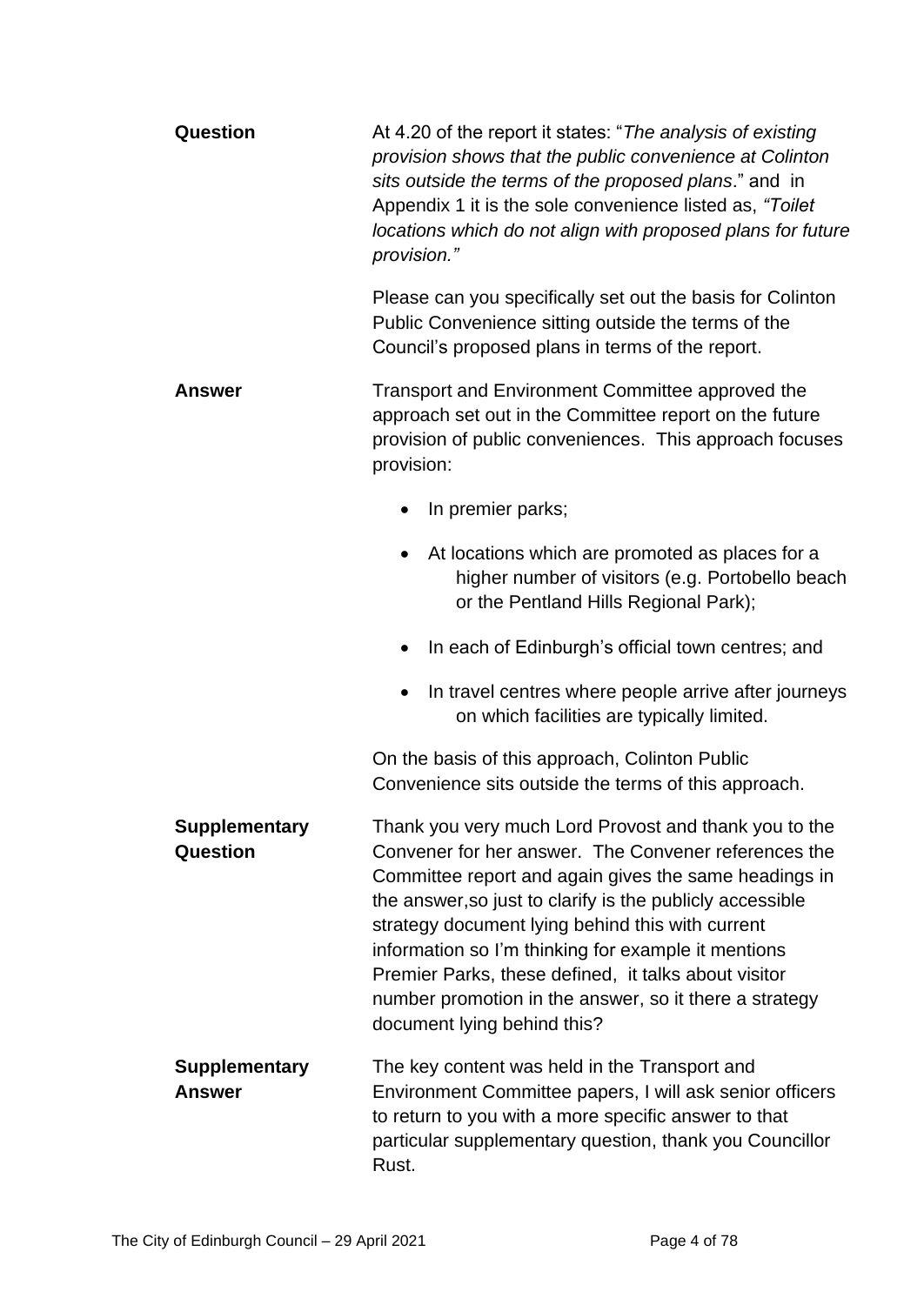| Question                              | At 4.20 of the report it states: "The analysis of existing<br>provision shows that the public convenience at Colinton<br>sits outside the terms of the proposed plans." and in<br>Appendix 1 it is the sole convenience listed as, "Toilet"<br>locations which do not align with proposed plans for future<br>provision."                                                                                                                                                                       |  |  |  |
|---------------------------------------|-------------------------------------------------------------------------------------------------------------------------------------------------------------------------------------------------------------------------------------------------------------------------------------------------------------------------------------------------------------------------------------------------------------------------------------------------------------------------------------------------|--|--|--|
|                                       | Please can you specifically set out the basis for Colinton<br>Public Convenience sitting outside the terms of the<br>Council's proposed plans in terms of the report.                                                                                                                                                                                                                                                                                                                           |  |  |  |
| Answer                                | Transport and Environment Committee approved the<br>approach set out in the Committee report on the future<br>provision of public conveniences. This approach focuses<br>provision:                                                                                                                                                                                                                                                                                                             |  |  |  |
|                                       | In premier parks;                                                                                                                                                                                                                                                                                                                                                                                                                                                                               |  |  |  |
|                                       | At locations which are promoted as places for a<br>higher number of visitors (e.g. Portobello beach<br>or the Pentland Hills Regional Park);                                                                                                                                                                                                                                                                                                                                                    |  |  |  |
|                                       | In each of Edinburgh's official town centres; and                                                                                                                                                                                                                                                                                                                                                                                                                                               |  |  |  |
|                                       | In travel centres where people arrive after journeys<br>on which facilities are typically limited.                                                                                                                                                                                                                                                                                                                                                                                              |  |  |  |
|                                       | On the basis of this approach, Colinton Public<br>Convenience sits outside the terms of this approach.                                                                                                                                                                                                                                                                                                                                                                                          |  |  |  |
| <b>Supplementary</b><br>Question      | Thank you very much Lord Provost and thank you to the<br>Convener for her answer. The Convener references the<br>Committee report and again gives the same headings in<br>the answer, so just to clarify is the publicly accessible<br>strategy document lying behind this with current<br>information so I'm thinking for example it mentions<br>Premier Parks, these defined, it talks about visitor<br>number promotion in the answer, so it there a strategy<br>document lying behind this? |  |  |  |
| <b>Supplementary</b><br><b>Answer</b> | The key content was held in the Transport and<br>Environment Committee papers, I will ask senior officers<br>to return to you with a more specific answer to that<br>particular supplementary question, thank you Councillor<br>Rust.                                                                                                                                                                                                                                                           |  |  |  |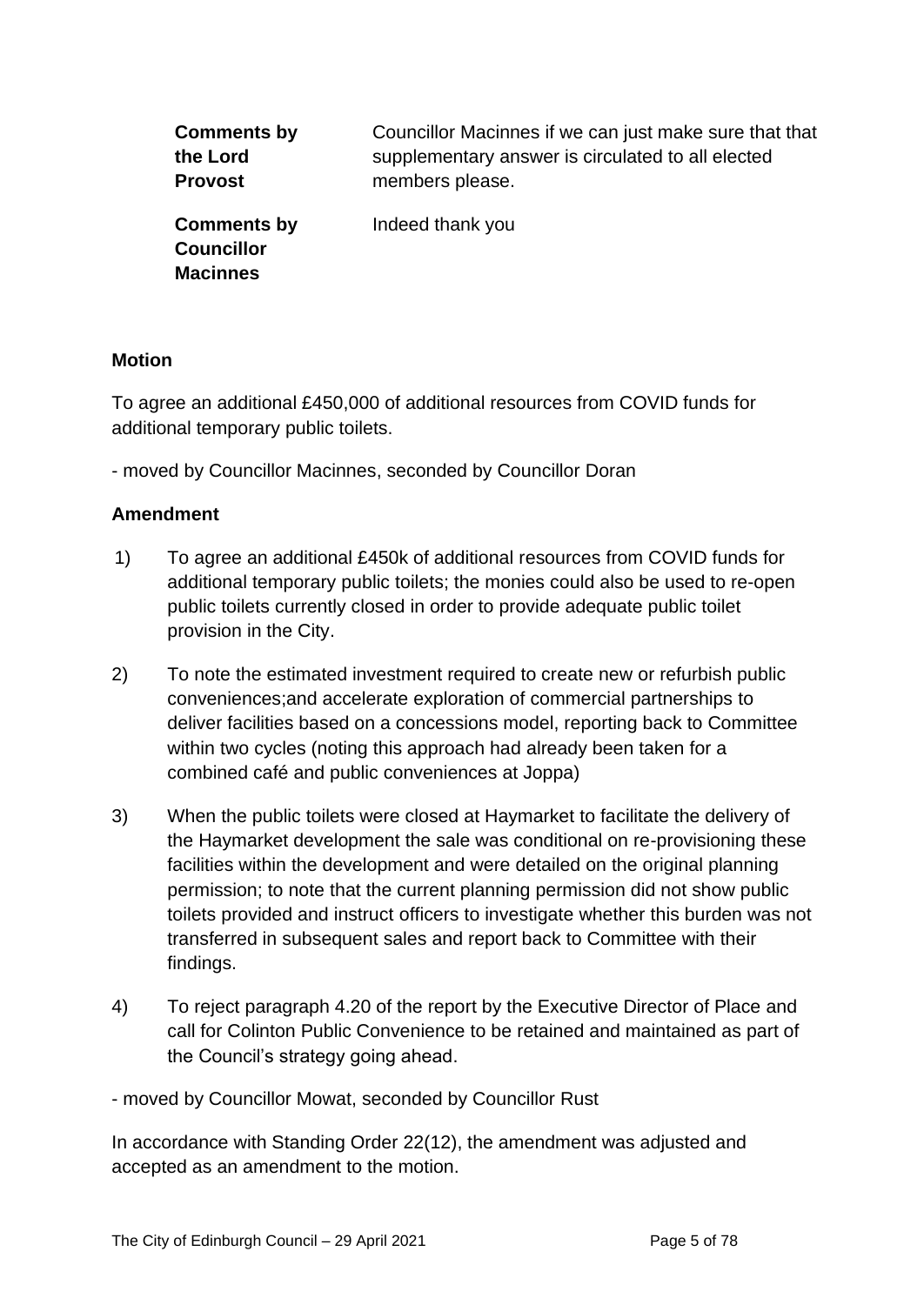| <b>Comments by</b>                                         | Councillor Macinnes if we can just make sure that that |
|------------------------------------------------------------|--------------------------------------------------------|
| the Lord                                                   | supplementary answer is circulated to all elected      |
| <b>Provost</b>                                             | members please.                                        |
| <b>Comments by</b><br><b>Councillor</b><br><b>Macinnes</b> | Indeed thank you                                       |

#### **Motion**

To agree an additional £450,000 of additional resources from COVID funds for additional temporary public toilets.

- moved by Councillor Macinnes, seconded by Councillor Doran

#### **Amendment**

- 1) To agree an additional £450k of additional resources from COVID funds for additional temporary public toilets; the monies could also be used to re-open public toilets currently closed in order to provide adequate public toilet provision in the City.
- 2) To note the estimated investment required to create new or refurbish public conveniences;and accelerate exploration of commercial partnerships to deliver facilities based on a concessions model, reporting back to Committee within two cycles (noting this approach had already been taken for a combined café and public conveniences at Joppa)
- 3) When the public toilets were closed at Haymarket to facilitate the delivery of the Haymarket development the sale was conditional on re-provisioning these facilities within the development and were detailed on the original planning permission; to note that the current planning permission did not show public toilets provided and instruct officers to investigate whether this burden was not transferred in subsequent sales and report back to Committee with their findings.
- 4) To reject paragraph 4.20 of the report by the Executive Director of Place and call for Colinton Public Convenience to be retained and maintained as part of the Council's strategy going ahead.

- moved by Councillor Mowat, seconded by Councillor Rust

In accordance with Standing Order 22(12), the amendment was adjusted and accepted as an amendment to the motion.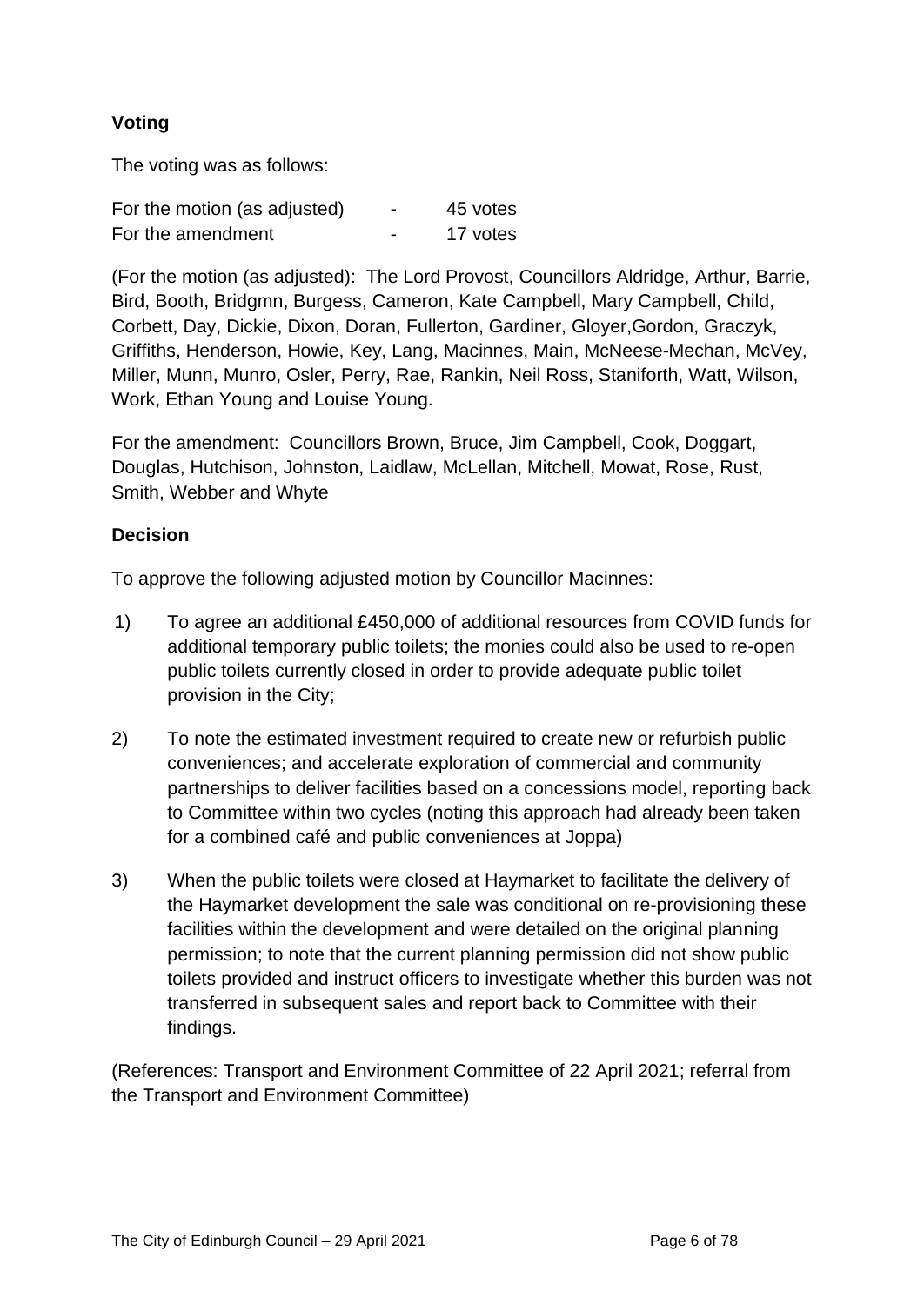# **Voting**

The voting was as follows:

| For the motion (as adjusted) | $\blacksquare$           | 45 votes |
|------------------------------|--------------------------|----------|
| For the amendment            | $\overline{\phantom{0}}$ | 17 votes |

(For the motion (as adjusted): The Lord Provost, Councillors Aldridge, Arthur, Barrie, Bird, Booth, Bridgmn, Burgess, Cameron, Kate Campbell, Mary Campbell, Child, Corbett, Day, Dickie, Dixon, Doran, Fullerton, Gardiner, Gloyer,Gordon, Graczyk, Griffiths, Henderson, Howie, Key, Lang, Macinnes, Main, McNeese-Mechan, McVey, Miller, Munn, Munro, Osler, Perry, Rae, Rankin, Neil Ross, Staniforth, Watt, Wilson, Work, Ethan Young and Louise Young.

For the amendment: Councillors Brown, Bruce, Jim Campbell, Cook, Doggart, Douglas, Hutchison, Johnston, Laidlaw, McLellan, Mitchell, Mowat, Rose, Rust, Smith, Webber and Whyte

#### **Decision**

To approve the following adjusted motion by Councillor Macinnes:

- 1) To agree an additional £450,000 of additional resources from COVID funds for additional temporary public toilets; the monies could also be used to re-open public toilets currently closed in order to provide adequate public toilet provision in the City;
- 2) To note the estimated investment required to create new or refurbish public conveniences; and accelerate exploration of commercial and community partnerships to deliver facilities based on a concessions model, reporting back to Committee within two cycles (noting this approach had already been taken for a combined café and public conveniences at Joppa)
- 3) When the public toilets were closed at Haymarket to facilitate the delivery of the Haymarket development the sale was conditional on re-provisioning these facilities within the development and were detailed on the original planning permission; to note that the current planning permission did not show public toilets provided and instruct officers to investigate whether this burden was not transferred in subsequent sales and report back to Committee with their findings.

(References: Transport and Environment Committee of 22 April 2021; referral from the Transport and Environment Committee)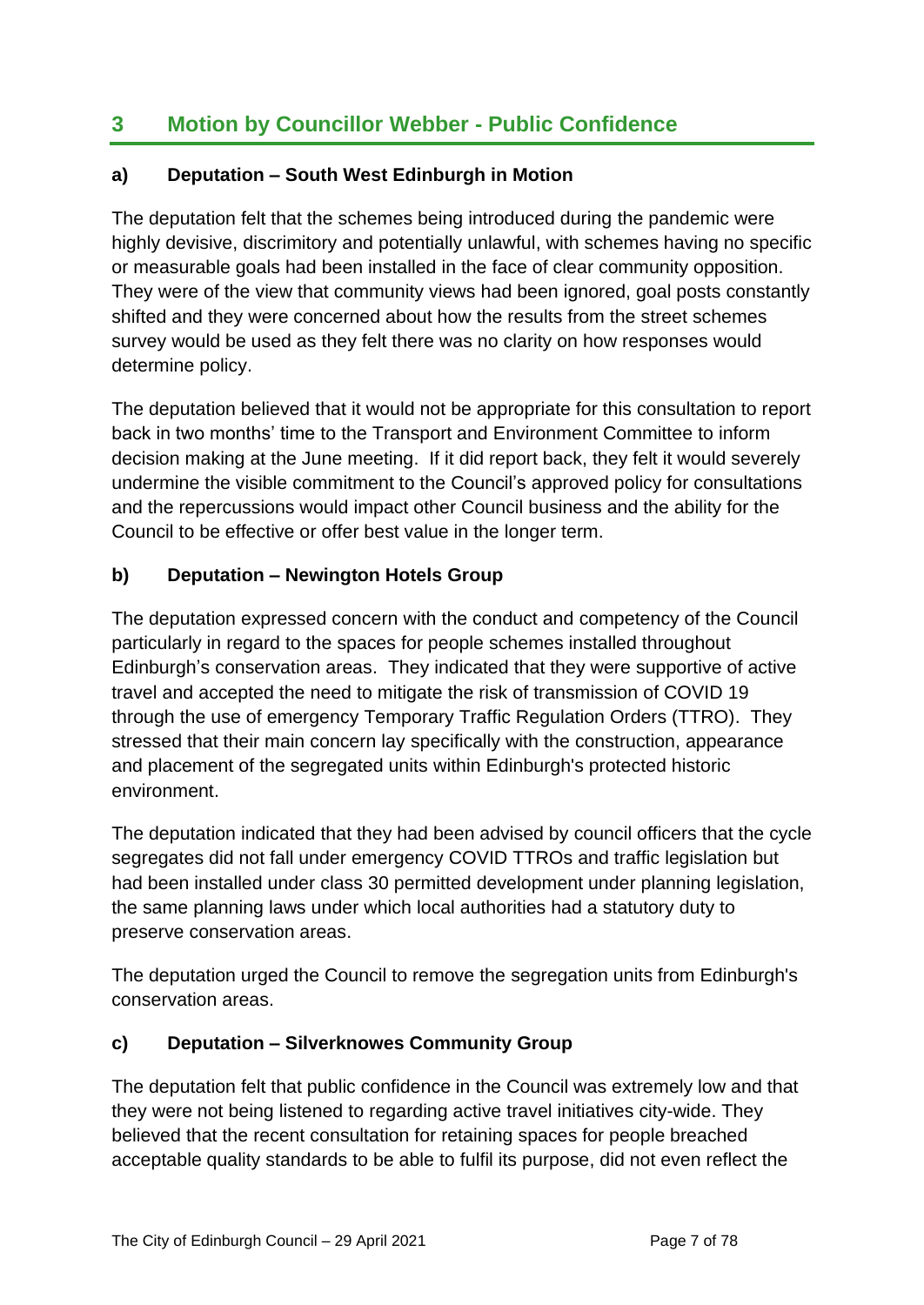# **3 Motion by Councillor Webber - Public Confidence**

# **a) Deputation – South West Edinburgh in Motion**

The deputation felt that the schemes being introduced during the pandemic were highly devisive, discrimitory and potentially unlawful, with schemes having no specific or measurable goals had been installed in the face of clear community opposition. They were of the view that community views had been ignored, goal posts constantly shifted and they were concerned about how the results from the street schemes survey would be used as they felt there was no clarity on how responses would determine policy.

The deputation believed that it would not be appropriate for this consultation to report back in two months' time to the Transport and Environment Committee to inform decision making at the June meeting. If it did report back, they felt it would severely undermine the visible commitment to the Council's approved policy for consultations and the repercussions would impact other Council business and the ability for the Council to be effective or offer best value in the longer term.

# **b) Deputation – Newington Hotels Group**

The deputation expressed concern with the conduct and competency of the Council particularly in regard to the spaces for people schemes installed throughout Edinburgh's conservation areas. They indicated that they were supportive of active travel and accepted the need to mitigate the risk of transmission of COVID 19 through the use of emergency Temporary Traffic Regulation Orders (TTRO). They stressed that their main concern lay specifically with the construction, appearance and placement of the segregated units within Edinburgh's protected historic environment.

The deputation indicated that they had been advised by council officers that the cycle segregates did not fall under emergency COVID TTROs and traffic legislation but had been installed under class 30 permitted development under planning legislation, the same planning laws under which local authorities had a statutory duty to preserve conservation areas.

The deputation urged the Council to remove the segregation units from Edinburgh's conservation areas.

## **c) Deputation – Silverknowes Community Group**

The deputation felt that public confidence in the Council was extremely low and that they were not being listened to regarding active travel initiatives city-wide. They believed that the recent consultation for retaining spaces for people breached acceptable quality standards to be able to fulfil its purpose, did not even reflect the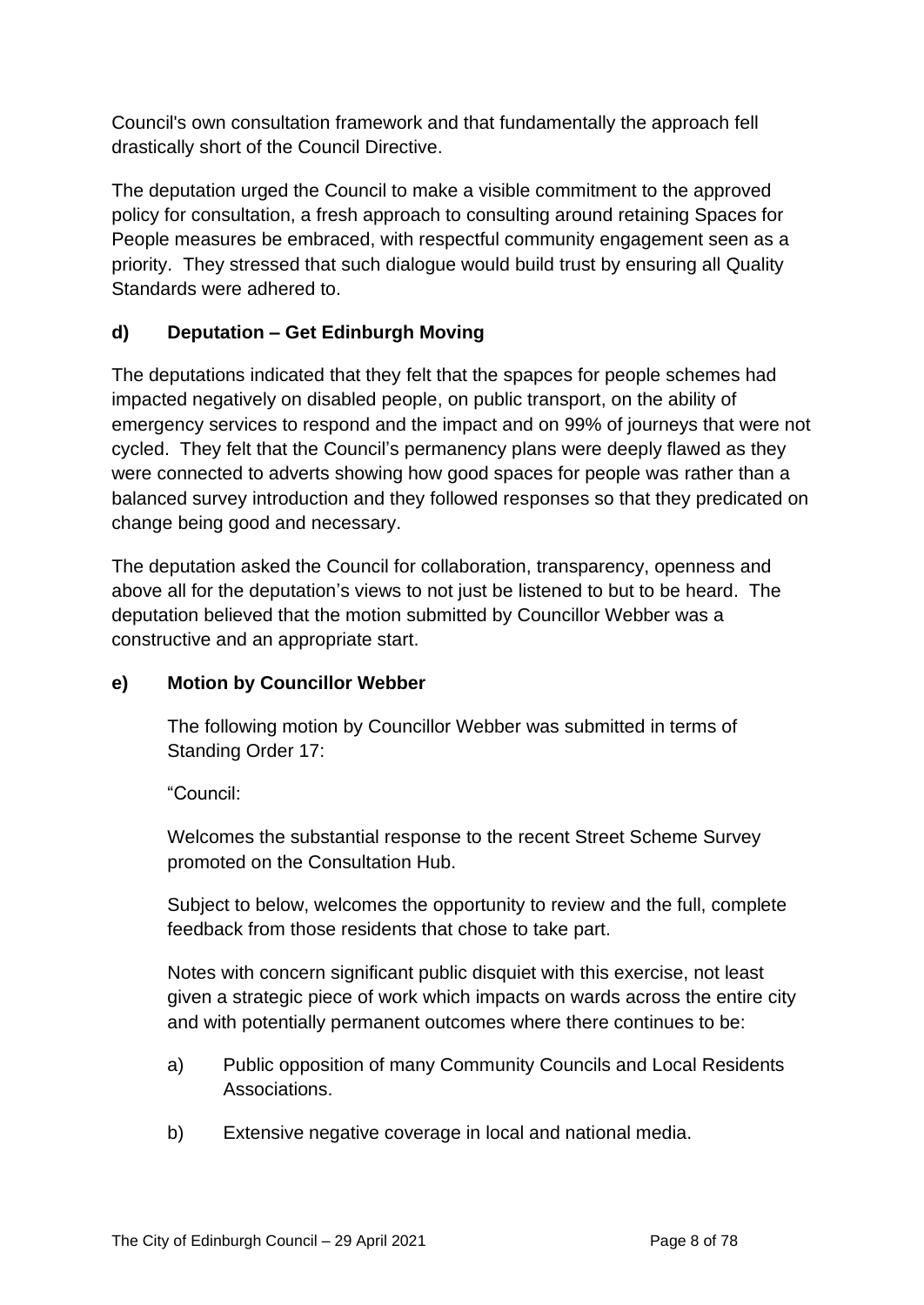Council's own consultation framework and that fundamentally the approach fell drastically short of the Council Directive.

The deputation urged the Council to make a visible commitment to the approved policy for consultation, a fresh approach to consulting around retaining Spaces for People measures be embraced, with respectful community engagement seen as a priority. They stressed that such dialogue would build trust by ensuring all Quality Standards were adhered to.

# **d) Deputation – Get Edinburgh Moving**

The deputations indicated that they felt that the spapces for people schemes had impacted negatively on disabled people, on public transport, on the ability of emergency services to respond and the impact and on 99% of journeys that were not cycled. They felt that the Council's permanency plans were deeply flawed as they were connected to adverts showing how good spaces for people was rather than a balanced survey introduction and they followed responses so that they predicated on change being good and necessary.

The deputation asked the Council for collaboration, transparency, openness and above all for the deputation's views to not just be listened to but to be heard. The deputation believed that the motion submitted by Councillor Webber was a constructive and an appropriate start.

# **e) Motion by Councillor Webber**

The following motion by Councillor Webber was submitted in terms of Standing Order 17:

"Council:

Welcomes the substantial response to the recent Street Scheme Survey promoted on the Consultation Hub.

Subject to below, welcomes the opportunity to review and the full, complete feedback from those residents that chose to take part.

Notes with concern significant public disquiet with this exercise, not least given a strategic piece of work which impacts on wards across the entire city and with potentially permanent outcomes where there continues to be:

- a) Public opposition of many Community Councils and Local Residents Associations.
- b) Extensive negative coverage in local and national media.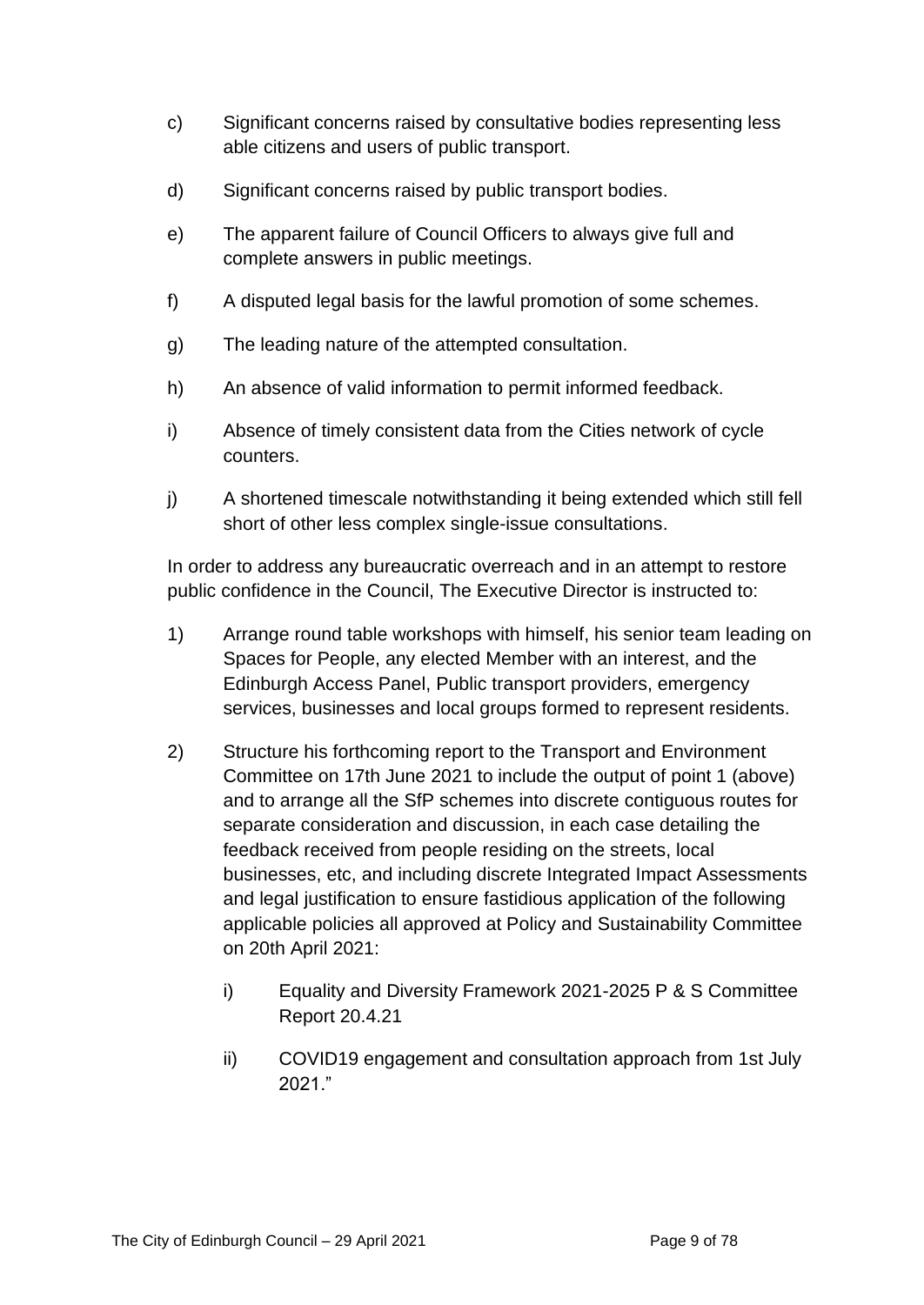- c) Significant concerns raised by consultative bodies representing less able citizens and users of public transport.
- d) Significant concerns raised by public transport bodies.
- e) The apparent failure of Council Officers to always give full and complete answers in public meetings.
- f) A disputed legal basis for the lawful promotion of some schemes.
- g) The leading nature of the attempted consultation.
- h) An absence of valid information to permit informed feedback.
- i) Absence of timely consistent data from the Cities network of cycle counters.
- j) A shortened timescale notwithstanding it being extended which still fell short of other less complex single-issue consultations.

In order to address any bureaucratic overreach and in an attempt to restore public confidence in the Council, The Executive Director is instructed to:

- 1) Arrange round table workshops with himself, his senior team leading on Spaces for People, any elected Member with an interest, and the Edinburgh Access Panel, Public transport providers, emergency services, businesses and local groups formed to represent residents.
- 2) Structure his forthcoming report to the Transport and Environment Committee on 17th June 2021 to include the output of point 1 (above) and to arrange all the SfP schemes into discrete contiguous routes for separate consideration and discussion, in each case detailing the feedback received from people residing on the streets, local businesses, etc, and including discrete Integrated Impact Assessments and legal justification to ensure fastidious application of the following applicable policies all approved at Policy and Sustainability Committee on 20th April 2021:
	- i) Equality and Diversity Framework 2021-2025 P & S Committee Report 20.4.21
	- ii) COVID19 engagement and consultation approach from 1st July 2021."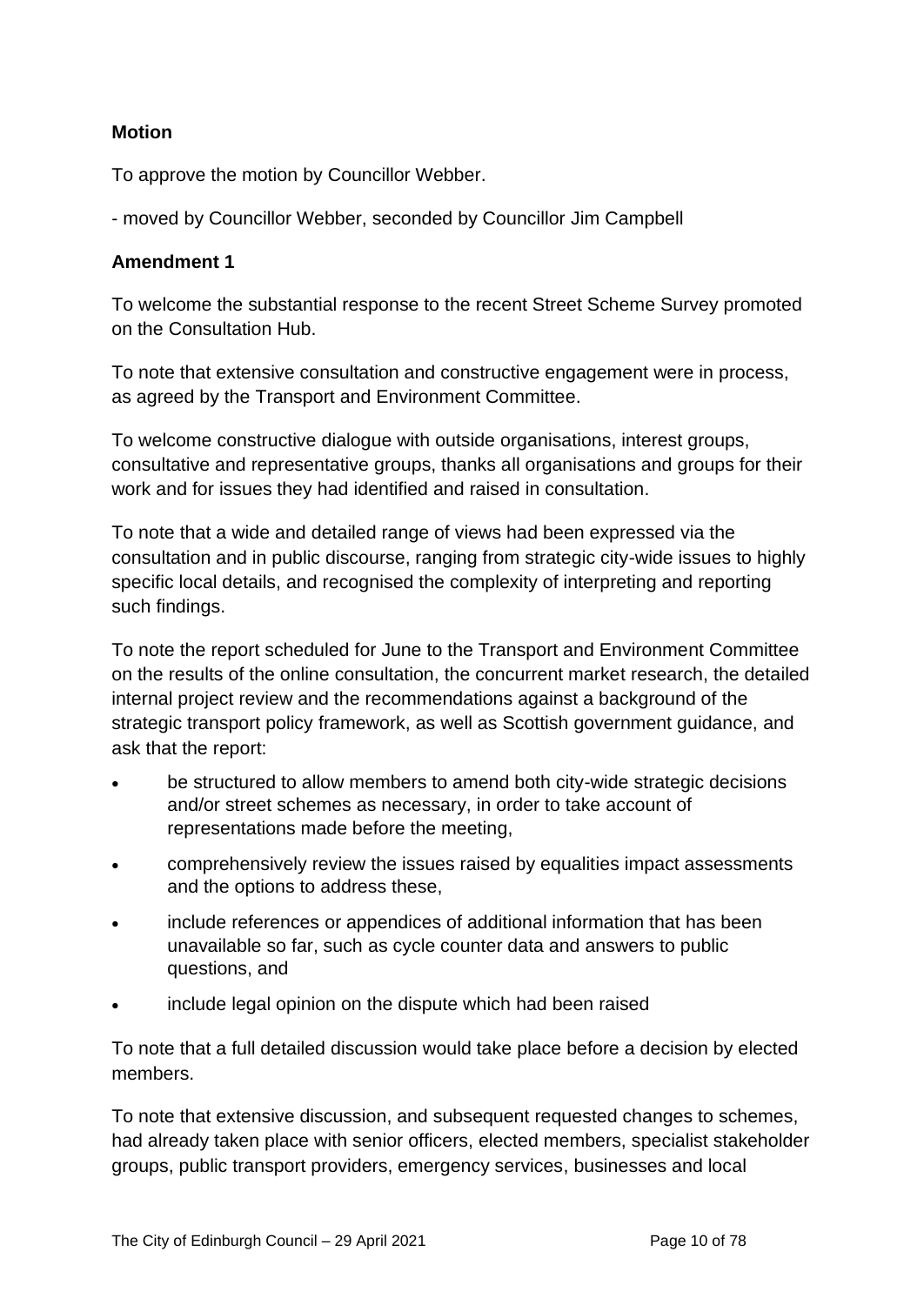## **Motion**

To approve the motion by Councillor Webber.

- moved by Councillor Webber, seconded by Councillor Jim Campbell

#### **Amendment 1**

To welcome the substantial response to the recent Street Scheme Survey promoted on the Consultation Hub.

To note that extensive consultation and constructive engagement were in process, as agreed by the Transport and Environment Committee.

To welcome constructive dialogue with outside organisations, interest groups, consultative and representative groups, thanks all organisations and groups for their work and for issues they had identified and raised in consultation.

To note that a wide and detailed range of views had been expressed via the consultation and in public discourse, ranging from strategic city-wide issues to highly specific local details, and recognised the complexity of interpreting and reporting such findings.

To note the report scheduled for June to the Transport and Environment Committee on the results of the online consultation, the concurrent market research, the detailed internal project review and the recommendations against a background of the strategic transport policy framework, as well as Scottish government guidance, and ask that the report:

- be structured to allow members to amend both city-wide strategic decisions and/or street schemes as necessary, in order to take account of representations made before the meeting,
- comprehensively review the issues raised by equalities impact assessments and the options to address these,
- include references or appendices of additional information that has been unavailable so far, such as cycle counter data and answers to public questions, and
- include legal opinion on the dispute which had been raised

To note that a full detailed discussion would take place before a decision by elected members.

To note that extensive discussion, and subsequent requested changes to schemes, had already taken place with senior officers, elected members, specialist stakeholder groups, public transport providers, emergency services, businesses and local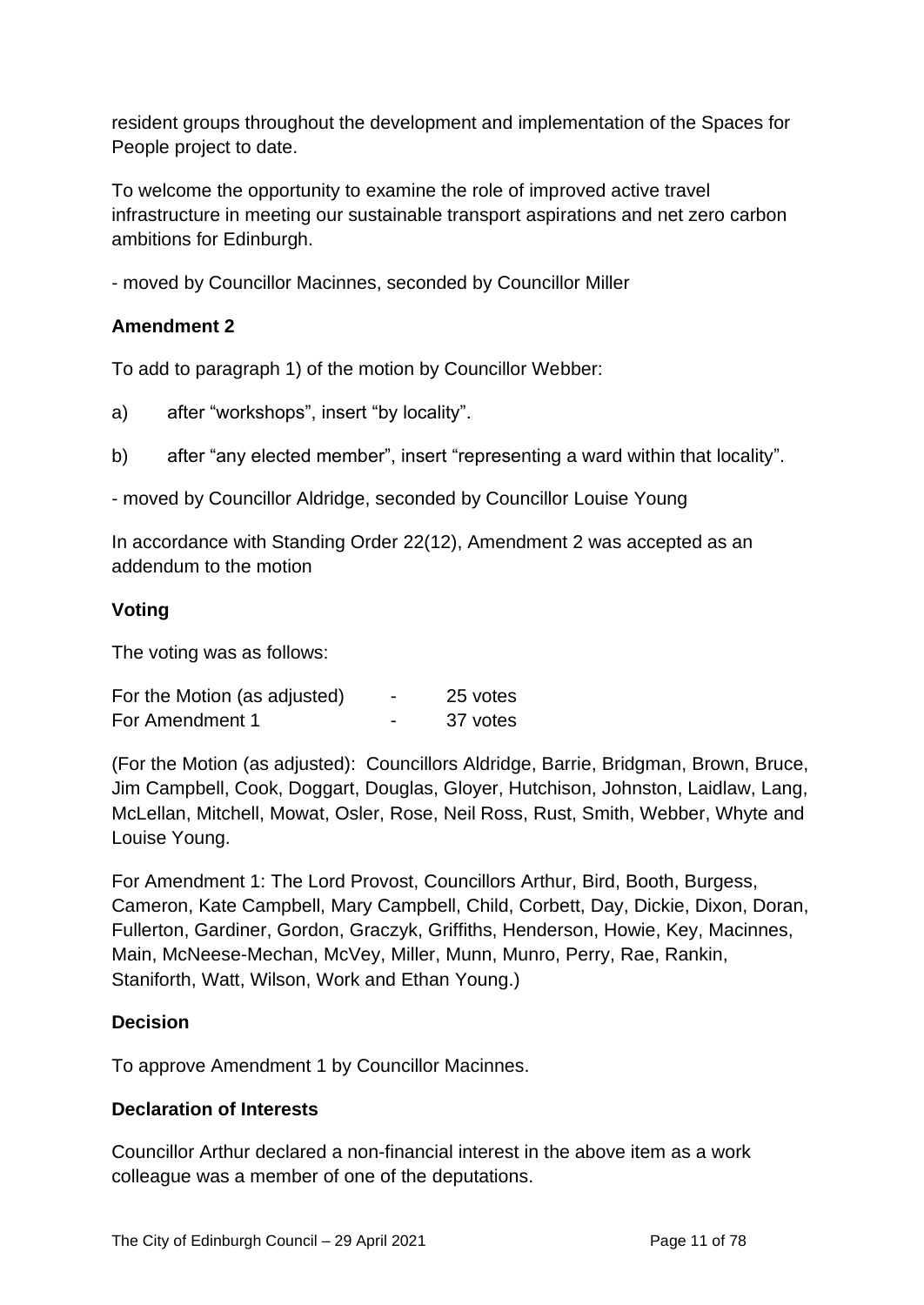resident groups throughout the development and implementation of the Spaces for People project to date.

To welcome the opportunity to examine the role of improved active travel infrastructure in meeting our sustainable transport aspirations and net zero carbon ambitions for Edinburgh.

- moved by Councillor Macinnes, seconded by Councillor Miller

### **Amendment 2**

To add to paragraph 1) of the motion by Councillor Webber:

a) after "workshops", insert "by locality".

b) after "any elected member", insert "representing a ward within that locality".

- moved by Councillor Aldridge, seconded by Councillor Louise Young

In accordance with Standing Order 22(12), Amendment 2 was accepted as an addendum to the motion

#### **Voting**

The voting was as follows:

| For the Motion (as adjusted) | $\overline{\phantom{0}}$ | 25 votes |
|------------------------------|--------------------------|----------|
| For Amendment 1              |                          | 37 votes |

(For the Motion (as adjusted): Councillors Aldridge, Barrie, Bridgman, Brown, Bruce, Jim Campbell, Cook, Doggart, Douglas, Gloyer, Hutchison, Johnston, Laidlaw, Lang, McLellan, Mitchell, Mowat, Osler, Rose, Neil Ross, Rust, Smith, Webber, Whyte and Louise Young.

For Amendment 1: The Lord Provost, Councillors Arthur, Bird, Booth, Burgess, Cameron, Kate Campbell, Mary Campbell, Child, Corbett, Day, Dickie, Dixon, Doran, Fullerton, Gardiner, Gordon, Graczyk, Griffiths, Henderson, Howie, Key, Macinnes, Main, McNeese-Mechan, McVey, Miller, Munn, Munro, Perry, Rae, Rankin, Staniforth, Watt, Wilson, Work and Ethan Young.)

#### **Decision**

To approve Amendment 1 by Councillor Macinnes.

#### **Declaration of Interests**

Councillor Arthur declared a non-financial interest in the above item as a work colleague was a member of one of the deputations.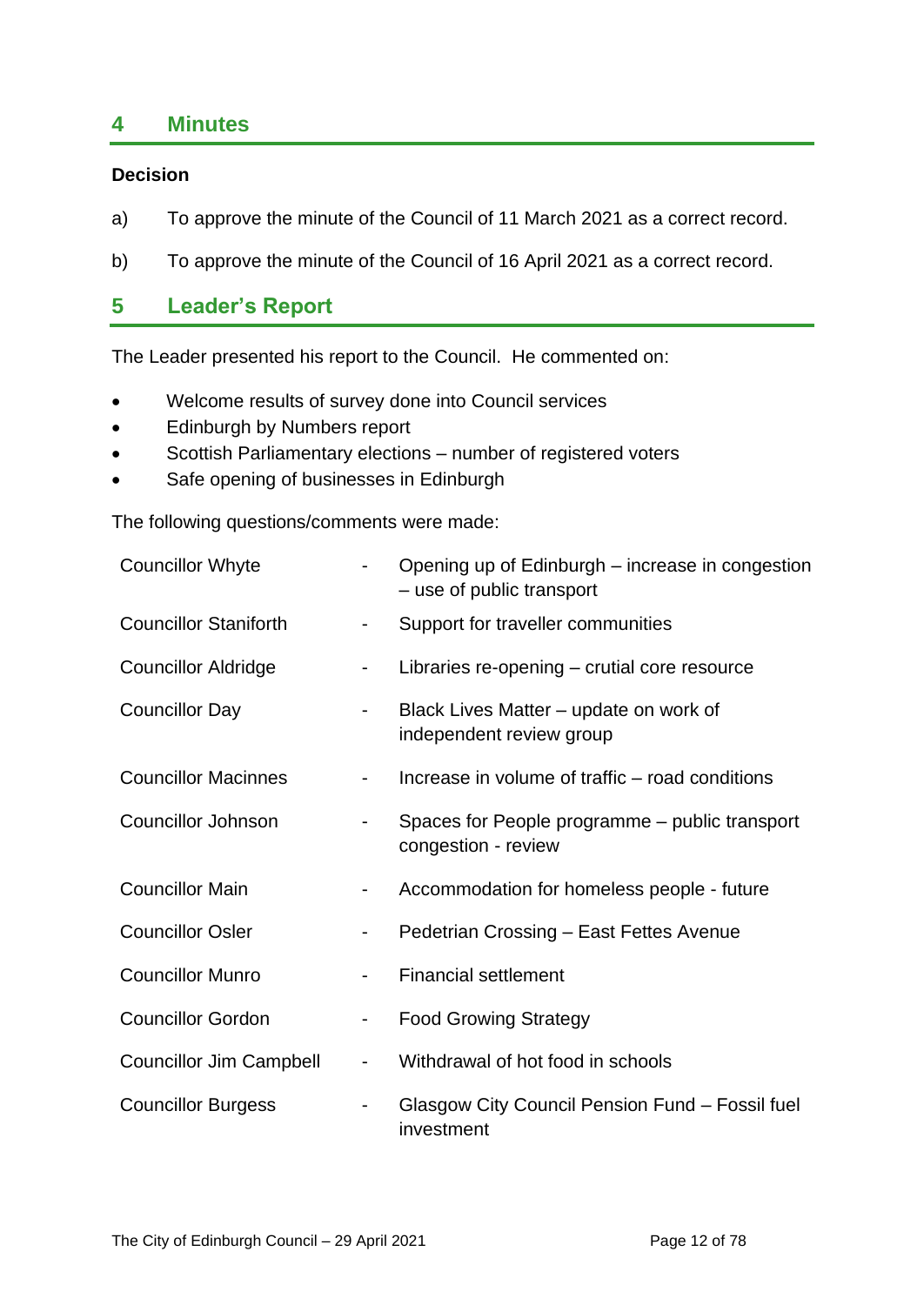# **4 Minutes**

#### **Decision**

- a) To approve the minute of the Council of 11 March 2021 as a correct record.
- b) To approve the minute of the Council of 16 April 2021 as a correct record.

# **5 Leader's Report**

The Leader presented his report to the Council. He commented on:

- Welcome results of survey done into Council services
- Edinburgh by Numbers report
- Scottish Parliamentary elections number of registered voters
- Safe opening of businesses in Edinburgh

The following questions/comments were made:

| <b>Councillor Whyte</b>        |                          | Opening up of Edinburgh - increase in congestion<br>- use of public transport |
|--------------------------------|--------------------------|-------------------------------------------------------------------------------|
| <b>Councillor Staniforth</b>   | ۰.                       | Support for traveller communities                                             |
| <b>Councillor Aldridge</b>     |                          | Libraries re-opening – crutial core resource                                  |
| <b>Councillor Day</b>          |                          | Black Lives Matter – update on work of<br>independent review group            |
| <b>Councillor Macinnes</b>     | ٠                        | Increase in volume of traffic – road conditions                               |
| <b>Councillor Johnson</b>      |                          | Spaces for People programme – public transport<br>congestion - review         |
| <b>Councillor Main</b>         | ۰                        | Accommodation for homeless people - future                                    |
| <b>Councillor Osler</b>        | ۰                        | Pedetrian Crossing - East Fettes Avenue                                       |
| <b>Councillor Munro</b>        |                          | <b>Financial settlement</b>                                                   |
| <b>Councillor Gordon</b>       | ۰                        | <b>Food Growing Strategy</b>                                                  |
| <b>Councillor Jim Campbell</b> | $\overline{\phantom{0}}$ | Withdrawal of hot food in schools                                             |
| <b>Councillor Burgess</b>      |                          | Glasgow City Council Pension Fund - Fossil fuel<br>investment                 |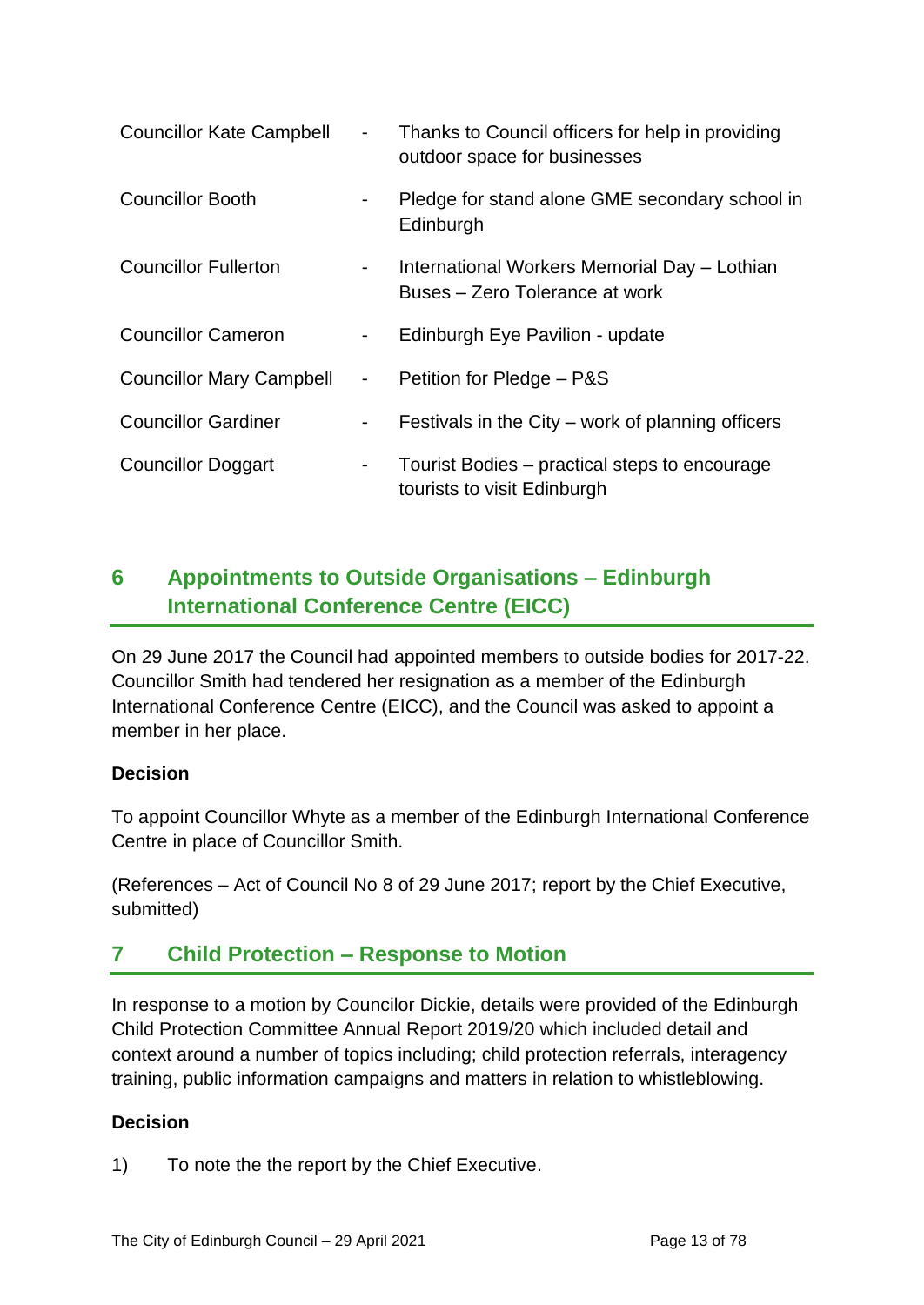| <b>Councillor Kate Campbell</b> | $\sim 100$      | Thanks to Council officers for help in providing<br>outdoor space for businesses |
|---------------------------------|-----------------|----------------------------------------------------------------------------------|
| <b>Councillor Booth</b>         | $\sim 100$      | Pledge for stand alone GME secondary school in<br>Edinburgh                      |
| <b>Councillor Fullerton</b>     | $\sim 100$      | International Workers Memorial Day - Lothian<br>Buses – Zero Tolerance at work   |
| <b>Councillor Cameron</b>       | $\sim$ 10 $\pm$ | Edinburgh Eye Pavilion - update                                                  |
| <b>Councillor Mary Campbell</b> | $\sim 100$      | Petition for Pledge - P&S                                                        |
| <b>Councillor Gardiner</b>      | $\sim 100$      | Festivals in the City – work of planning officers                                |
| <b>Councillor Doggart</b>       | $\sim$          | Tourist Bodies – practical steps to encourage<br>tourists to visit Edinburgh     |

# **6 Appointments to Outside Organisations – Edinburgh International Conference Centre (EICC)**

On 29 June 2017 the Council had appointed members to outside bodies for 2017-22. Councillor Smith had tendered her resignation as a member of the Edinburgh International Conference Centre (EICC), and the Council was asked to appoint a member in her place.

## **Decision**

To appoint Councillor Whyte as a member of the Edinburgh International Conference Centre in place of Councillor Smith.

(References – Act of Council No 8 of 29 June 2017; report by the Chief Executive, submitted)

# **7 Child Protection – Response to Motion**

In response to a motion by Councilor Dickie, details were provided of the Edinburgh Child Protection Committee Annual Report 2019/20 which included detail and context around a number of topics including; child protection referrals, interagency training, public information campaigns and matters in relation to whistleblowing.

## **Decision**

1) To note the the report by the Chief Executive.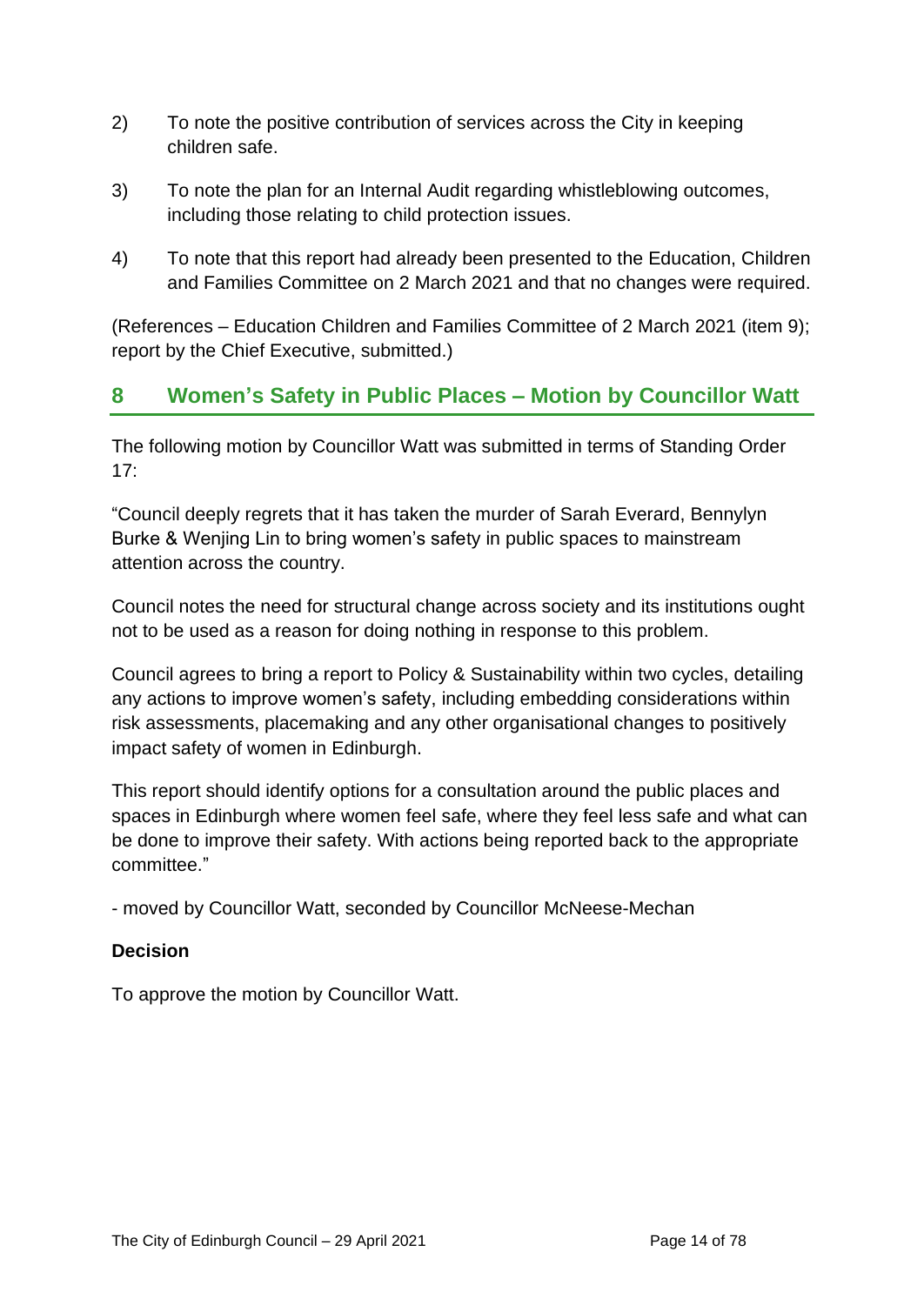- 2) To note the positive contribution of services across the City in keeping children safe.
- 3) To note the plan for an Internal Audit regarding whistleblowing outcomes, including those relating to child protection issues.
- 4) To note that this report had already been presented to the Education, Children and Families Committee on 2 March 2021 and that no changes were required.

(References – Education Children and Families Committee of 2 March 2021 (item 9); report by the Chief Executive, submitted.)

# **8 Women's Safety in Public Places – Motion by Councillor Watt**

The following motion by Councillor Watt was submitted in terms of Standing Order 17:

"Council deeply regrets that it has taken the murder of Sarah Everard, Bennylyn Burke & Wenjing Lin to bring women's safety in public spaces to mainstream attention across the country.

Council notes the need for structural change across society and its institutions ought not to be used as a reason for doing nothing in response to this problem.

Council agrees to bring a report to Policy & Sustainability within two cycles, detailing any actions to improve women's safety, including embedding considerations within risk assessments, placemaking and any other organisational changes to positively impact safety of women in Edinburgh.

This report should identify options for a consultation around the public places and spaces in Edinburgh where women feel safe, where they feel less safe and what can be done to improve their safety. With actions being reported back to the appropriate committee."

- moved by Councillor Watt, seconded by Councillor McNeese-Mechan

## **Decision**

To approve the motion by Councillor Watt.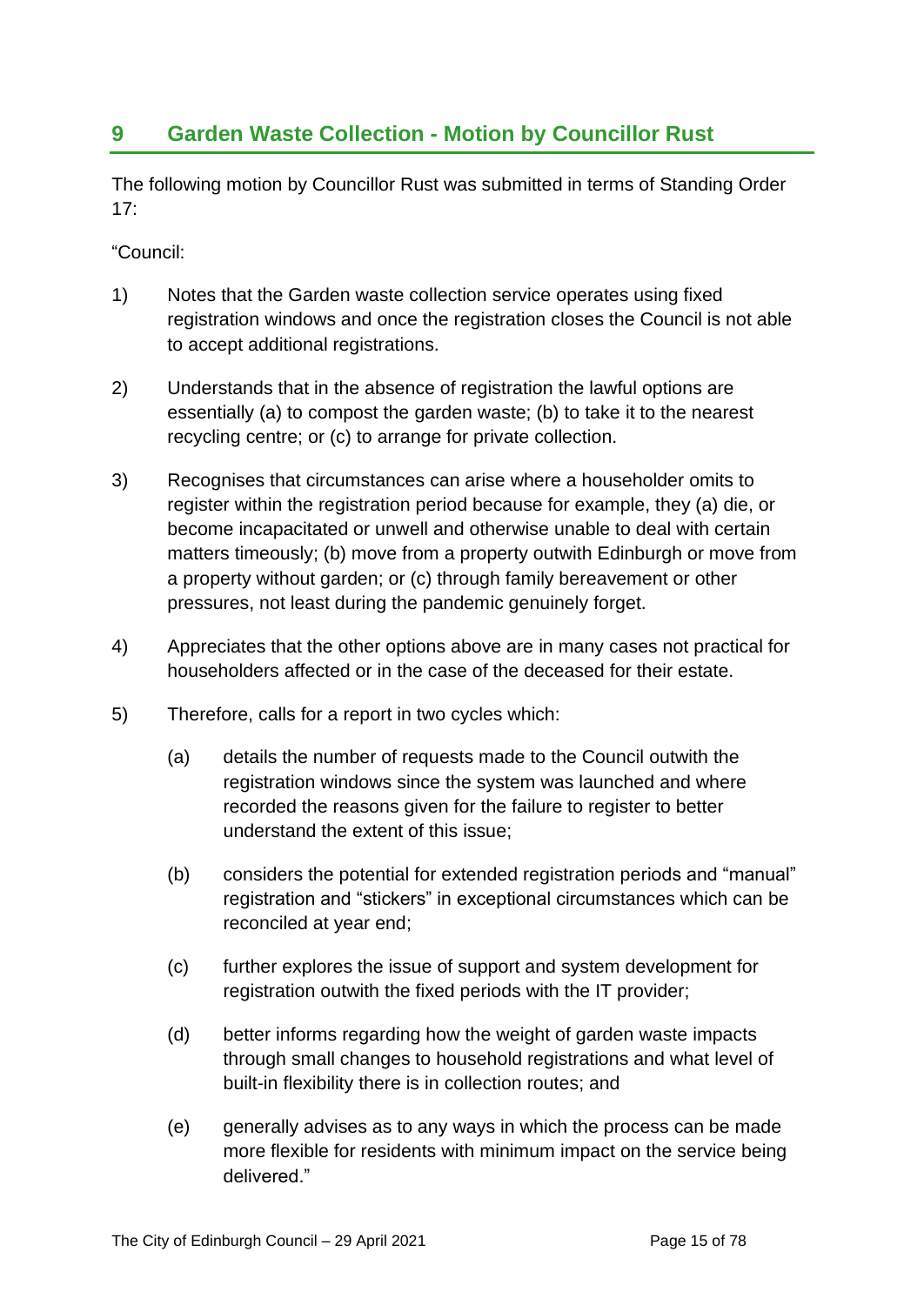# **9 Garden Waste Collection - Motion by Councillor Rust**

The following motion by Councillor Rust was submitted in terms of Standing Order 17:

"Council:

- 1) Notes that the Garden waste collection service operates using fixed registration windows and once the registration closes the Council is not able to accept additional registrations.
- 2) Understands that in the absence of registration the lawful options are essentially (a) to compost the garden waste; (b) to take it to the nearest recycling centre; or (c) to arrange for private collection.
- 3) Recognises that circumstances can arise where a householder omits to register within the registration period because for example, they (a) die, or become incapacitated or unwell and otherwise unable to deal with certain matters timeously; (b) move from a property outwith Edinburgh or move from a property without garden; or (c) through family bereavement or other pressures, not least during the pandemic genuinely forget.
- 4) Appreciates that the other options above are in many cases not practical for householders affected or in the case of the deceased for their estate.
- 5) Therefore, calls for a report in two cycles which:
	- (a) details the number of requests made to the Council outwith the registration windows since the system was launched and where recorded the reasons given for the failure to register to better understand the extent of this issue;
	- (b) considers the potential for extended registration periods and "manual" registration and "stickers" in exceptional circumstances which can be reconciled at year end;
	- (c) further explores the issue of support and system development for registration outwith the fixed periods with the IT provider;
	- (d) better informs regarding how the weight of garden waste impacts through small changes to household registrations and what level of built-in flexibility there is in collection routes; and
	- (e) generally advises as to any ways in which the process can be made more flexible for residents with minimum impact on the service being delivered."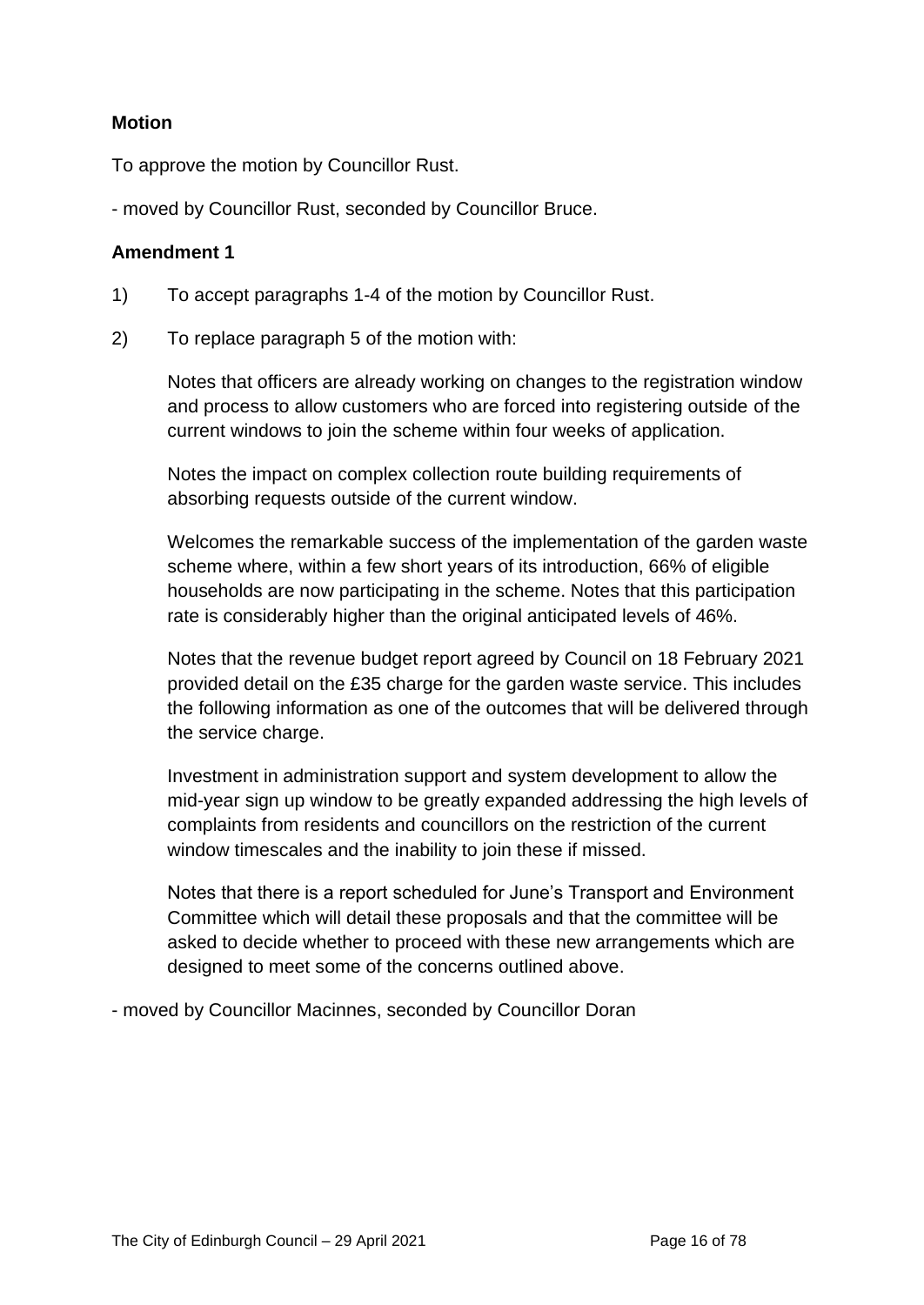#### **Motion**

To approve the motion by Councillor Rust.

- moved by Councillor Rust, seconded by Councillor Bruce.

#### **Amendment 1**

- 1) To accept paragraphs 1-4 of the motion by Councillor Rust.
- 2) To replace paragraph 5 of the motion with:

Notes that officers are already working on changes to the registration window and process to allow customers who are forced into registering outside of the current windows to join the scheme within four weeks of application.

Notes the impact on complex collection route building requirements of absorbing requests outside of the current window.

Welcomes the remarkable success of the implementation of the garden waste scheme where, within a few short years of its introduction, 66% of eligible households are now participating in the scheme. Notes that this participation rate is considerably higher than the original anticipated levels of 46%.

Notes that the revenue budget report agreed by Council on 18 February 2021 provided detail on the £35 charge for the garden waste service. This includes the following information as one of the outcomes that will be delivered through the service charge.

Investment in administration support and system development to allow the mid-year sign up window to be greatly expanded addressing the high levels of complaints from residents and councillors on the restriction of the current window timescales and the inability to join these if missed.

Notes that there is a report scheduled for June's Transport and Environment Committee which will detail these proposals and that the committee will be asked to decide whether to proceed with these new arrangements which are designed to meet some of the concerns outlined above.

- moved by Councillor Macinnes, seconded by Councillor Doran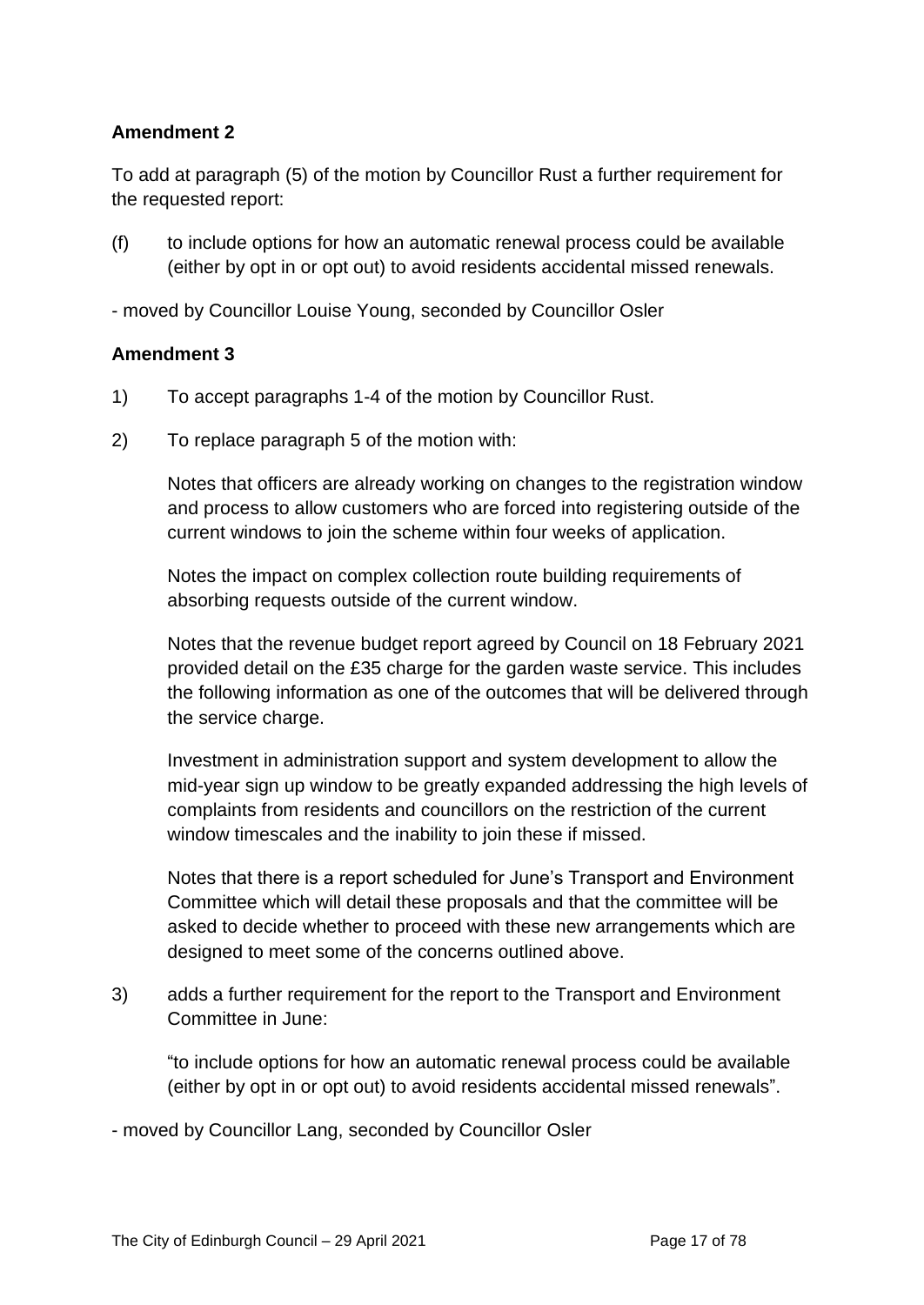#### **Amendment 2**

To add at paragraph (5) of the motion by Councillor Rust a further requirement for the requested report:

(f) to include options for how an automatic renewal process could be available (either by opt in or opt out) to avoid residents accidental missed renewals.

- moved by Councillor Louise Young, seconded by Councillor Osler

#### **Amendment 3**

- 1) To accept paragraphs 1-4 of the motion by Councillor Rust.
- 2) To replace paragraph 5 of the motion with:

Notes that officers are already working on changes to the registration window and process to allow customers who are forced into registering outside of the current windows to join the scheme within four weeks of application.

Notes the impact on complex collection route building requirements of absorbing requests outside of the current window.

Notes that the revenue budget report agreed by Council on 18 February 2021 provided detail on the £35 charge for the garden waste service. This includes the following information as one of the outcomes that will be delivered through the service charge.

Investment in administration support and system development to allow the mid-year sign up window to be greatly expanded addressing the high levels of complaints from residents and councillors on the restriction of the current window timescales and the inability to join these if missed.

Notes that there is a report scheduled for June's Transport and Environment Committee which will detail these proposals and that the committee will be asked to decide whether to proceed with these new arrangements which are designed to meet some of the concerns outlined above.

3) adds a further requirement for the report to the Transport and Environment Committee in June:

"to include options for how an automatic renewal process could be available (either by opt in or opt out) to avoid residents accidental missed renewals".

- moved by Councillor Lang, seconded by Councillor Osler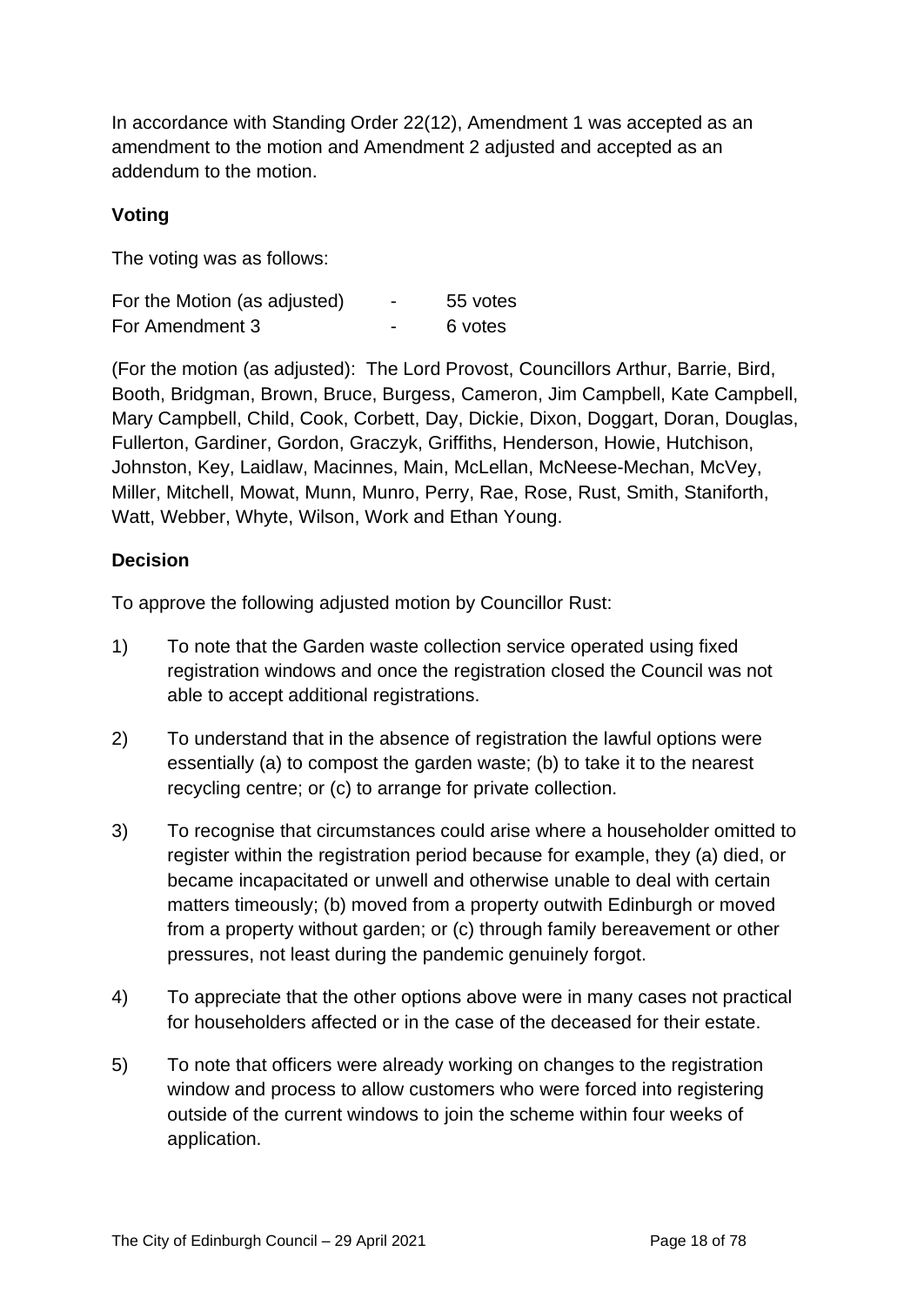In accordance with Standing Order 22(12), Amendment 1 was accepted as an amendment to the motion and Amendment 2 adjusted and accepted as an addendum to the motion.

# **Voting**

The voting was as follows:

| For the Motion (as adjusted) | $\overline{\phantom{0}}$ | 55 votes |
|------------------------------|--------------------------|----------|
| For Amendment 3              | $\overline{\phantom{0}}$ | 6 votes  |

(For the motion (as adjusted): The Lord Provost, Councillors Arthur, Barrie, Bird, Booth, Bridgman, Brown, Bruce, Burgess, Cameron, Jim Campbell, Kate Campbell, Mary Campbell, Child, Cook, Corbett, Day, Dickie, Dixon, Doggart, Doran, Douglas, Fullerton, Gardiner, Gordon, Graczyk, Griffiths, Henderson, Howie, Hutchison, Johnston, Key, Laidlaw, Macinnes, Main, McLellan, McNeese-Mechan, McVey, Miller, Mitchell, Mowat, Munn, Munro, Perry, Rae, Rose, Rust, Smith, Staniforth, Watt, Webber, Whyte, Wilson, Work and Ethan Young.

#### **Decision**

To approve the following adjusted motion by Councillor Rust:

- 1) To note that the Garden waste collection service operated using fixed registration windows and once the registration closed the Council was not able to accept additional registrations.
- 2) To understand that in the absence of registration the lawful options were essentially (a) to compost the garden waste; (b) to take it to the nearest recycling centre; or (c) to arrange for private collection.
- 3) To recognise that circumstances could arise where a householder omitted to register within the registration period because for example, they (a) died, or became incapacitated or unwell and otherwise unable to deal with certain matters timeously; (b) moved from a property outwith Edinburgh or moved from a property without garden; or (c) through family bereavement or other pressures, not least during the pandemic genuinely forgot.
- 4) To appreciate that the other options above were in many cases not practical for householders affected or in the case of the deceased for their estate.
- 5) To note that officers were already working on changes to the registration window and process to allow customers who were forced into registering outside of the current windows to join the scheme within four weeks of application.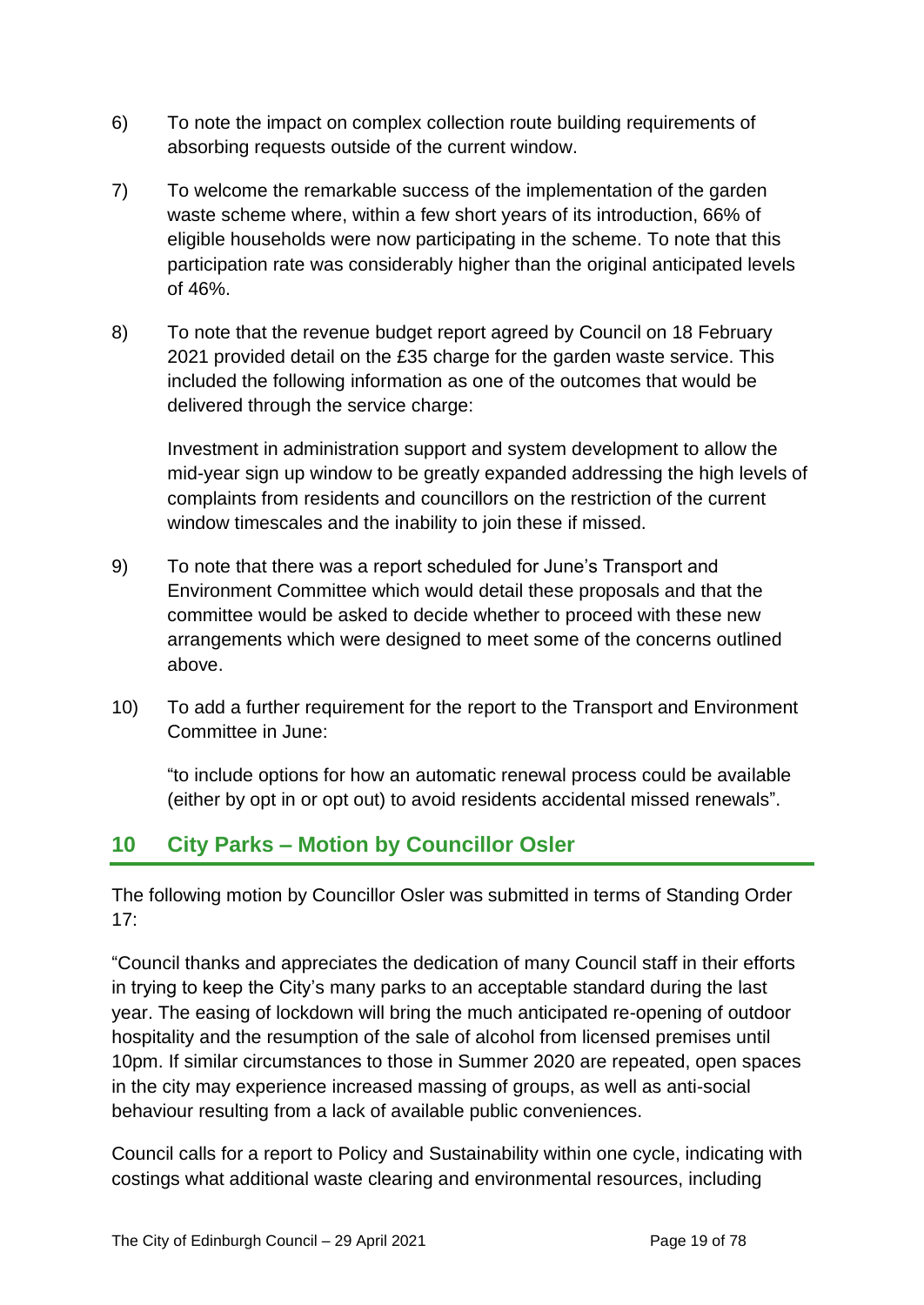- 6) To note the impact on complex collection route building requirements of absorbing requests outside of the current window.
- 7) To welcome the remarkable success of the implementation of the garden waste scheme where, within a few short years of its introduction, 66% of eligible households were now participating in the scheme. To note that this participation rate was considerably higher than the original anticipated levels of 46%.
- 8) To note that the revenue budget report agreed by Council on 18 February 2021 provided detail on the £35 charge for the garden waste service. This included the following information as one of the outcomes that would be delivered through the service charge:

Investment in administration support and system development to allow the mid-year sign up window to be greatly expanded addressing the high levels of complaints from residents and councillors on the restriction of the current window timescales and the inability to join these if missed.

- 9) To note that there was a report scheduled for June's Transport and Environment Committee which would detail these proposals and that the committee would be asked to decide whether to proceed with these new arrangements which were designed to meet some of the concerns outlined above.
- 10) To add a further requirement for the report to the Transport and Environment Committee in June:

"to include options for how an automatic renewal process could be available (either by opt in or opt out) to avoid residents accidental missed renewals".

# **10 City Parks – Motion by Councillor Osler**

The following motion by Councillor Osler was submitted in terms of Standing Order 17:

"Council thanks and appreciates the dedication of many Council staff in their efforts in trying to keep the City's many parks to an acceptable standard during the last year. The easing of lockdown will bring the much anticipated re-opening of outdoor hospitality and the resumption of the sale of alcohol from licensed premises until 10pm. If similar circumstances to those in Summer 2020 are repeated, open spaces in the city may experience increased massing of groups, as well as anti-social behaviour resulting from a lack of available public conveniences.

Council calls for a report to Policy and Sustainability within one cycle, indicating with costings what additional waste clearing and environmental resources, including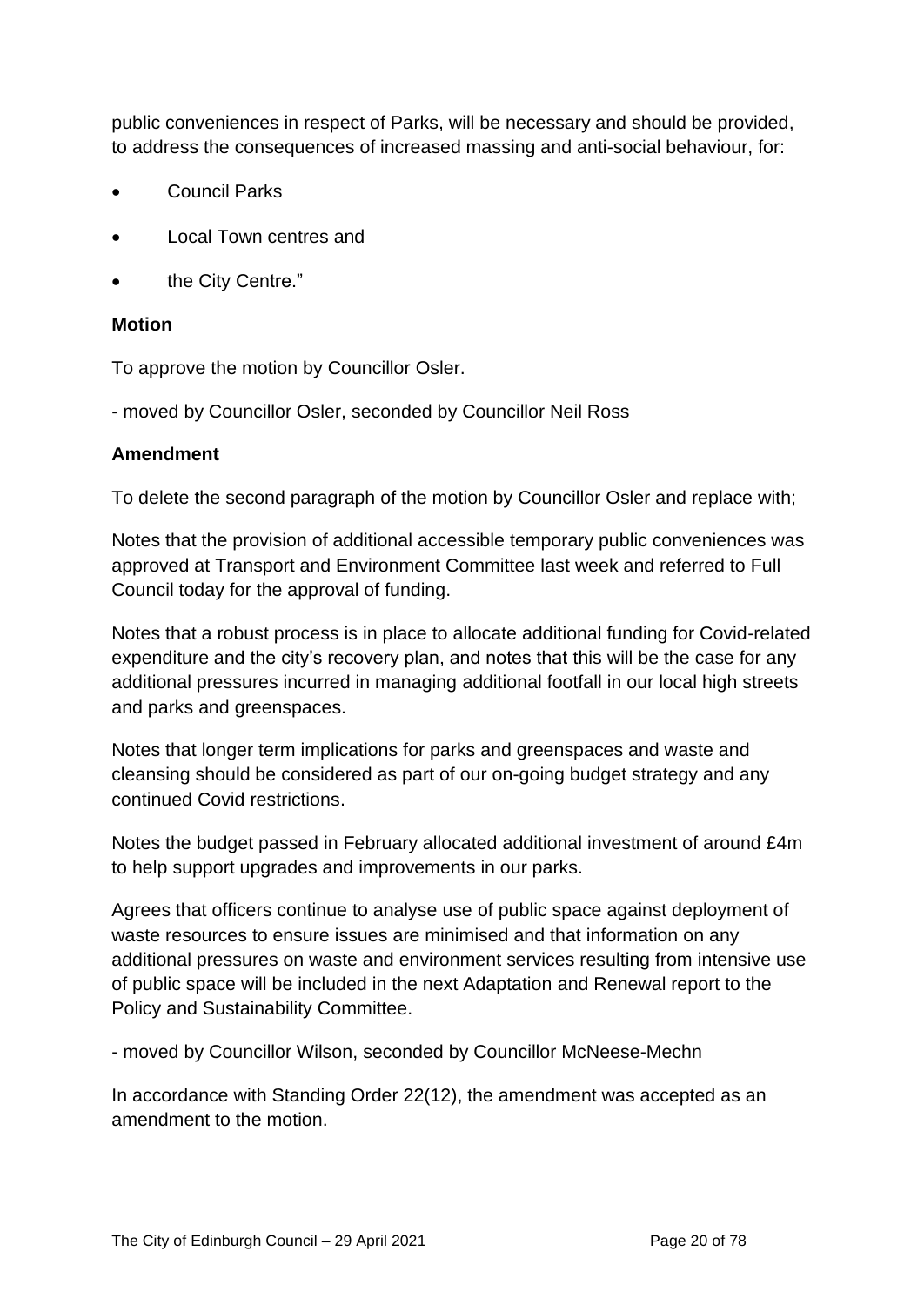public conveniences in respect of Parks, will be necessary and should be provided, to address the consequences of increased massing and anti-social behaviour, for:

- Council Parks
- Local Town centres and
- the City Centre."

#### **Motion**

To approve the motion by Councillor Osler.

- moved by Councillor Osler, seconded by Councillor Neil Ross

#### **Amendment**

To delete the second paragraph of the motion by Councillor Osler and replace with;

Notes that the provision of additional accessible temporary public conveniences was approved at Transport and Environment Committee last week and referred to Full Council today for the approval of funding.

Notes that a robust process is in place to allocate additional funding for Covid-related expenditure and the city's recovery plan, and notes that this will be the case for any additional pressures incurred in managing additional footfall in our local high streets and parks and greenspaces.

Notes that longer term implications for parks and greenspaces and waste and cleansing should be considered as part of our on-going budget strategy and any continued Covid restrictions.

Notes the budget passed in February allocated additional investment of around £4m to help support upgrades and improvements in our parks.

Agrees that officers continue to analyse use of public space against deployment of waste resources to ensure issues are minimised and that information on any additional pressures on waste and environment services resulting from intensive use of public space will be included in the next Adaptation and Renewal report to the Policy and Sustainability Committee.

- moved by Councillor Wilson, seconded by Councillor McNeese-Mechn

In accordance with Standing Order 22(12), the amendment was accepted as an amendment to the motion.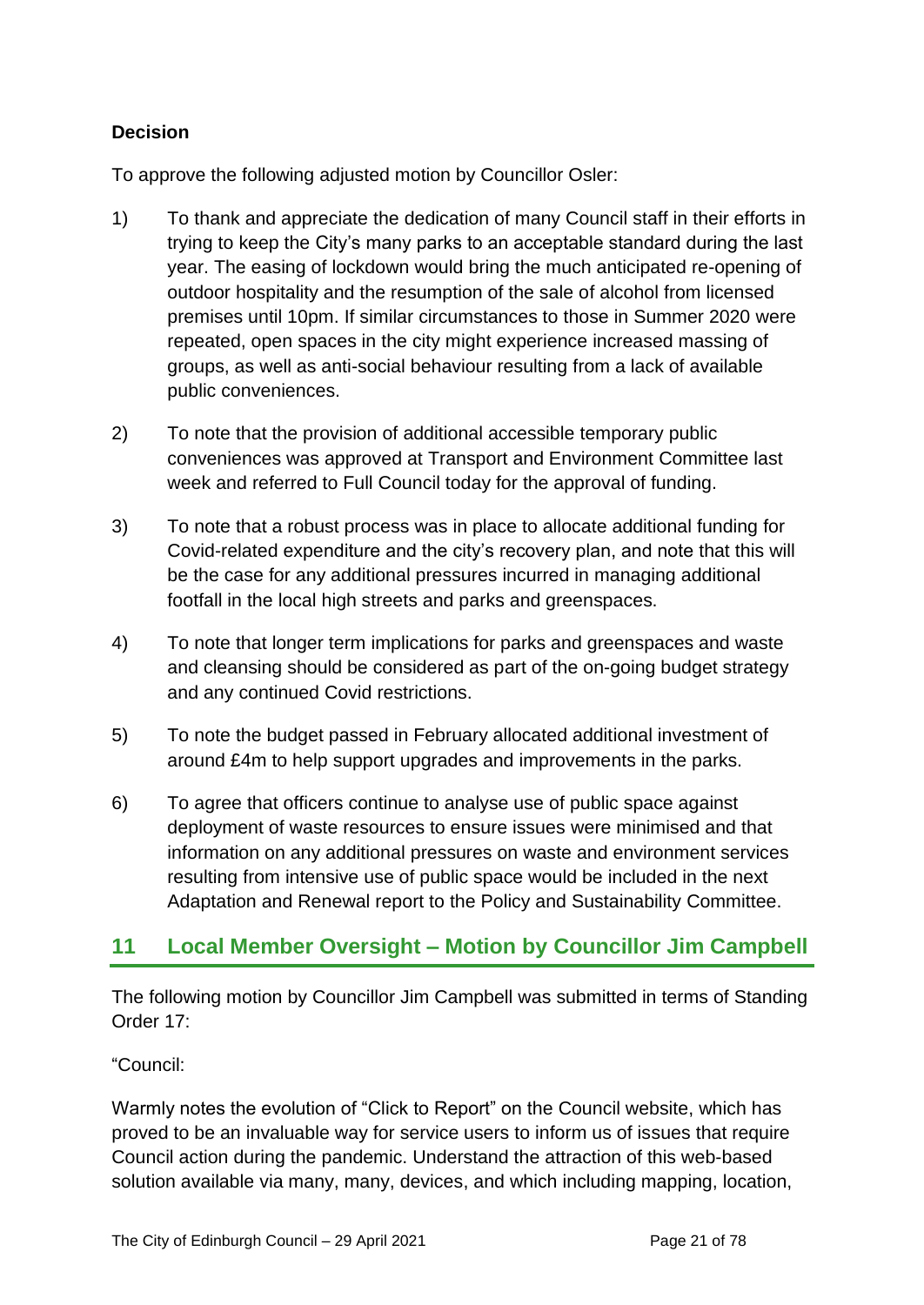# **Decision**

To approve the following adjusted motion by Councillor Osler:

- 1) To thank and appreciate the dedication of many Council staff in their efforts in trying to keep the City's many parks to an acceptable standard during the last year. The easing of lockdown would bring the much anticipated re-opening of outdoor hospitality and the resumption of the sale of alcohol from licensed premises until 10pm. If similar circumstances to those in Summer 2020 were repeated, open spaces in the city might experience increased massing of groups, as well as anti-social behaviour resulting from a lack of available public conveniences.
- 2) To note that the provision of additional accessible temporary public conveniences was approved at Transport and Environment Committee last week and referred to Full Council today for the approval of funding.
- 3) To note that a robust process was in place to allocate additional funding for Covid-related expenditure and the city's recovery plan, and note that this will be the case for any additional pressures incurred in managing additional footfall in the local high streets and parks and greenspaces.
- 4) To note that longer term implications for parks and greenspaces and waste and cleansing should be considered as part of the on-going budget strategy and any continued Covid restrictions.
- 5) To note the budget passed in February allocated additional investment of around £4m to help support upgrades and improvements in the parks.
- 6) To agree that officers continue to analyse use of public space against deployment of waste resources to ensure issues were minimised and that information on any additional pressures on waste and environment services resulting from intensive use of public space would be included in the next Adaptation and Renewal report to the Policy and Sustainability Committee.

# **11 Local Member Oversight – Motion by Councillor Jim Campbell**

The following motion by Councillor Jim Campbell was submitted in terms of Standing Order 17:

"Council:

Warmly notes the evolution of "Click to Report" on the Council website, which has proved to be an invaluable way for service users to inform us of issues that require Council action during the pandemic. Understand the attraction of this web-based solution available via many, many, devices, and which including mapping, location,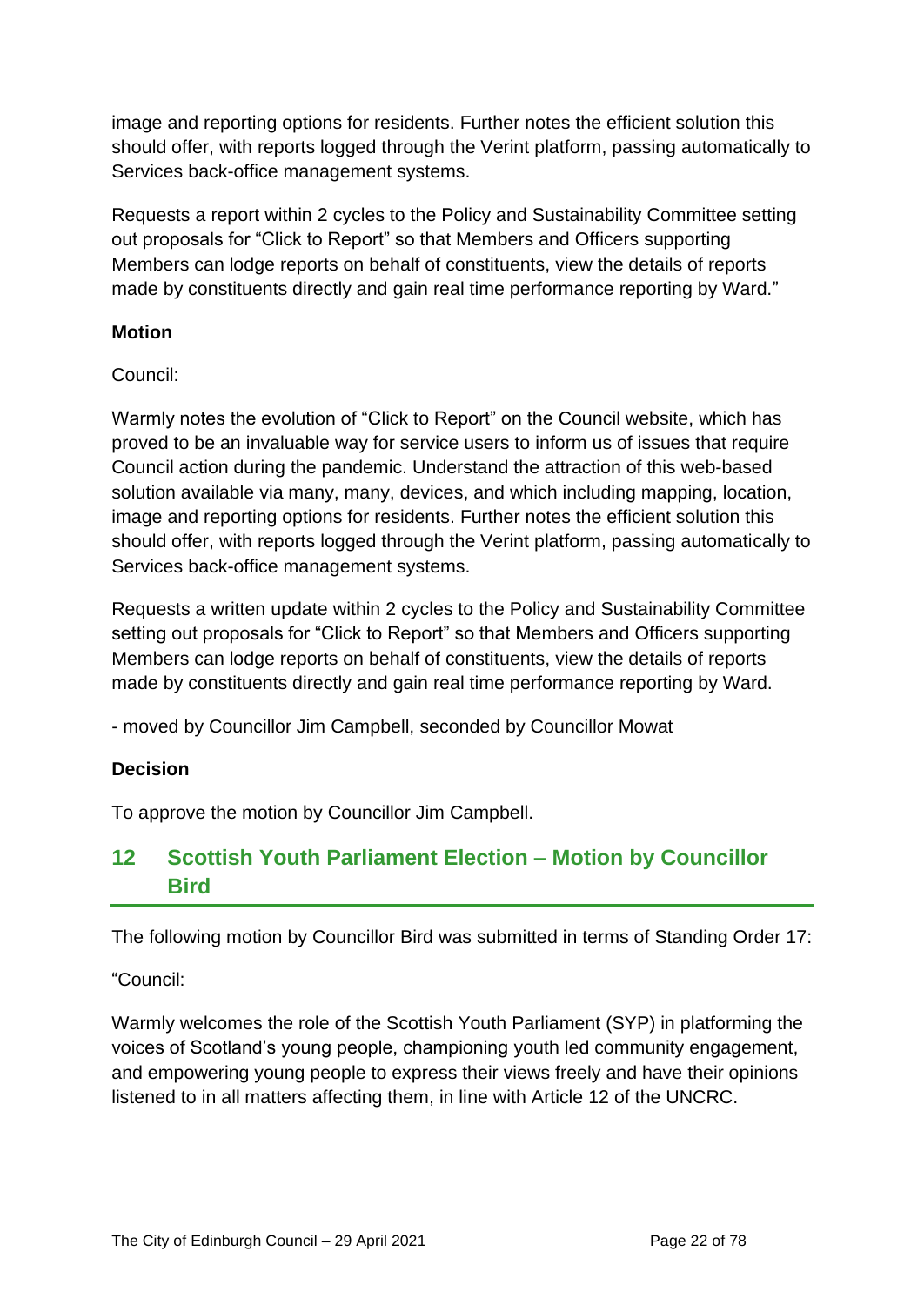image and reporting options for residents. Further notes the efficient solution this should offer, with reports logged through the Verint platform, passing automatically to Services back-office management systems.

Requests a report within 2 cycles to the Policy and Sustainability Committee setting out proposals for "Click to Report" so that Members and Officers supporting Members can lodge reports on behalf of constituents, view the details of reports made by constituents directly and gain real time performance reporting by Ward."

## **Motion**

#### Council:

Warmly notes the evolution of "Click to Report" on the Council website, which has proved to be an invaluable way for service users to inform us of issues that require Council action during the pandemic. Understand the attraction of this web-based solution available via many, many, devices, and which including mapping, location, image and reporting options for residents. Further notes the efficient solution this should offer, with reports logged through the Verint platform, passing automatically to Services back-office management systems.

Requests a written update within 2 cycles to the Policy and Sustainability Committee setting out proposals for "Click to Report" so that Members and Officers supporting Members can lodge reports on behalf of constituents, view the details of reports made by constituents directly and gain real time performance reporting by Ward.

- moved by Councillor Jim Campbell, seconded by Councillor Mowat

## **Decision**

To approve the motion by Councillor Jim Campbell.

# **12 Scottish Youth Parliament Election – Motion by Councillor Bird**

The following motion by Councillor Bird was submitted in terms of Standing Order 17:

"Council:

Warmly welcomes the role of the Scottish Youth Parliament (SYP) in platforming the voices of Scotland's young people, championing youth led community engagement, and empowering young people to express their views freely and have their opinions listened to in all matters affecting them, in line with Article 12 of the UNCRC.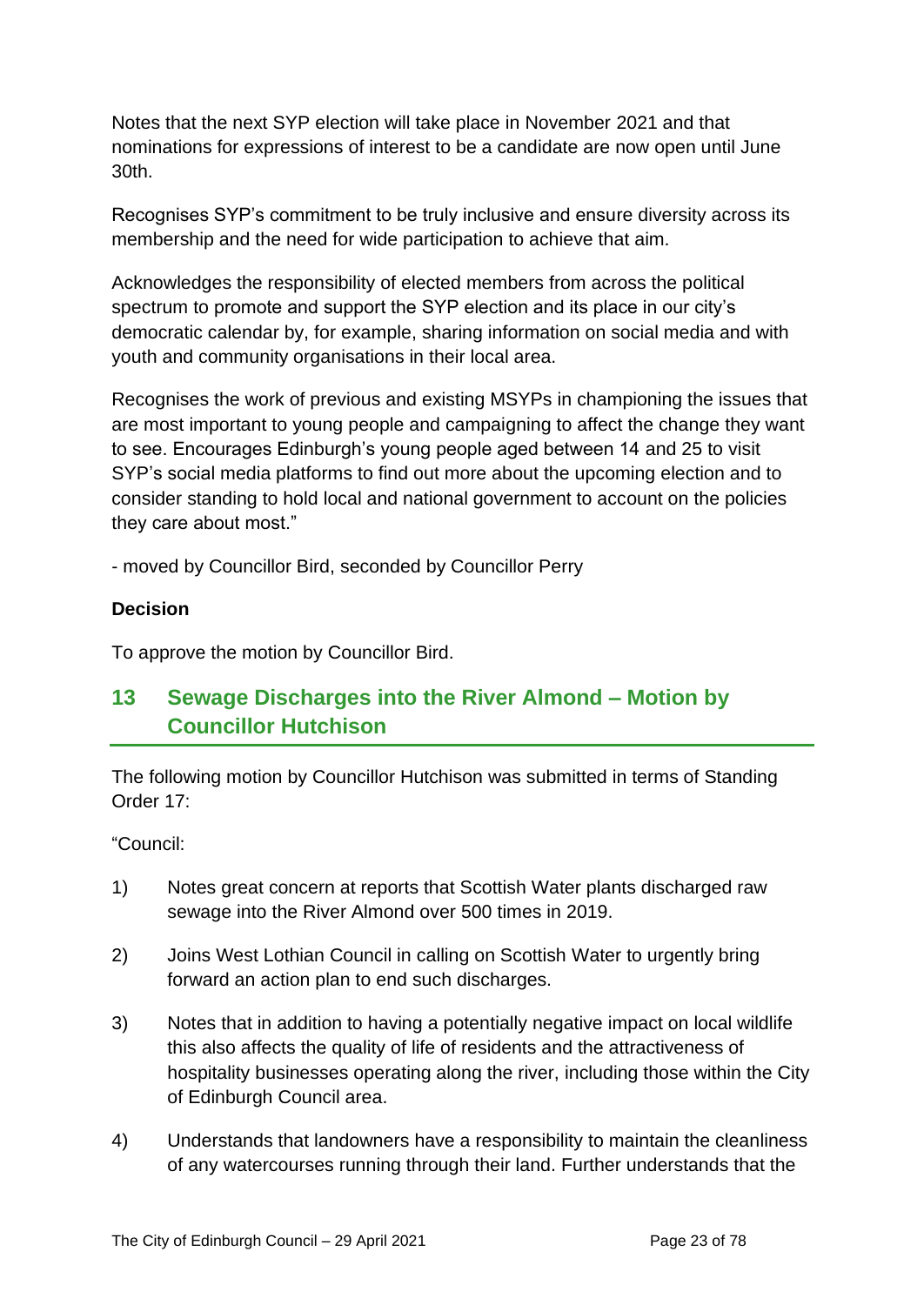Notes that the next SYP election will take place in November 2021 and that nominations for expressions of interest to be a candidate are now open until June 30th.

Recognises SYP's commitment to be truly inclusive and ensure diversity across its membership and the need for wide participation to achieve that aim.

Acknowledges the responsibility of elected members from across the political spectrum to promote and support the SYP election and its place in our city's democratic calendar by, for example, sharing information on social media and with youth and community organisations in their local area.

Recognises the work of previous and existing MSYPs in championing the issues that are most important to young people and campaigning to affect the change they want to see. Encourages Edinburgh's young people aged between 14 and 25 to visit SYP's social media platforms to find out more about the upcoming election and to consider standing to hold local and national government to account on the policies they care about most."

- moved by Councillor Bird, seconded by Councillor Perry

## **Decision**

To approve the motion by Councillor Bird.

# **13 Sewage Discharges into the River Almond – Motion by Councillor Hutchison**

The following motion by Councillor Hutchison was submitted in terms of Standing Order 17:

"Council:

- 1) Notes great concern at reports that Scottish Water plants discharged raw sewage into the River Almond over 500 times in 2019.
- 2) Joins West Lothian Council in calling on Scottish Water to urgently bring forward an action plan to end such discharges.
- 3) Notes that in addition to having a potentially negative impact on local wildlife this also affects the quality of life of residents and the attractiveness of hospitality businesses operating along the river, including those within the City of Edinburgh Council area.
- 4) Understands that landowners have a responsibility to maintain the cleanliness of any watercourses running through their land. Further understands that the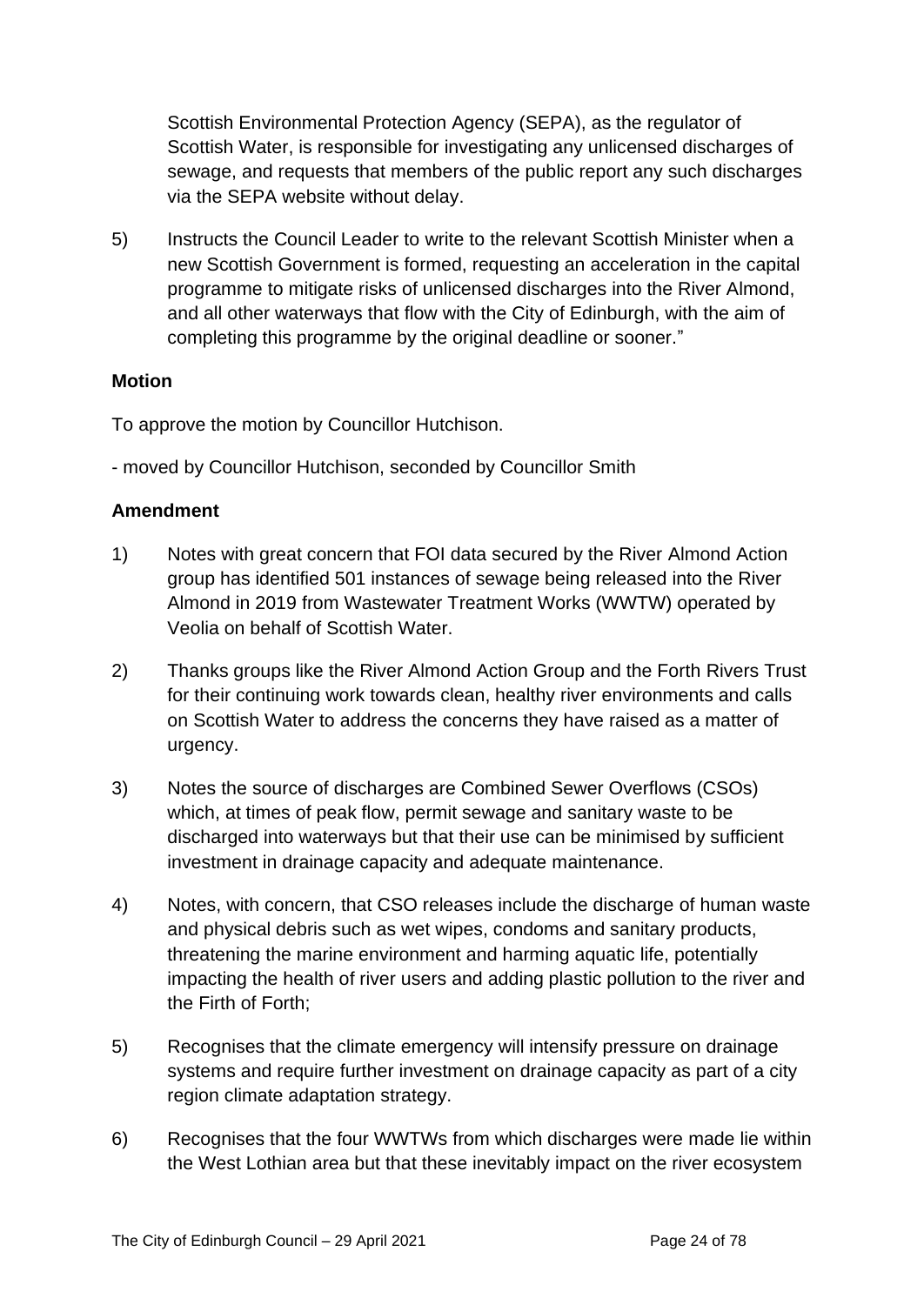Scottish Environmental Protection Agency (SEPA), as the regulator of Scottish Water, is responsible for investigating any unlicensed discharges of sewage, and requests that members of the public report any such discharges via the SEPA website without delay.

5) Instructs the Council Leader to write to the relevant Scottish Minister when a new Scottish Government is formed, requesting an acceleration in the capital programme to mitigate risks of unlicensed discharges into the River Almond, and all other waterways that flow with the City of Edinburgh, with the aim of completing this programme by the original deadline or sooner."

#### **Motion**

To approve the motion by Councillor Hutchison.

- moved by Councillor Hutchison, seconded by Councillor Smith

#### **Amendment**

- 1) Notes with great concern that FOI data secured by the River Almond Action group has identified 501 instances of sewage being released into the River Almond in 2019 from Wastewater Treatment Works (WWTW) operated by Veolia on behalf of Scottish Water.
- 2) Thanks groups like the River Almond Action Group and the Forth Rivers Trust for their continuing work towards clean, healthy river environments and calls on Scottish Water to address the concerns they have raised as a matter of urgency.
- 3) Notes the source of discharges are Combined Sewer Overflows (CSOs) which, at times of peak flow, permit sewage and sanitary waste to be discharged into waterways but that their use can be minimised by sufficient investment in drainage capacity and adequate maintenance.
- 4) Notes, with concern, that CSO releases include the discharge of human waste and physical debris such as wet wipes, condoms and sanitary products, threatening the marine environment and harming aquatic life, potentially impacting the health of river users and adding plastic pollution to the river and the Firth of Forth;
- 5) Recognises that the climate emergency will intensify pressure on drainage systems and require further investment on drainage capacity as part of a city region climate adaptation strategy.
- 6) Recognises that the four WWTWs from which discharges were made lie within the West Lothian area but that these inevitably impact on the river ecosystem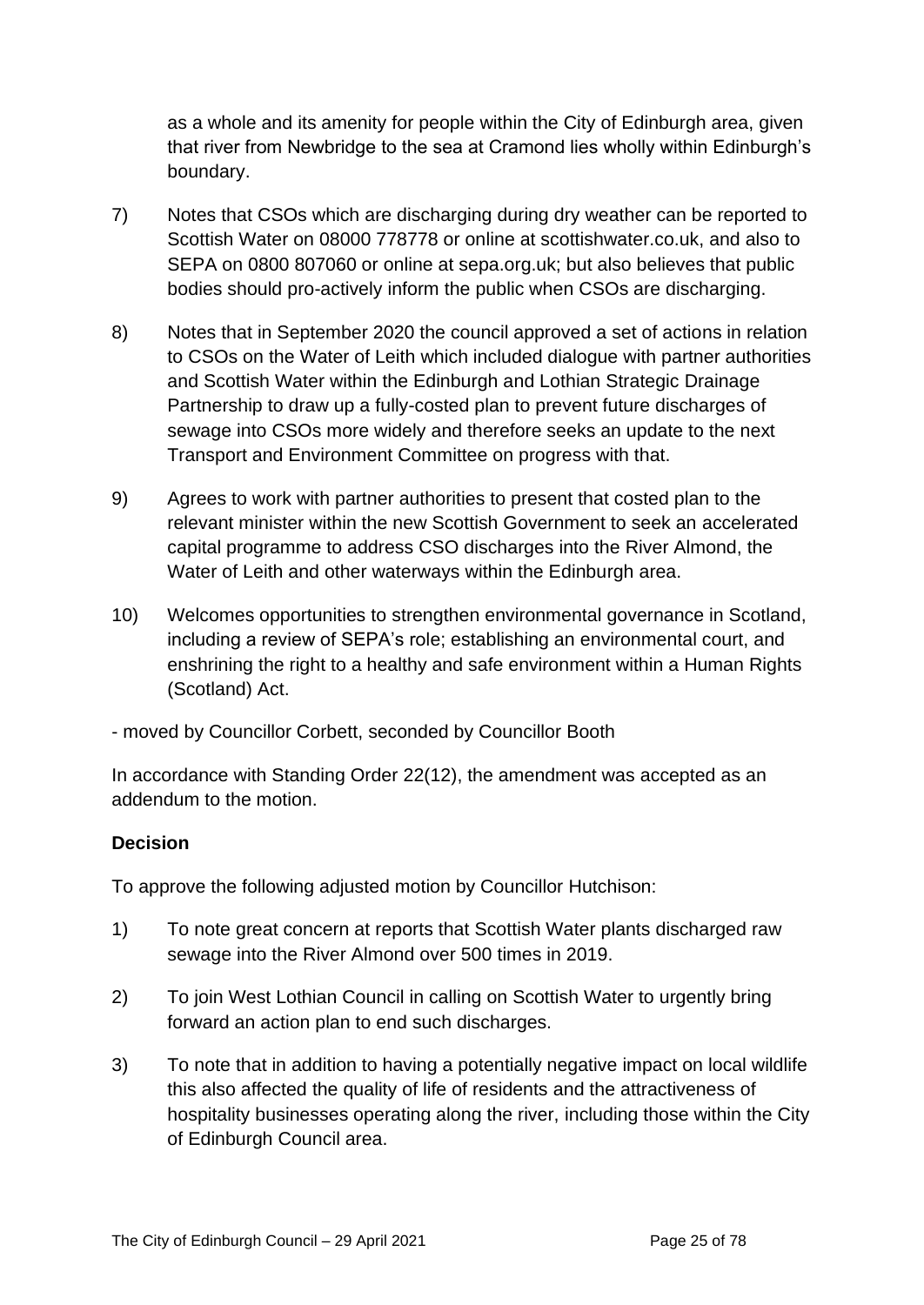as a whole and its amenity for people within the City of Edinburgh area, given that river from Newbridge to the sea at Cramond lies wholly within Edinburgh's boundary.

- 7) Notes that CSOs which are discharging during dry weather can be reported to Scottish Water on 08000 778778 or online at scottishwater.co.uk, and also to SEPA on 0800 807060 or online at sepa.org.uk; but also believes that public bodies should pro-actively inform the public when CSOs are discharging.
- 8) Notes that in September 2020 the council approved a set of actions in relation to CSOs on the Water of Leith which included dialogue with partner authorities and Scottish Water within the Edinburgh and Lothian Strategic Drainage Partnership to draw up a fully-costed plan to prevent future discharges of sewage into CSOs more widely and therefore seeks an update to the next Transport and Environment Committee on progress with that.
- 9) Agrees to work with partner authorities to present that costed plan to the relevant minister within the new Scottish Government to seek an accelerated capital programme to address CSO discharges into the River Almond, the Water of Leith and other waterways within the Edinburgh area.
- 10) Welcomes opportunities to strengthen environmental governance in Scotland, including a review of SEPA's role; establishing an environmental court, and enshrining the right to a healthy and safe environment within a Human Rights (Scotland) Act.
- moved by Councillor Corbett, seconded by Councillor Booth

In accordance with Standing Order 22(12), the amendment was accepted as an addendum to the motion.

#### **Decision**

To approve the following adjusted motion by Councillor Hutchison:

- 1) To note great concern at reports that Scottish Water plants discharged raw sewage into the River Almond over 500 times in 2019.
- 2) To join West Lothian Council in calling on Scottish Water to urgently bring forward an action plan to end such discharges.
- 3) To note that in addition to having a potentially negative impact on local wildlife this also affected the quality of life of residents and the attractiveness of hospitality businesses operating along the river, including those within the City of Edinburgh Council area.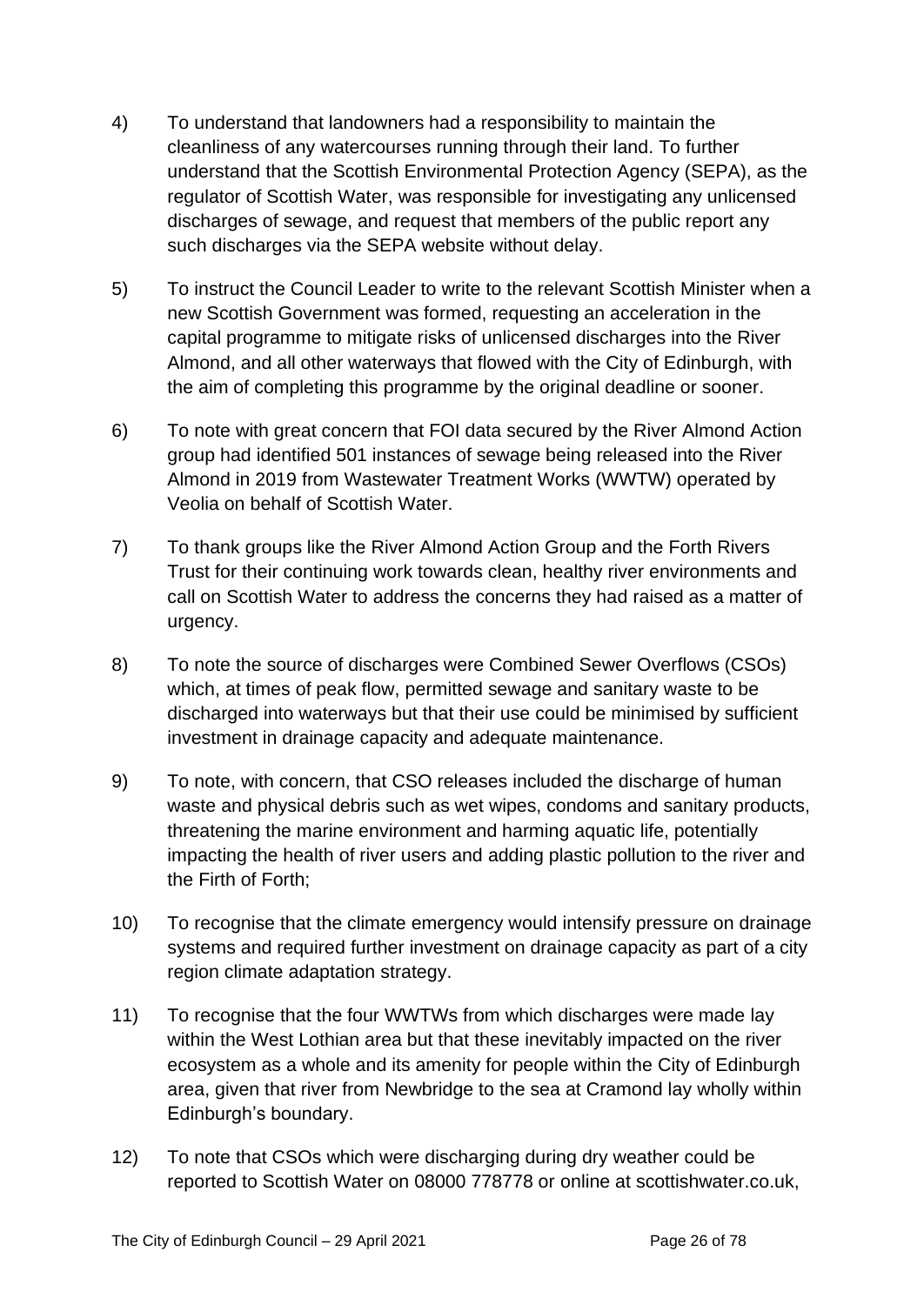- 4) To understand that landowners had a responsibility to maintain the cleanliness of any watercourses running through their land. To further understand that the Scottish Environmental Protection Agency (SEPA), as the regulator of Scottish Water, was responsible for investigating any unlicensed discharges of sewage, and request that members of the public report any such discharges via the SEPA website without delay.
- 5) To instruct the Council Leader to write to the relevant Scottish Minister when a new Scottish Government was formed, requesting an acceleration in the capital programme to mitigate risks of unlicensed discharges into the River Almond, and all other waterways that flowed with the City of Edinburgh, with the aim of completing this programme by the original deadline or sooner.
- 6) To note with great concern that FOI data secured by the River Almond Action group had identified 501 instances of sewage being released into the River Almond in 2019 from Wastewater Treatment Works (WWTW) operated by Veolia on behalf of Scottish Water.
- 7) To thank groups like the River Almond Action Group and the Forth Rivers Trust for their continuing work towards clean, healthy river environments and call on Scottish Water to address the concerns they had raised as a matter of urgency.
- 8) To note the source of discharges were Combined Sewer Overflows (CSOs) which, at times of peak flow, permitted sewage and sanitary waste to be discharged into waterways but that their use could be minimised by sufficient investment in drainage capacity and adequate maintenance.
- 9) To note, with concern, that CSO releases included the discharge of human waste and physical debris such as wet wipes, condoms and sanitary products, threatening the marine environment and harming aquatic life, potentially impacting the health of river users and adding plastic pollution to the river and the Firth of Forth;
- 10) To recognise that the climate emergency would intensify pressure on drainage systems and required further investment on drainage capacity as part of a city region climate adaptation strategy.
- 11) To recognise that the four WWTWs from which discharges were made lay within the West Lothian area but that these inevitably impacted on the river ecosystem as a whole and its amenity for people within the City of Edinburgh area, given that river from Newbridge to the sea at Cramond lay wholly within Edinburgh's boundary.
- 12) To note that CSOs which were discharging during dry weather could be reported to Scottish Water on 08000 778778 or online at scottishwater.co.uk,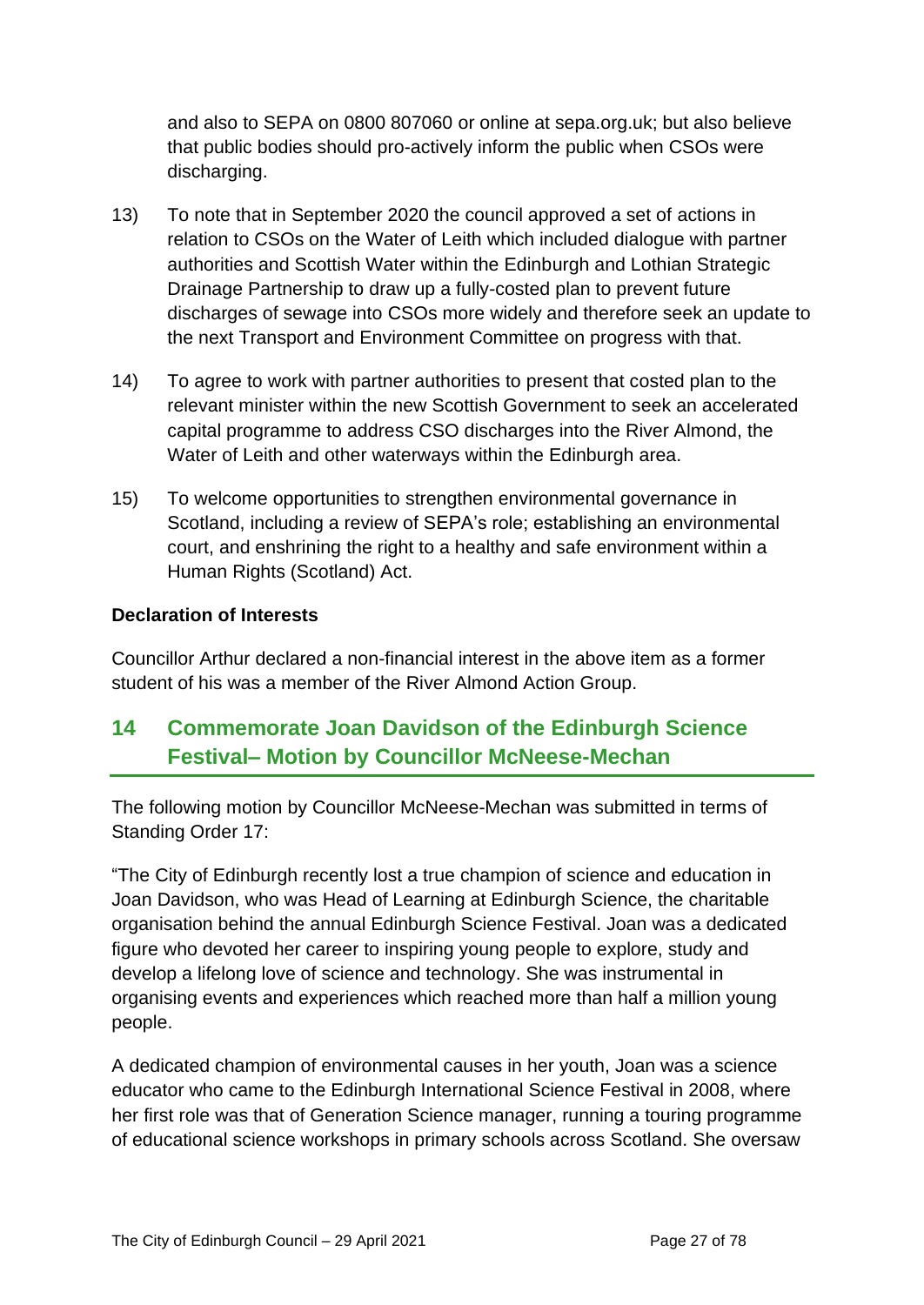and also to SEPA on 0800 807060 or online at sepa.org.uk; but also believe that public bodies should pro-actively inform the public when CSOs were discharging.

- 13) To note that in September 2020 the council approved a set of actions in relation to CSOs on the Water of Leith which included dialogue with partner authorities and Scottish Water within the Edinburgh and Lothian Strategic Drainage Partnership to draw up a fully-costed plan to prevent future discharges of sewage into CSOs more widely and therefore seek an update to the next Transport and Environment Committee on progress with that.
- 14) To agree to work with partner authorities to present that costed plan to the relevant minister within the new Scottish Government to seek an accelerated capital programme to address CSO discharges into the River Almond, the Water of Leith and other waterways within the Edinburgh area.
- 15) To welcome opportunities to strengthen environmental governance in Scotland, including a review of SEPA's role; establishing an environmental court, and enshrining the right to a healthy and safe environment within a Human Rights (Scotland) Act.

#### **Declaration of Interests**

Councillor Arthur declared a non-financial interest in the above item as a former student of his was a member of the River Almond Action Group.

# **14 Commemorate Joan Davidson of the Edinburgh Science Festival– Motion by Councillor McNeese-Mechan**

The following motion by Councillor McNeese-Mechan was submitted in terms of Standing Order 17:

"The City of Edinburgh recently lost a true champion of science and education in Joan Davidson, who was Head of Learning at Edinburgh Science, the charitable organisation behind the annual Edinburgh Science Festival. Joan was a dedicated figure who devoted her career to inspiring young people to explore, study and develop a lifelong love of science and technology. She was instrumental in organising events and experiences which reached more than half a million young people.

A dedicated champion of environmental causes in her youth, Joan was a science educator who came to the Edinburgh International Science Festival in 2008, where her first role was that of Generation Science manager, running a touring programme of educational science workshops in primary schools across Scotland. She oversaw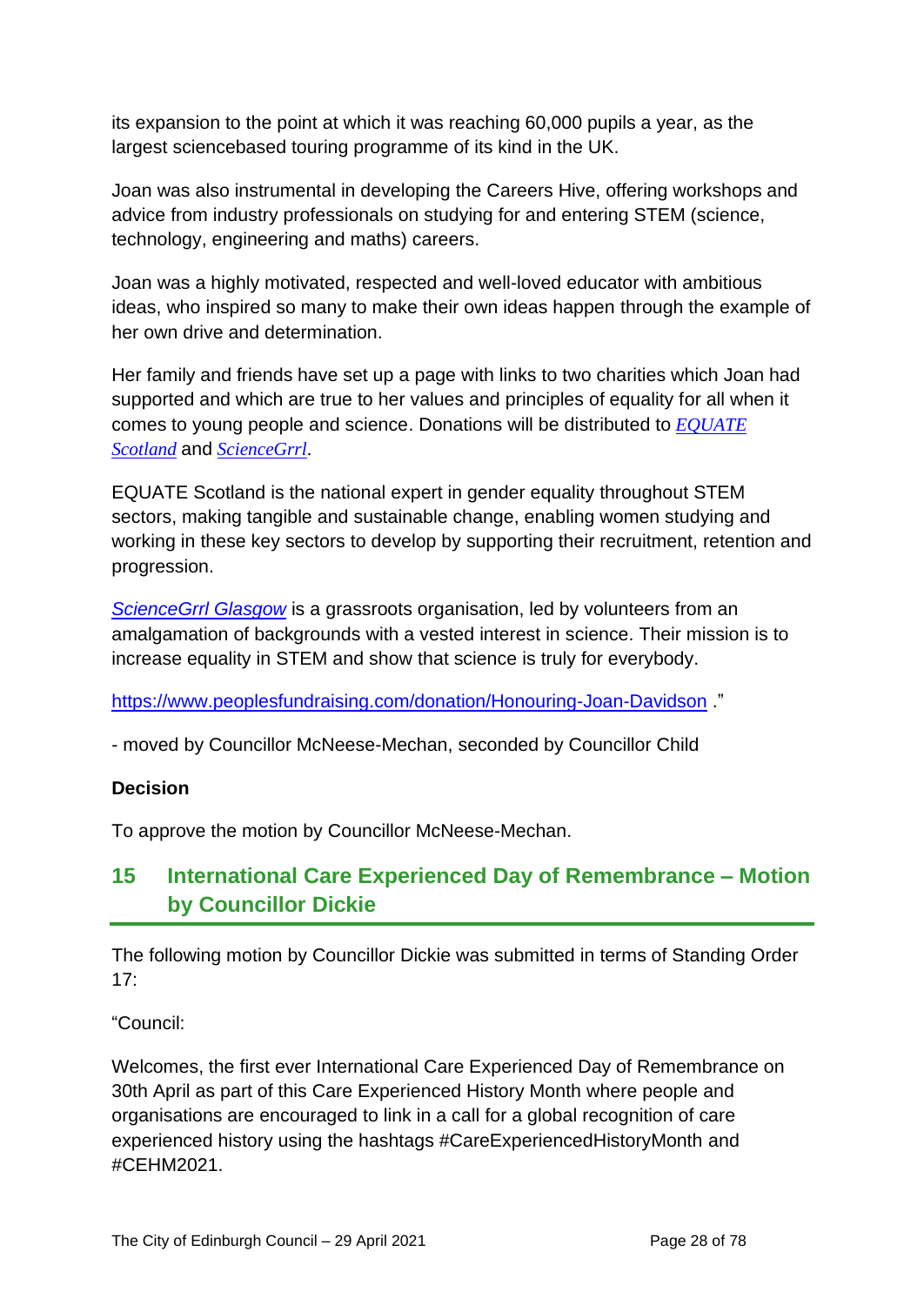its expansion to the point at which it was reaching 60,000 pupils a year, as the largest sciencebased touring programme of its kind in the UK.

Joan was also instrumental in developing the Careers Hive, offering workshops and advice from industry professionals on studying for and entering STEM (science, technology, engineering and maths) careers.

Joan was a highly motivated, respected and well-loved educator with ambitious ideas, who inspired so many to make their own ideas happen through the example of her own drive and determination.

Her family and friends have set up a page with links to two charities which Joan had supported and which are true to her values and principles of equality for all when it comes to young people and science. Donations will be distributed to *[EQUATE](https://equatescotland.org.uk/)  [Scotland](https://equatescotland.org.uk/)* and *[ScienceGrrl](https://sciencegrrl.co.uk/)*.

EQUATE Scotland is the national expert in gender equality throughout STEM sectors, making tangible and sustainable change, enabling women studying and working in these key sectors to develop by supporting their recruitment, retention and progression.

*[ScienceGrrl Glasgow](https://sciencegrrlglasgow.com/)* is a grassroots organisation, led by volunteers from an amalgamation of backgrounds with a vested interest in science. Their mission is to increase equality in STEM and show that science is truly for everybody.

<https://www.peoplesfundraising.com/donation/Honouring-Joan-Davidson> ."

- moved by Councillor McNeese-Mechan, seconded by Councillor Child

## **Decision**

To approve the motion by Councillor McNeese-Mechan.

# **15 International Care Experienced Day of Remembrance – Motion by Councillor Dickie**

The following motion by Councillor Dickie was submitted in terms of Standing Order  $17<sup>·</sup>$ 

"Council:

Welcomes, the first ever International Care Experienced Day of Remembrance on 30th April as part of this Care Experienced History Month where people and organisations are encouraged to link in a call for a global recognition of care experienced history using the hashtags #CareExperiencedHistoryMonth and #CEHM2021.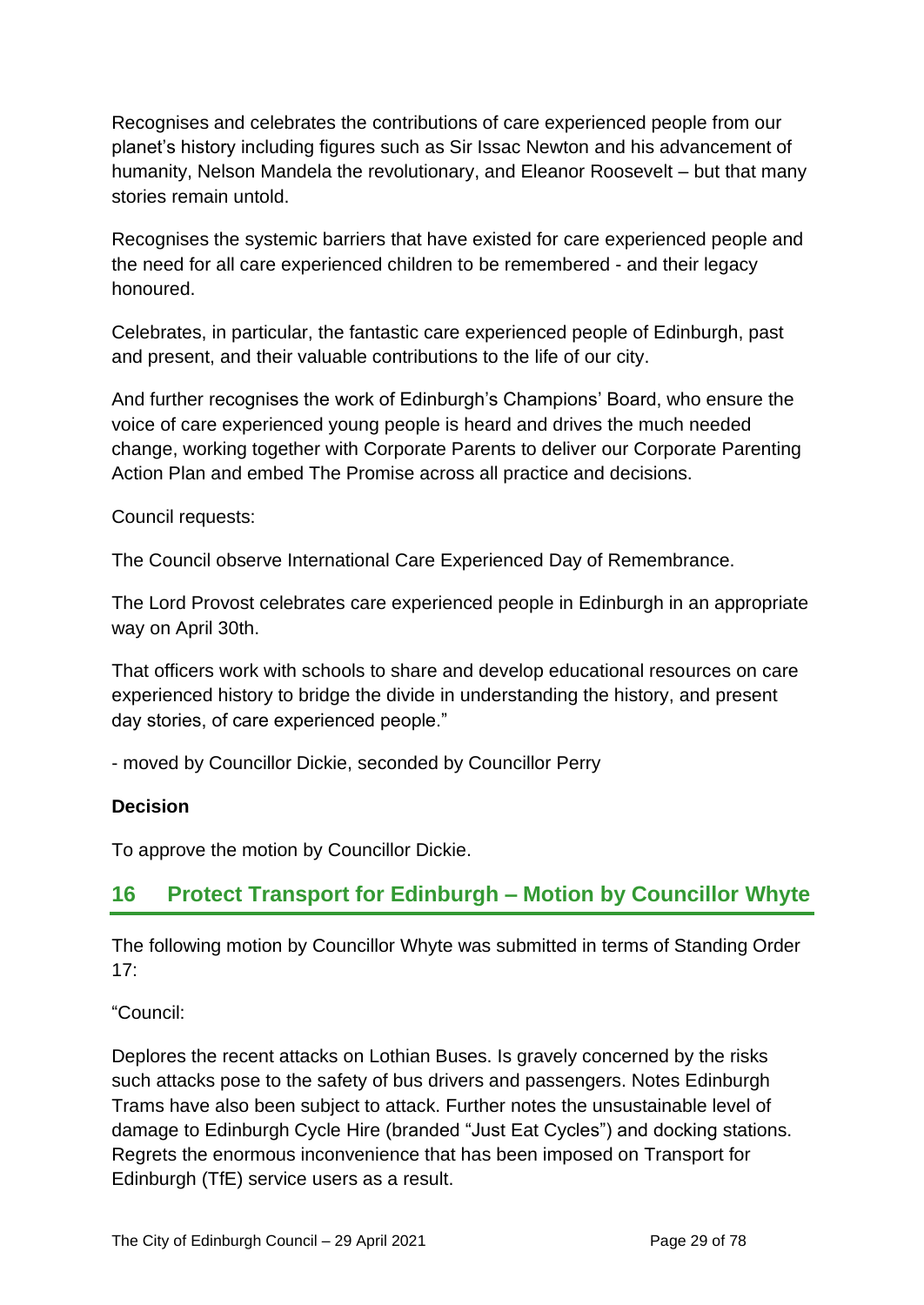Recognises and celebrates the contributions of care experienced people from our planet's history including figures such as Sir Issac Newton and his advancement of humanity, Nelson Mandela the revolutionary, and Eleanor Roosevelt – but that many stories remain untold.

Recognises the systemic barriers that have existed for care experienced people and the need for all care experienced children to be remembered - and their legacy honoured.

Celebrates, in particular, the fantastic care experienced people of Edinburgh, past and present, and their valuable contributions to the life of our city.

And further recognises the work of Edinburgh's Champions' Board, who ensure the voice of care experienced young people is heard and drives the much needed change, working together with Corporate Parents to deliver our Corporate Parenting Action Plan and embed The Promise across all practice and decisions.

Council requests:

The Council observe International Care Experienced Day of Remembrance.

The Lord Provost celebrates care experienced people in Edinburgh in an appropriate way on April 30th.

That officers work with schools to share and develop educational resources on care experienced history to bridge the divide in understanding the history, and present day stories, of care experienced people."

- moved by Councillor Dickie, seconded by Councillor Perry

## **Decision**

To approve the motion by Councillor Dickie.

# **16 Protect Transport for Edinburgh – Motion by Councillor Whyte**

The following motion by Councillor Whyte was submitted in terms of Standing Order 17:

"Council:

Deplores the recent attacks on Lothian Buses. Is gravely concerned by the risks such attacks pose to the safety of bus drivers and passengers. Notes Edinburgh Trams have also been subject to attack. Further notes the unsustainable level of damage to Edinburgh Cycle Hire (branded "Just Eat Cycles") and docking stations. Regrets the enormous inconvenience that has been imposed on Transport for Edinburgh (TfE) service users as a result.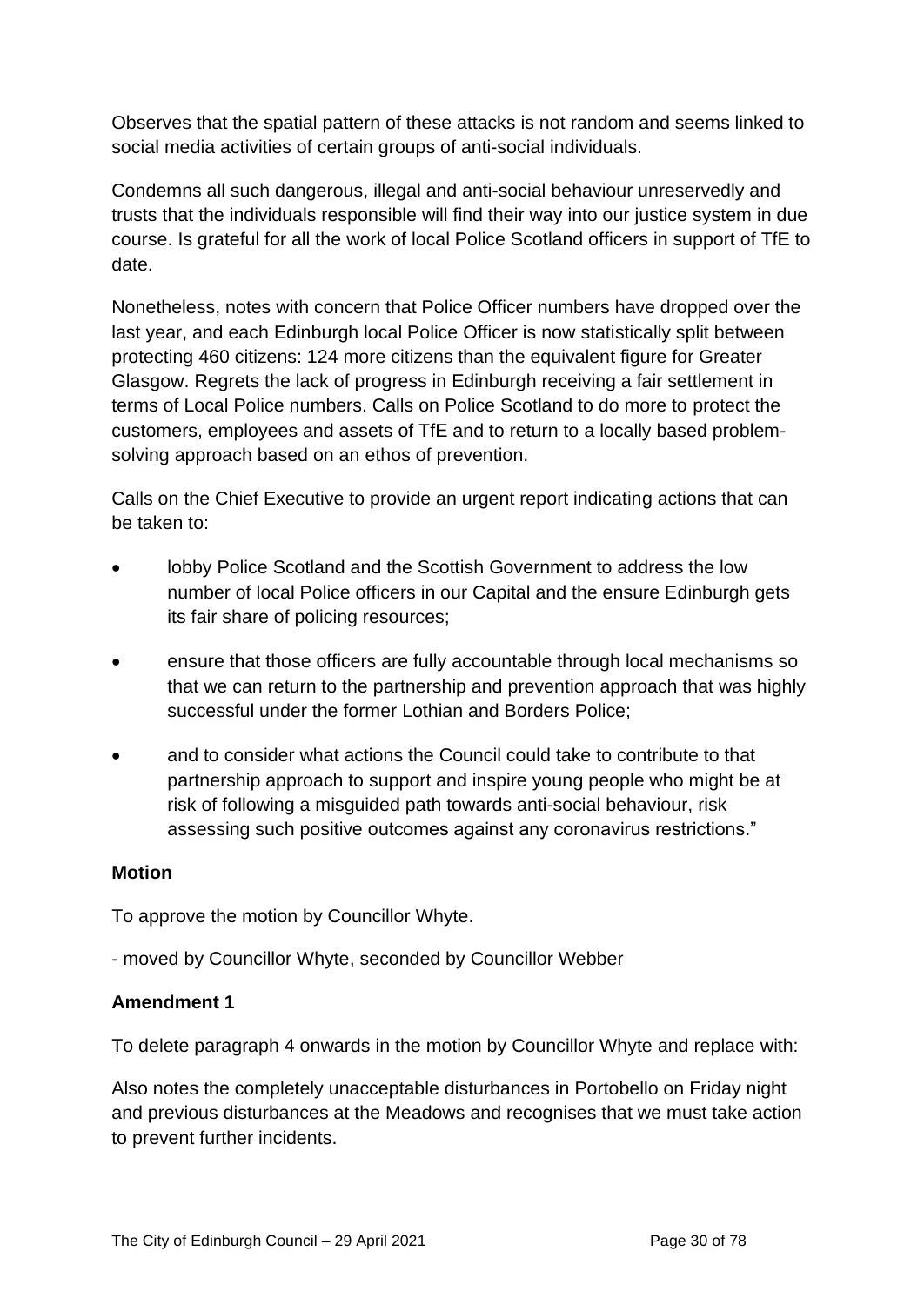Observes that the spatial pattern of these attacks is not random and seems linked to social media activities of certain groups of anti-social individuals.

Condemns all such dangerous, illegal and anti-social behaviour unreservedly and trusts that the individuals responsible will find their way into our justice system in due course. Is grateful for all the work of local Police Scotland officers in support of TfE to date.

Nonetheless, notes with concern that Police Officer numbers have dropped over the last year, and each Edinburgh local Police Officer is now statistically split between protecting 460 citizens: 124 more citizens than the equivalent figure for Greater Glasgow. Regrets the lack of progress in Edinburgh receiving a fair settlement in terms of Local Police numbers. Calls on Police Scotland to do more to protect the customers, employees and assets of TfE and to return to a locally based problemsolving approach based on an ethos of prevention.

Calls on the Chief Executive to provide an urgent report indicating actions that can be taken to:

- lobby Police Scotland and the Scottish Government to address the low number of local Police officers in our Capital and the ensure Edinburgh gets its fair share of policing resources;
- ensure that those officers are fully accountable through local mechanisms so that we can return to the partnership and prevention approach that was highly successful under the former Lothian and Borders Police;
- and to consider what actions the Council could take to contribute to that partnership approach to support and inspire young people who might be at risk of following a misguided path towards anti-social behaviour, risk assessing such positive outcomes against any coronavirus restrictions."

#### **Motion**

To approve the motion by Councillor Whyte.

- moved by Councillor Whyte, seconded by Councillor Webber

## **Amendment 1**

To delete paragraph 4 onwards in the motion by Councillor Whyte and replace with:

Also notes the completely unacceptable disturbances in Portobello on Friday night and previous disturbances at the Meadows and recognises that we must take action to prevent further incidents.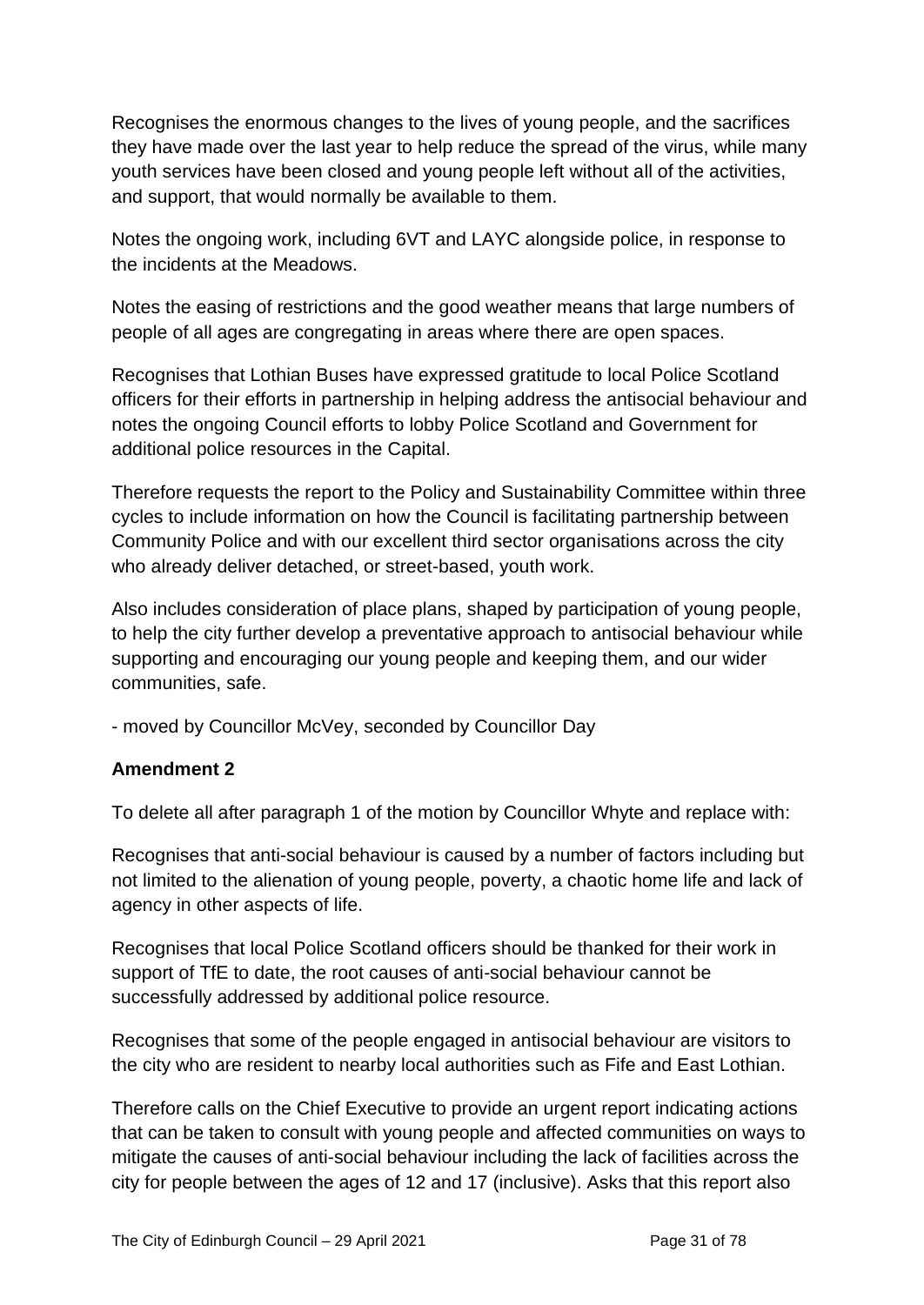Recognises the enormous changes to the lives of young people, and the sacrifices they have made over the last year to help reduce the spread of the virus, while many youth services have been closed and young people left without all of the activities, and support, that would normally be available to them.

Notes the ongoing work, including 6VT and LAYC alongside police, in response to the incidents at the Meadows.

Notes the easing of restrictions and the good weather means that large numbers of people of all ages are congregating in areas where there are open spaces.

Recognises that Lothian Buses have expressed gratitude to local Police Scotland officers for their efforts in partnership in helping address the antisocial behaviour and notes the ongoing Council efforts to lobby Police Scotland and Government for additional police resources in the Capital.

Therefore requests the report to the Policy and Sustainability Committee within three cycles to include information on how the Council is facilitating partnership between Community Police and with our excellent third sector organisations across the city who already deliver detached, or street-based, youth work.

Also includes consideration of place plans, shaped by participation of young people, to help the city further develop a preventative approach to antisocial behaviour while supporting and encouraging our young people and keeping them, and our wider communities, safe.

- moved by Councillor McVey, seconded by Councillor Day

## **Amendment 2**

To delete all after paragraph 1 of the motion by Councillor Whyte and replace with:

Recognises that anti-social behaviour is caused by a number of factors including but not limited to the alienation of young people, poverty, a chaotic home life and lack of agency in other aspects of life.

Recognises that local Police Scotland officers should be thanked for their work in support of TfE to date, the root causes of anti-social behaviour cannot be successfully addressed by additional police resource.

Recognises that some of the people engaged in antisocial behaviour are visitors to the city who are resident to nearby local authorities such as Fife and East Lothian.

Therefore calls on the Chief Executive to provide an urgent report indicating actions that can be taken to consult with young people and affected communities on ways to mitigate the causes of anti-social behaviour including the lack of facilities across the city for people between the ages of 12 and 17 (inclusive). Asks that this report also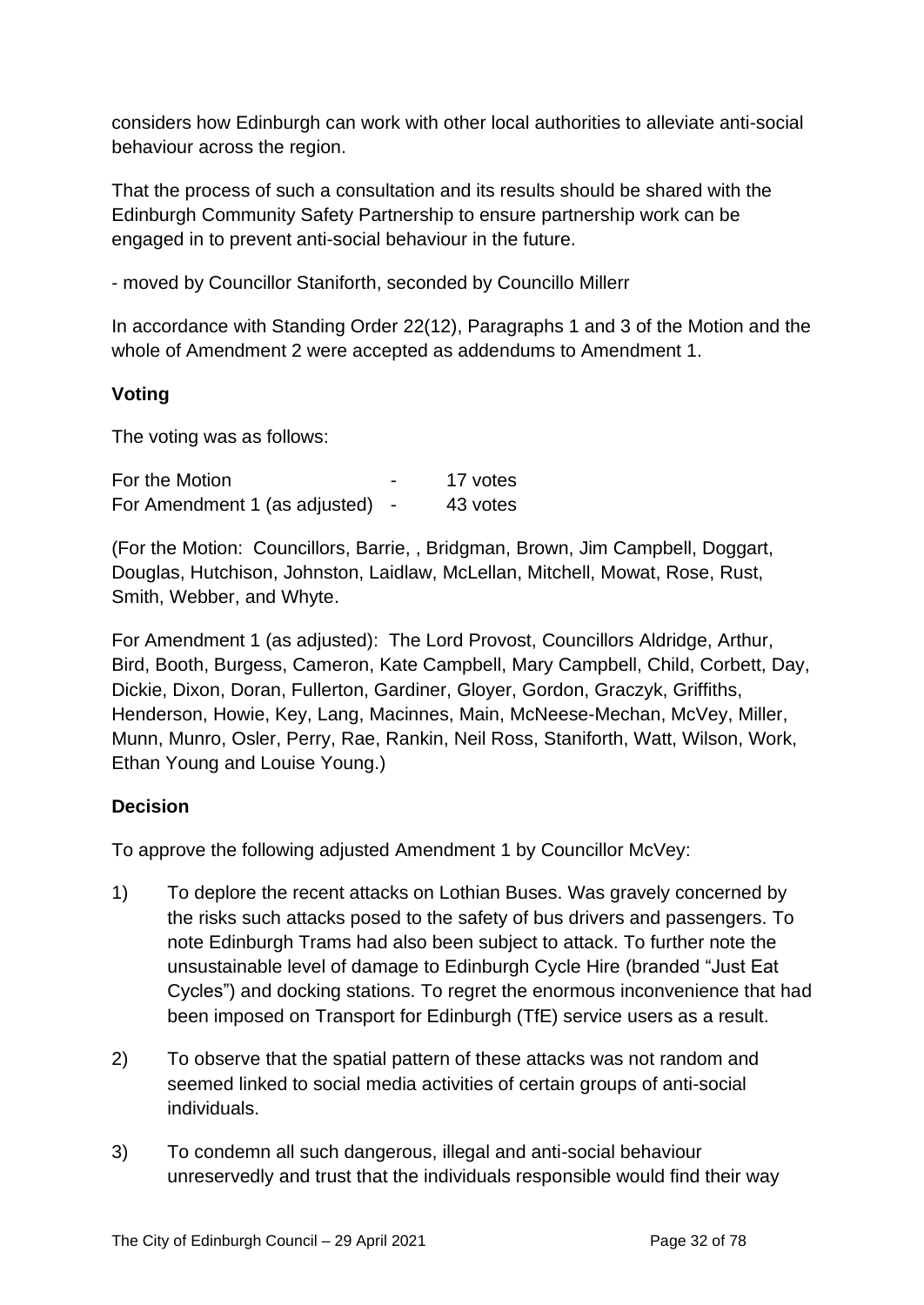considers how Edinburgh can work with other local authorities to alleviate anti-social behaviour across the region.

That the process of such a consultation and its results should be shared with the Edinburgh Community Safety Partnership to ensure partnership work can be engaged in to prevent anti-social behaviour in the future.

- moved by Councillor Staniforth, seconded by Councillo Millerr

In accordance with Standing Order 22(12), Paragraphs 1 and 3 of the Motion and the whole of Amendment 2 were accepted as addendums to Amendment 1.

## **Voting**

The voting was as follows:

| For the Motion                | 17 votes |
|-------------------------------|----------|
| For Amendment 1 (as adjusted) | 43 votes |

(For the Motion: Councillors, Barrie, , Bridgman, Brown, Jim Campbell, Doggart, Douglas, Hutchison, Johnston, Laidlaw, McLellan, Mitchell, Mowat, Rose, Rust, Smith, Webber, and Whyte.

For Amendment 1 (as adjusted): The Lord Provost, Councillors Aldridge, Arthur, Bird, Booth, Burgess, Cameron, Kate Campbell, Mary Campbell, Child, Corbett, Day, Dickie, Dixon, Doran, Fullerton, Gardiner, Gloyer, Gordon, Graczyk, Griffiths, Henderson, Howie, Key, Lang, Macinnes, Main, McNeese-Mechan, McVey, Miller, Munn, Munro, Osler, Perry, Rae, Rankin, Neil Ross, Staniforth, Watt, Wilson, Work, Ethan Young and Louise Young.)

## **Decision**

To approve the following adjusted Amendment 1 by Councillor McVey:

- 1) To deplore the recent attacks on Lothian Buses. Was gravely concerned by the risks such attacks posed to the safety of bus drivers and passengers. To note Edinburgh Trams had also been subject to attack. To further note the unsustainable level of damage to Edinburgh Cycle Hire (branded "Just Eat Cycles") and docking stations. To regret the enormous inconvenience that had been imposed on Transport for Edinburgh (TfE) service users as a result.
- 2) To observe that the spatial pattern of these attacks was not random and seemed linked to social media activities of certain groups of anti-social individuals.
- 3) To condemn all such dangerous, illegal and anti-social behaviour unreservedly and trust that the individuals responsible would find their way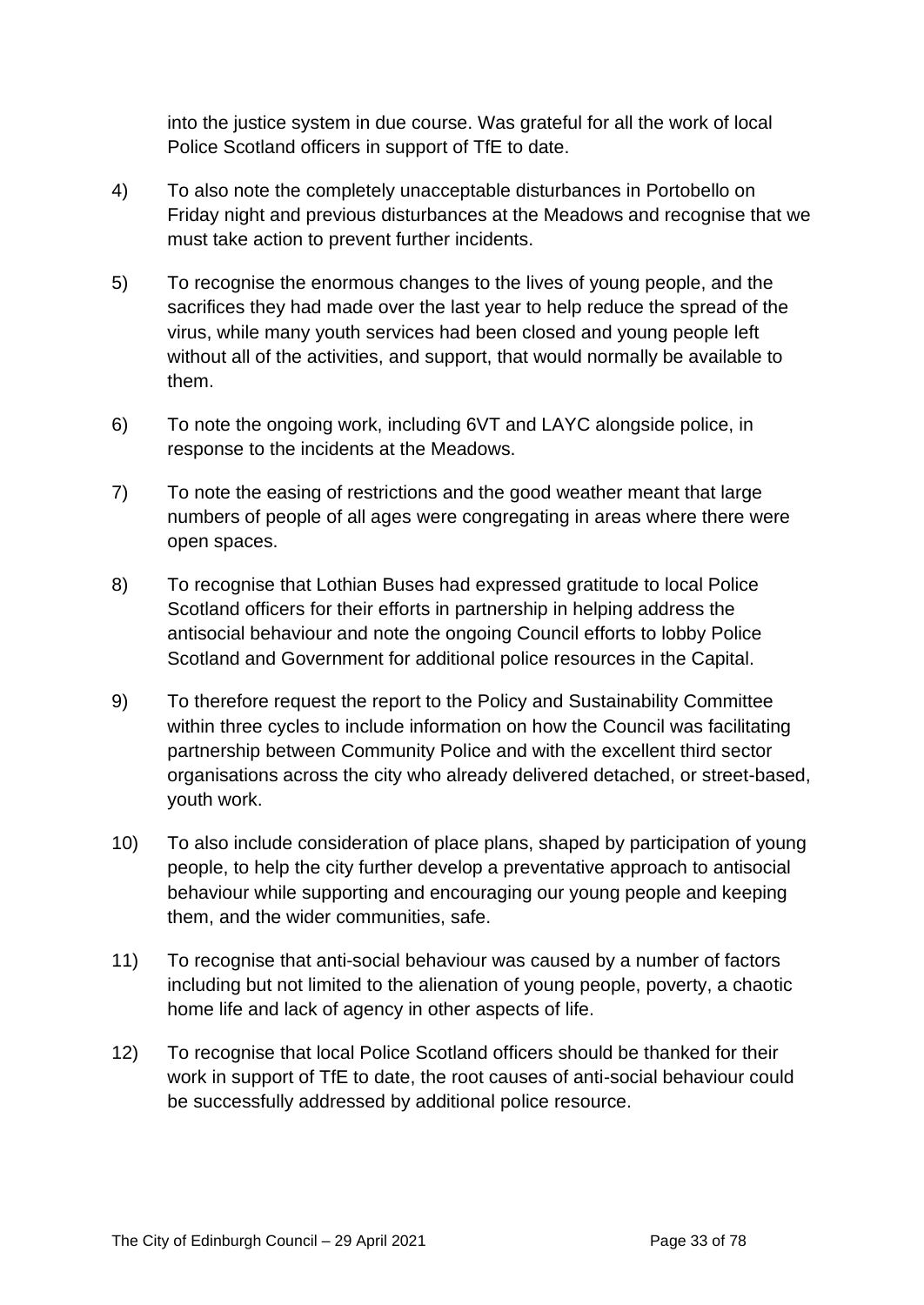into the justice system in due course. Was grateful for all the work of local Police Scotland officers in support of TfE to date.

- 4) To also note the completely unacceptable disturbances in Portobello on Friday night and previous disturbances at the Meadows and recognise that we must take action to prevent further incidents.
- 5) To recognise the enormous changes to the lives of young people, and the sacrifices they had made over the last year to help reduce the spread of the virus, while many youth services had been closed and young people left without all of the activities, and support, that would normally be available to them.
- 6) To note the ongoing work, including 6VT and LAYC alongside police, in response to the incidents at the Meadows.
- 7) To note the easing of restrictions and the good weather meant that large numbers of people of all ages were congregating in areas where there were open spaces.
- 8) To recognise that Lothian Buses had expressed gratitude to local Police Scotland officers for their efforts in partnership in helping address the antisocial behaviour and note the ongoing Council efforts to lobby Police Scotland and Government for additional police resources in the Capital.
- 9) To therefore request the report to the Policy and Sustainability Committee within three cycles to include information on how the Council was facilitating partnership between Community Police and with the excellent third sector organisations across the city who already delivered detached, or street-based, youth work.
- 10) To also include consideration of place plans, shaped by participation of young people, to help the city further develop a preventative approach to antisocial behaviour while supporting and encouraging our young people and keeping them, and the wider communities, safe.
- 11) To recognise that anti-social behaviour was caused by a number of factors including but not limited to the alienation of young people, poverty, a chaotic home life and lack of agency in other aspects of life.
- 12) To recognise that local Police Scotland officers should be thanked for their work in support of TfE to date, the root causes of anti-social behaviour could be successfully addressed by additional police resource.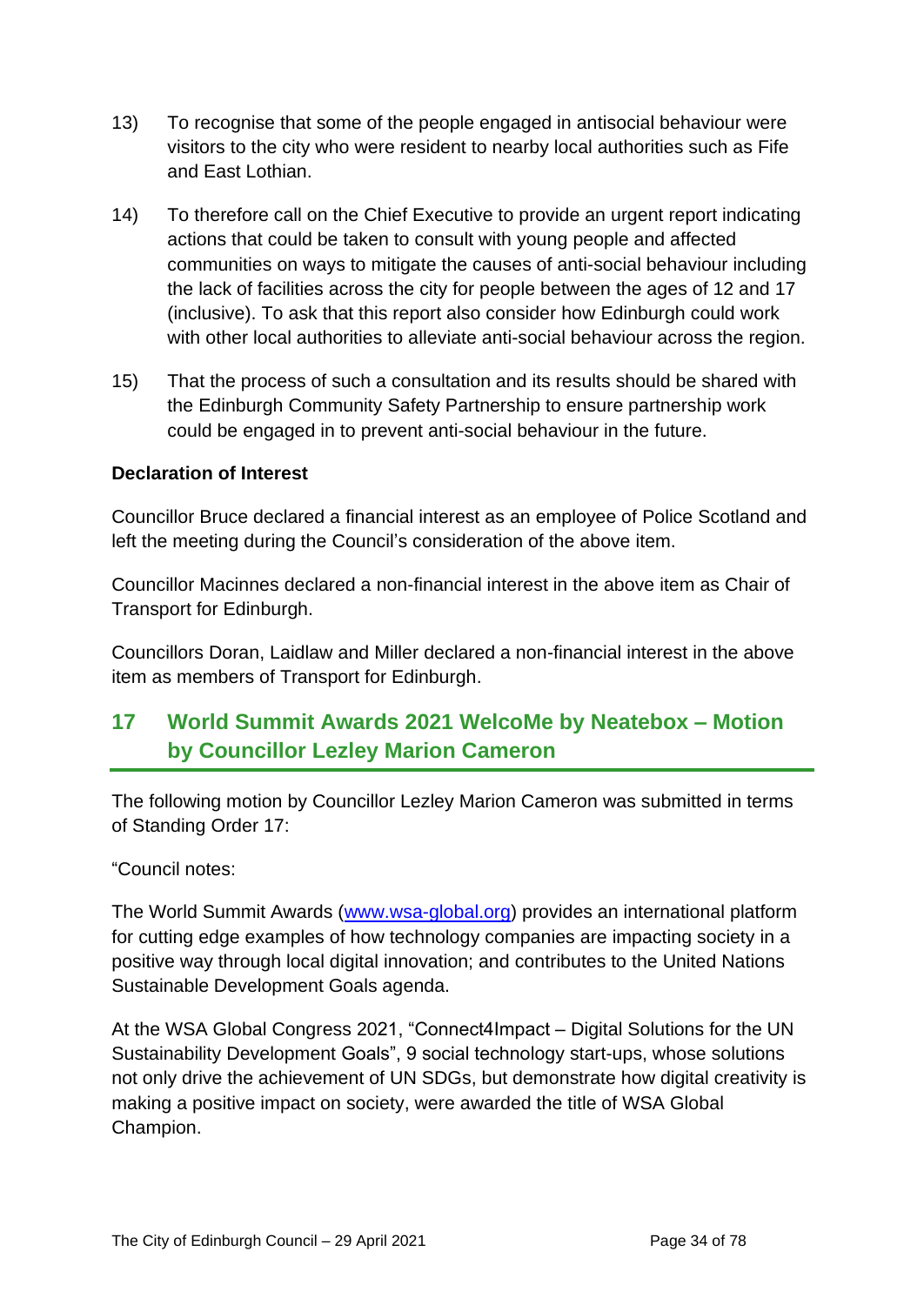- 13) To recognise that some of the people engaged in antisocial behaviour were visitors to the city who were resident to nearby local authorities such as Fife and East Lothian.
- 14) To therefore call on the Chief Executive to provide an urgent report indicating actions that could be taken to consult with young people and affected communities on ways to mitigate the causes of anti-social behaviour including the lack of facilities across the city for people between the ages of 12 and 17 (inclusive). To ask that this report also consider how Edinburgh could work with other local authorities to alleviate anti-social behaviour across the region.
- 15) That the process of such a consultation and its results should be shared with the Edinburgh Community Safety Partnership to ensure partnership work could be engaged in to prevent anti-social behaviour in the future.

## **Declaration of Interest**

Councillor Bruce declared a financial interest as an employee of Police Scotland and left the meeting during the Council's consideration of the above item.

Councillor Macinnes declared a non-financial interest in the above item as Chair of Transport for Edinburgh.

Councillors Doran, Laidlaw and Miller declared a non-financial interest in the above item as members of Transport for Edinburgh.

# **17 World Summit Awards 2021 WelcoMe by Neatebox – Motion by Councillor Lezley Marion Cameron**

The following motion by Councillor Lezley Marion Cameron was submitted in terms of Standing Order 17:

"Council notes:

The World Summit Awards [\(www.wsa-global.org\)](http://www.wsa-global.org/) provides an international platform for cutting edge examples of how technology companies are impacting society in a positive way through local digital innovation; and contributes to the United Nations Sustainable Development Goals agenda.

At the WSA Global Congress 2021, "Connect4Impact – Digital Solutions for the UN Sustainability Development Goals", 9 social technology start-ups, whose solutions not only drive the achievement of UN SDGs, but demonstrate how digital creativity is making a positive impact on society, were awarded the title of WSA Global Champion.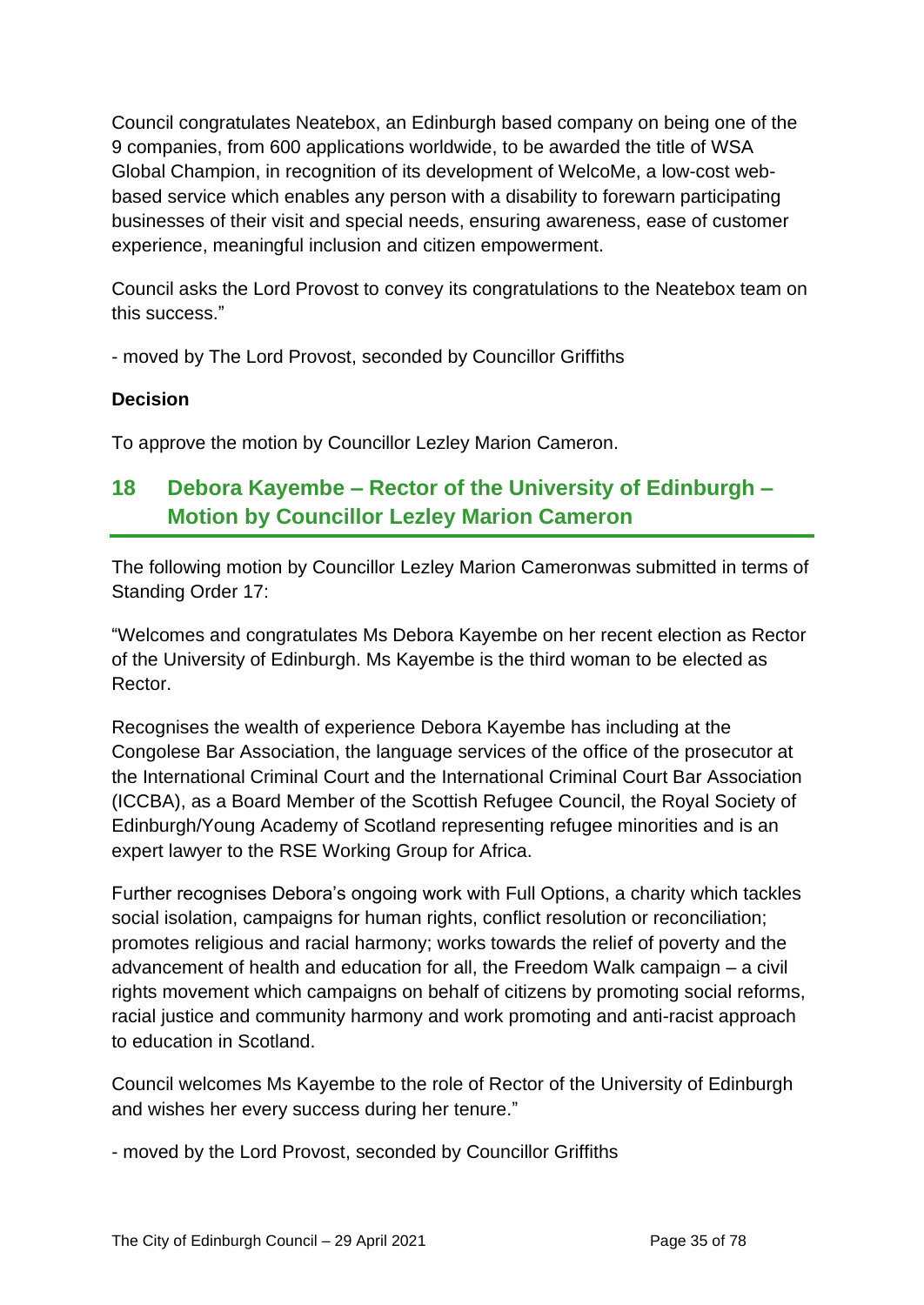Council congratulates Neatebox, an Edinburgh based company on being one of the 9 companies, from 600 applications worldwide, to be awarded the title of WSA Global Champion, in recognition of its development of WelcoMe, a low-cost webbased service which enables any person with a disability to forewarn participating businesses of their visit and special needs, ensuring awareness, ease of customer experience, meaningful inclusion and citizen empowerment.

Council asks the Lord Provost to convey its congratulations to the Neatebox team on this success."

- moved by The Lord Provost, seconded by Councillor Griffiths

# **Decision**

To approve the motion by Councillor Lezley Marion Cameron.

# **18 Debora Kayembe – Rector of the University of Edinburgh – Motion by Councillor Lezley Marion Cameron**

The following motion by Councillor Lezley Marion Cameronwas submitted in terms of Standing Order 17:

"Welcomes and congratulates Ms Debora Kayembe on her recent election as Rector of the University of Edinburgh. Ms Kayembe is the third woman to be elected as Rector.

Recognises the wealth of experience Debora Kayembe has including at the Congolese Bar Association, the language services of the office of the prosecutor at the International Criminal Court and the International Criminal Court Bar Association (ICCBA), as a Board Member of the Scottish Refugee Council, the Royal Society of Edinburgh/Young Academy of Scotland representing refugee minorities and is an expert lawyer to the RSE Working Group for Africa.

Further recognises Debora's ongoing work with Full Options, a charity which tackles social isolation, campaigns for human rights, conflict resolution or reconciliation; promotes religious and racial harmony; works towards the relief of poverty and the advancement of health and education for all, the Freedom Walk campaign – a civil rights movement which campaigns on behalf of citizens by promoting social reforms, racial justice and community harmony and work promoting and anti-racist approach to education in Scotland.

Council welcomes Ms Kayembe to the role of Rector of the University of Edinburgh and wishes her every success during her tenure."

- moved by the Lord Provost, seconded by Councillor Griffiths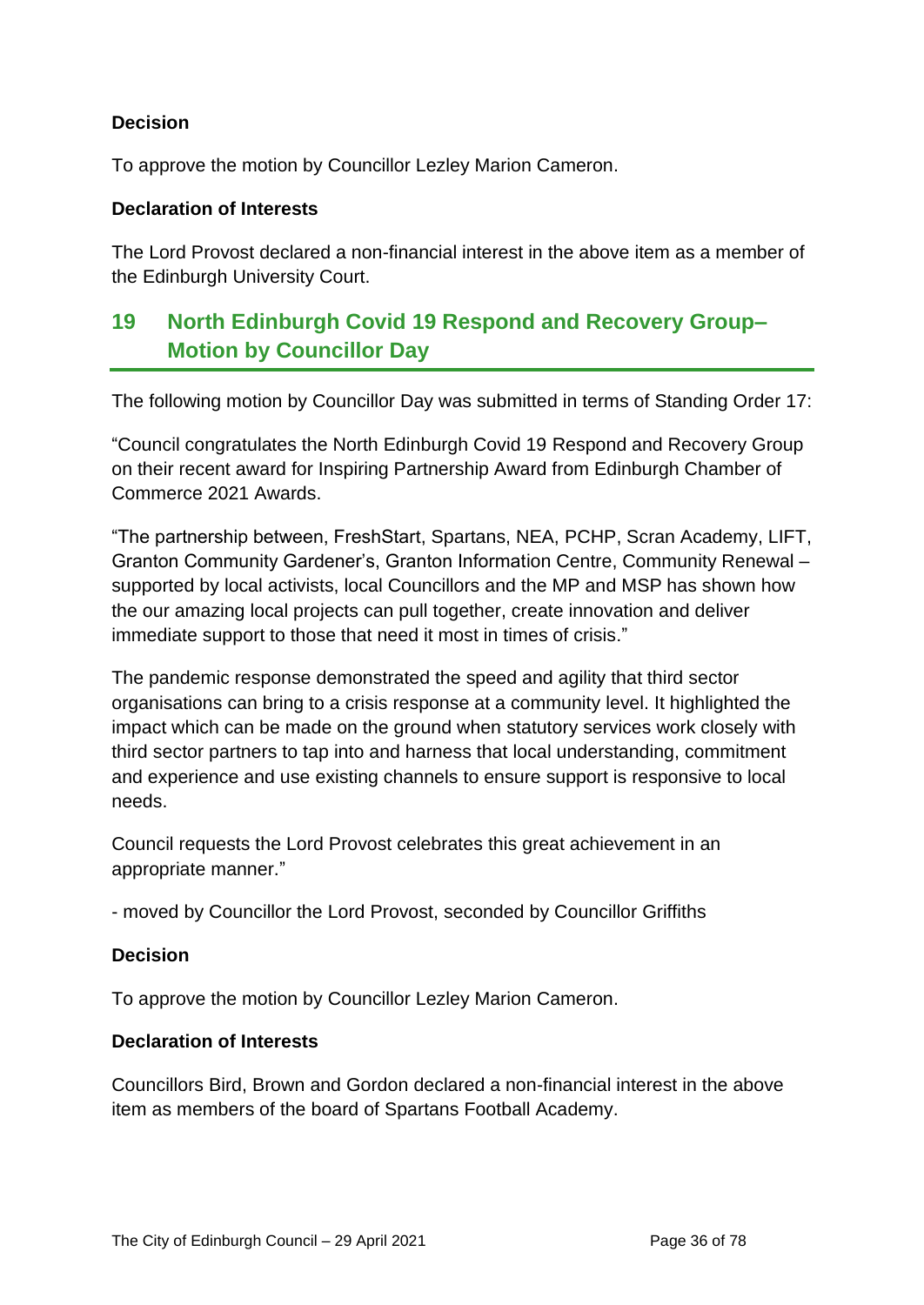# **Decision**

To approve the motion by Councillor Lezley Marion Cameron.

#### **Declaration of Interests**

The Lord Provost declared a non-financial interest in the above item as a member of the Edinburgh University Court.

# **19 North Edinburgh Covid 19 Respond and Recovery Group– Motion by Councillor Day**

The following motion by Councillor Day was submitted in terms of Standing Order 17:

"Council congratulates the North Edinburgh Covid 19 Respond and Recovery Group on their recent award for Inspiring Partnership Award from Edinburgh Chamber of Commerce 2021 Awards.

"The partnership between, FreshStart, Spartans, NEA, PCHP, Scran Academy, LIFT, Granton Community Gardener's, Granton Information Centre, Community Renewal – supported by local activists, local Councillors and the MP and MSP has shown how the our amazing local projects can pull together, create innovation and deliver immediate support to those that need it most in times of crisis."

The pandemic response demonstrated the speed and agility that third sector organisations can bring to a crisis response at a community level. It highlighted the impact which can be made on the ground when statutory services work closely with third sector partners to tap into and harness that local understanding, commitment and experience and use existing channels to ensure support is responsive to local needs.

Council requests the Lord Provost celebrates this great achievement in an appropriate manner."

- moved by Councillor the Lord Provost, seconded by Councillor Griffiths

## **Decision**

To approve the motion by Councillor Lezley Marion Cameron.

#### **Declaration of Interests**

Councillors Bird, Brown and Gordon declared a non-financial interest in the above item as members of the board of Spartans Football Academy.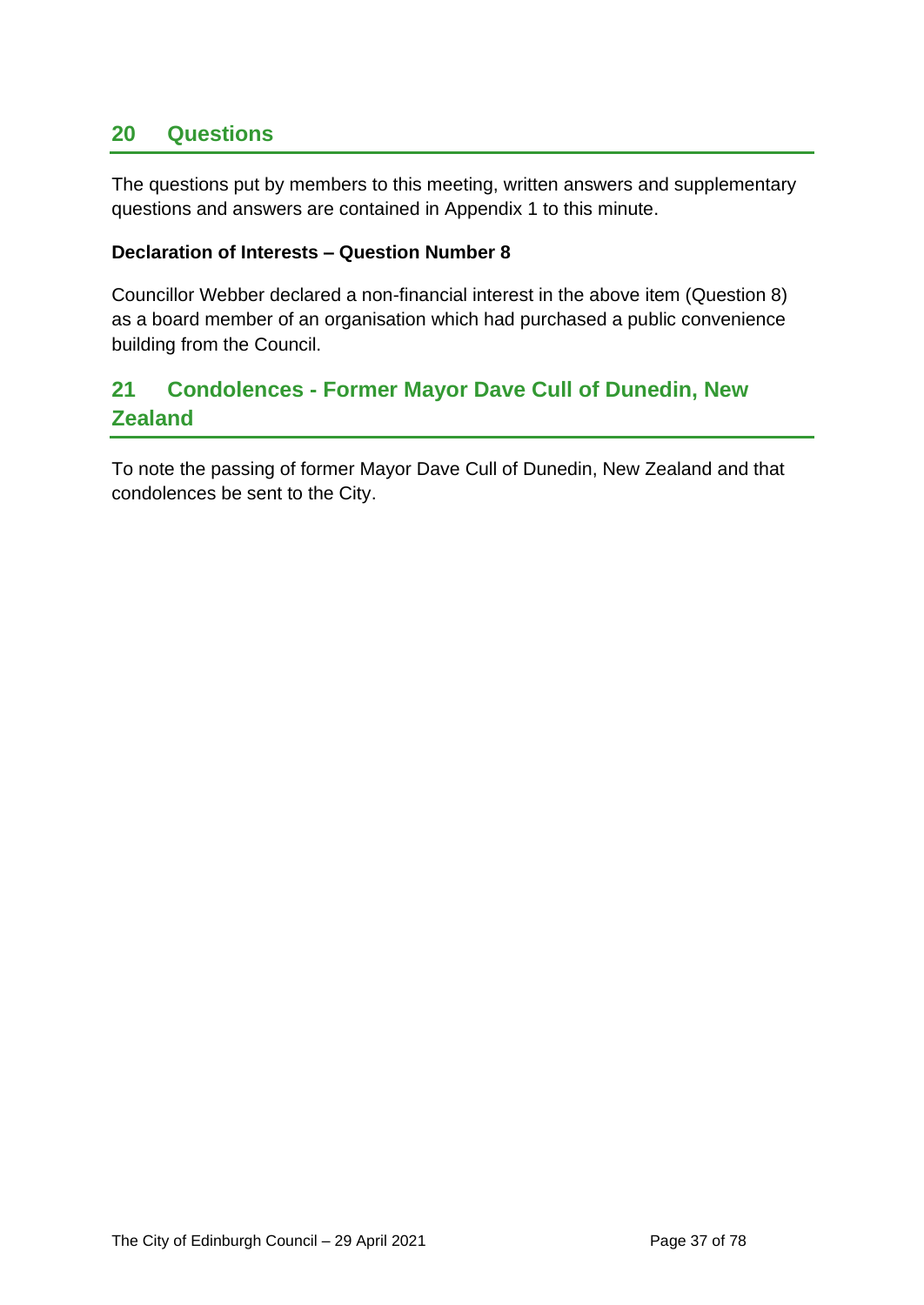# **20 Questions**

The questions put by members to this meeting, written answers and supplementary questions and answers are contained in Appendix 1 to this minute.

### **Declaration of Interests – Question Number 8**

Councillor Webber declared a non-financial interest in the above item (Question 8) as a board member of an organisation which had purchased a public convenience building from the Council.

# **21 Condolences - Former Mayor Dave Cull of Dunedin, New Zealand**

To note the passing of former Mayor Dave Cull of Dunedin, New Zealand and that condolences be sent to the City.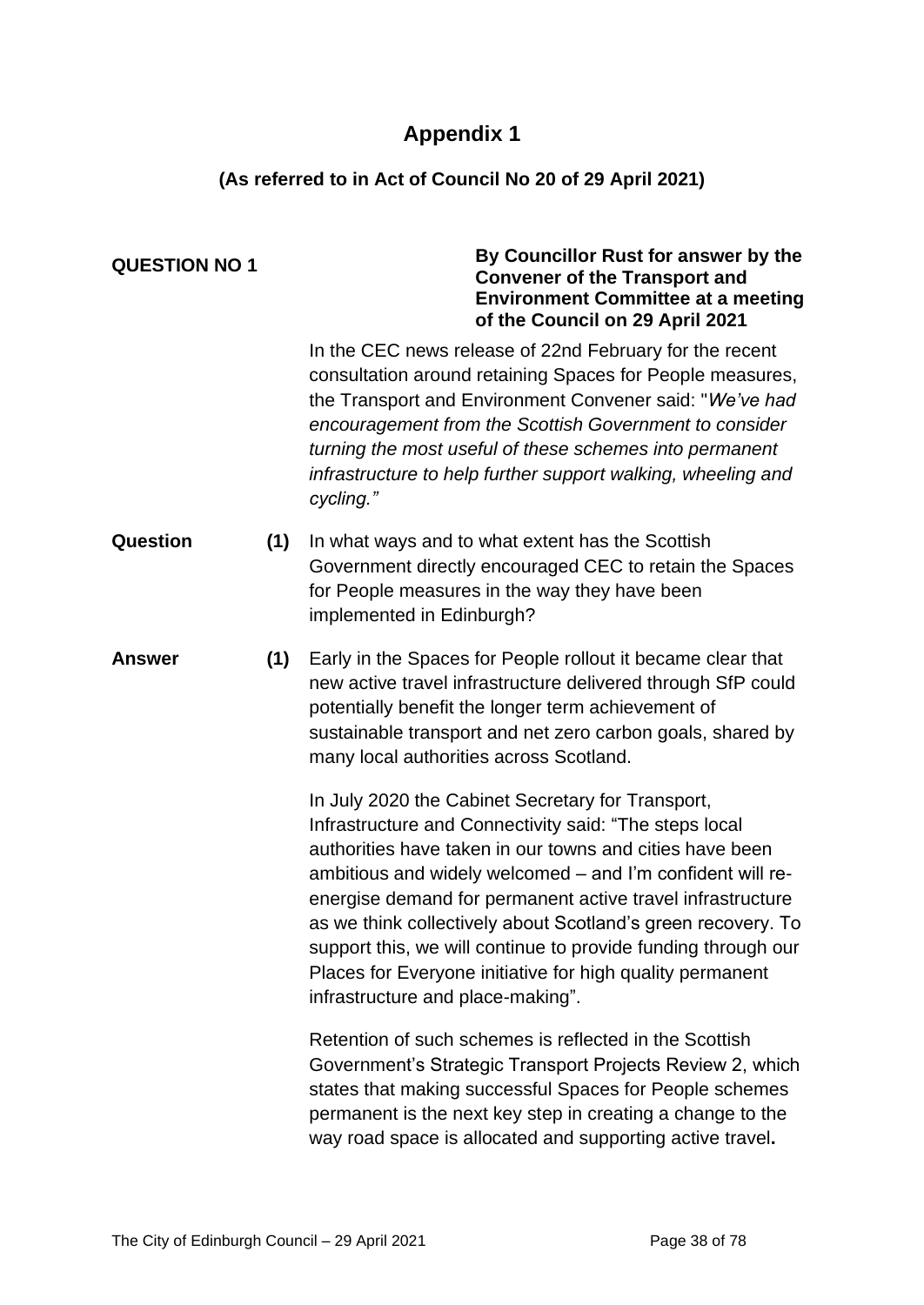# **Appendix 1**

### **(As referred to in Act of Council No 20 of 29 April 2021)**

| <b>QUESTION NO 1</b> |     | By Councillor Rust for answer by the<br><b>Convener of the Transport and</b><br><b>Environment Committee at a meeting</b><br>of the Council on 29 April 2021                                                                                                                                                                                                                                                                                                                                                                           |
|----------------------|-----|----------------------------------------------------------------------------------------------------------------------------------------------------------------------------------------------------------------------------------------------------------------------------------------------------------------------------------------------------------------------------------------------------------------------------------------------------------------------------------------------------------------------------------------|
|                      |     | In the CEC news release of 22nd February for the recent<br>consultation around retaining Spaces for People measures,<br>the Transport and Environment Convener said: "We've had<br>encouragement from the Scottish Government to consider<br>turning the most useful of these schemes into permanent<br>infrastructure to help further support walking, wheeling and<br>cycling."                                                                                                                                                      |
| Question             | (1) | In what ways and to what extent has the Scottish<br>Government directly encouraged CEC to retain the Spaces<br>for People measures in the way they have been<br>implemented in Edinburgh?                                                                                                                                                                                                                                                                                                                                              |
| <b>Answer</b>        | (1) | Early in the Spaces for People rollout it became clear that<br>new active travel infrastructure delivered through SfP could<br>potentially benefit the longer term achievement of<br>sustainable transport and net zero carbon goals, shared by<br>many local authorities across Scotland.                                                                                                                                                                                                                                             |
|                      |     | In July 2020 the Cabinet Secretary for Transport,<br>Infrastructure and Connectivity said: "The steps local<br>authorities have taken in our towns and cities have been<br>ambitious and widely welcomed – and I'm confident will re-<br>energise demand for permanent active travel infrastructure<br>as we think collectively about Scotland's green recovery. To<br>support this, we will continue to provide funding through our<br>Places for Everyone initiative for high quality permanent<br>infrastructure and place-making". |
|                      |     | Retention of such schemes is reflected in the Scottish<br>Government's Strategic Transport Projects Review 2, which<br>states that making successful Spaces for People schemes<br>permanent is the next key step in creating a change to the<br>way road space is allocated and supporting active travel.                                                                                                                                                                                                                              |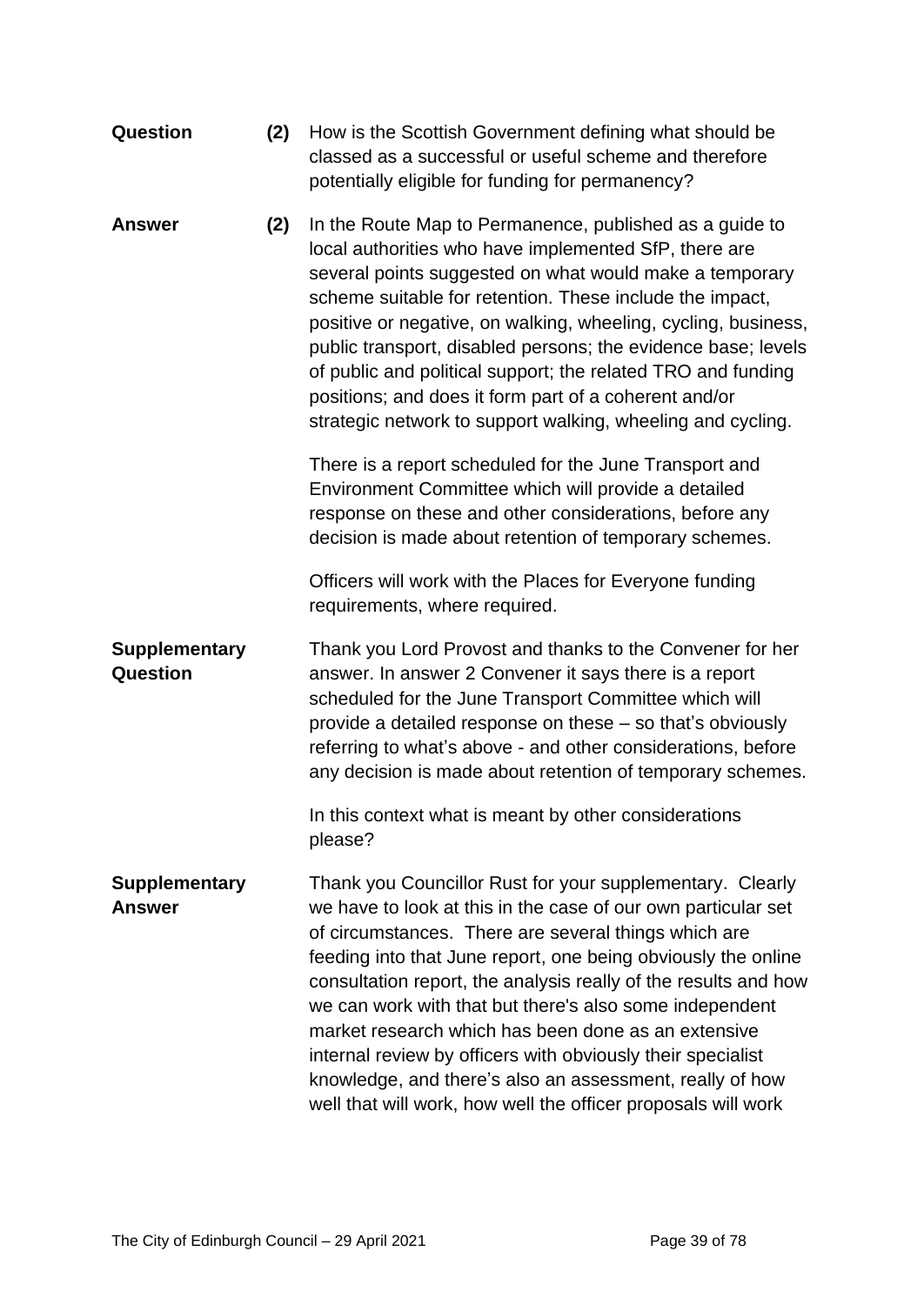| Question                              | (2) | How is the Scottish Government defining what should be<br>classed as a successful or useful scheme and therefore<br>potentially eligible for funding for permanency?                                                                                                                                                                                                                                                                                                                                                                                                                                                                 |
|---------------------------------------|-----|--------------------------------------------------------------------------------------------------------------------------------------------------------------------------------------------------------------------------------------------------------------------------------------------------------------------------------------------------------------------------------------------------------------------------------------------------------------------------------------------------------------------------------------------------------------------------------------------------------------------------------------|
| <b>Answer</b>                         | (2) | In the Route Map to Permanence, published as a guide to<br>local authorities who have implemented SfP, there are<br>several points suggested on what would make a temporary<br>scheme suitable for retention. These include the impact,<br>positive or negative, on walking, wheeling, cycling, business,<br>public transport, disabled persons; the evidence base; levels<br>of public and political support; the related TRO and funding<br>positions; and does it form part of a coherent and/or<br>strategic network to support walking, wheeling and cycling.                                                                   |
|                                       |     | There is a report scheduled for the June Transport and<br>Environment Committee which will provide a detailed<br>response on these and other considerations, before any<br>decision is made about retention of temporary schemes.                                                                                                                                                                                                                                                                                                                                                                                                    |
|                                       |     | Officers will work with the Places for Everyone funding<br>requirements, where required.                                                                                                                                                                                                                                                                                                                                                                                                                                                                                                                                             |
| <b>Supplementary</b><br>Question      |     | Thank you Lord Provost and thanks to the Convener for her<br>answer. In answer 2 Convener it says there is a report<br>scheduled for the June Transport Committee which will<br>provide a detailed response on these – so that's obviously<br>referring to what's above - and other considerations, before<br>any decision is made about retention of temporary schemes.                                                                                                                                                                                                                                                             |
|                                       |     | In this context what is meant by other considerations<br>please?                                                                                                                                                                                                                                                                                                                                                                                                                                                                                                                                                                     |
| <b>Supplementary</b><br><b>Answer</b> |     | Thank you Councillor Rust for your supplementary. Clearly<br>we have to look at this in the case of our own particular set<br>of circumstances. There are several things which are<br>feeding into that June report, one being obviously the online<br>consultation report, the analysis really of the results and how<br>we can work with that but there's also some independent<br>market research which has been done as an extensive<br>internal review by officers with obviously their specialist<br>knowledge, and there's also an assessment, really of how<br>well that will work, how well the officer proposals will work |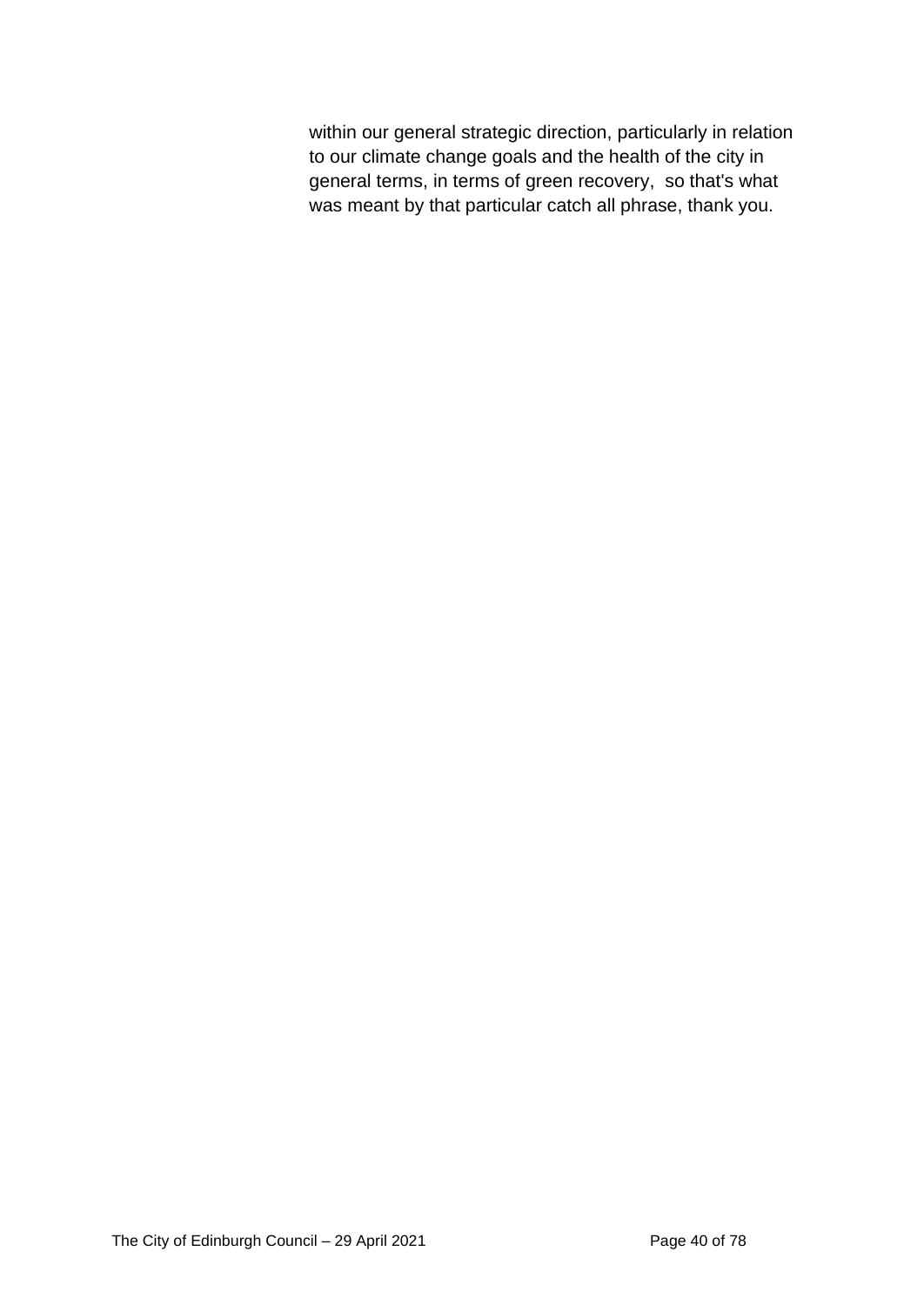within our general strategic direction, particularly in relation to our climate change goals and the health of the city in general terms, in terms of green recovery, so that's what was meant by that particular catch all phrase, thank you.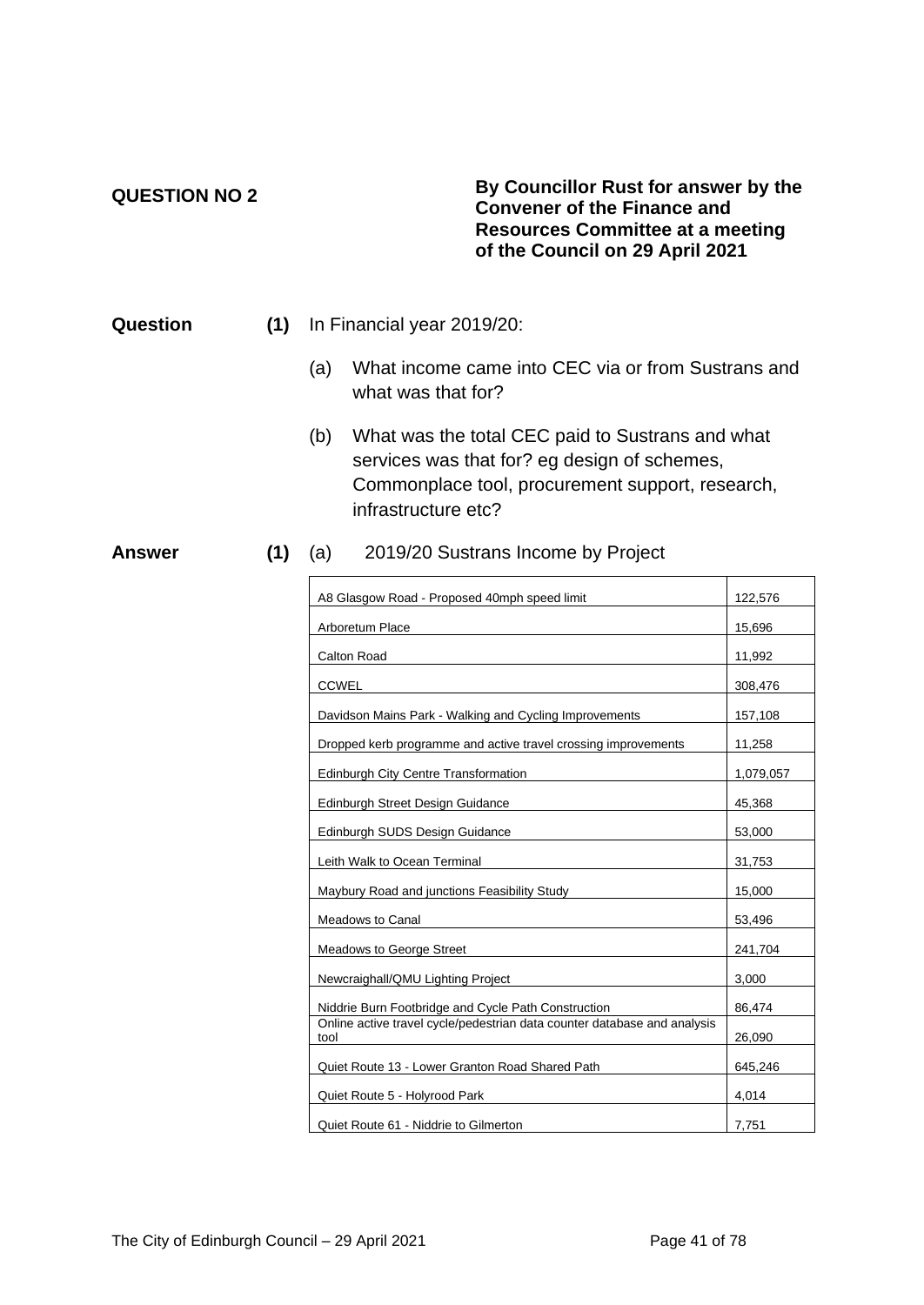### **QUESTION NO 2**

### **By Councillor Rust for answer by the Convener of the Finance and Resources Committee at a meeting of the Council on 29 April 2021**

| Question |  | (1) In Financial year 2019/20: |
|----------|--|--------------------------------|
|----------|--|--------------------------------|

- (a) What income came into CEC via or from Sustrans and what was that for?
- (b) What was the total CEC paid to Sustrans and what services was that for? eg design of schemes, Commonplace tool, procurement support, research, infrastructure etc?

### **Answer (1)** (a) 2019/20 Sustrans Income by Project

| A8 Glasgow Road - Proposed 40mph speed limit                                     | 122,576   |
|----------------------------------------------------------------------------------|-----------|
| Arboretum Place                                                                  | 15,696    |
| Calton Road                                                                      | 11,992    |
| <b>CCWEL</b>                                                                     | 308,476   |
| Davidson Mains Park - Walking and Cycling Improvements                           | 157,108   |
| Dropped kerb programme and active travel crossing improvements                   | 11,258    |
| Edinburgh City Centre Transformation                                             | 1,079,057 |
| Edinburgh Street Design Guidance                                                 | 45,368    |
| Edinburgh SUDS Design Guidance                                                   | 53,000    |
| Leith Walk to Ocean Terminal                                                     | 31,753    |
| Maybury Road and junctions Feasibility Study                                     | 15,000    |
| <b>Meadows to Canal</b>                                                          | 53,496    |
| <b>Meadows to George Street</b>                                                  | 241,704   |
| Newcraighall/QMU Lighting Project                                                | 3,000     |
| Niddrie Burn Footbridge and Cycle Path Construction                              | 86,474    |
| Online active travel cycle/pedestrian data counter database and analysis<br>tool | 26,090    |
| Quiet Route 13 - Lower Granton Road Shared Path                                  | 645,246   |
| Quiet Route 5 - Holyrood Park                                                    | 4,014     |
| Quiet Route 61 - Niddrie to Gilmerton                                            | 7,751     |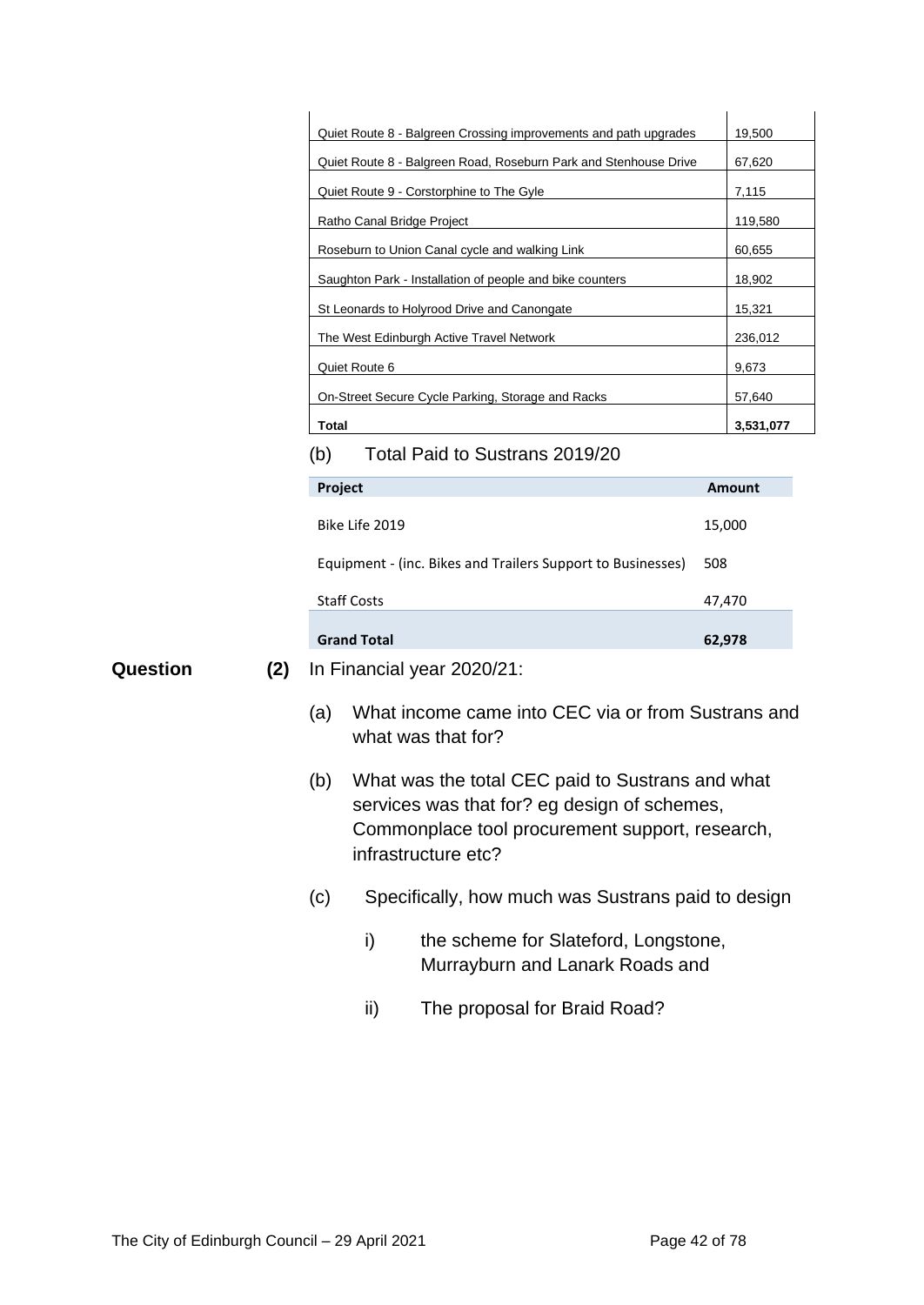|          |                                                                  |                                                             |                                                          | Quiet Route 8 - Balgreen Crossing improvements and path upgrades                                                                                                          |         | 19,500        |
|----------|------------------------------------------------------------------|-------------------------------------------------------------|----------------------------------------------------------|---------------------------------------------------------------------------------------------------------------------------------------------------------------------------|---------|---------------|
|          | Quiet Route 8 - Balgreen Road, Roseburn Park and Stenhouse Drive |                                                             |                                                          |                                                                                                                                                                           | 67,620  |               |
|          |                                                                  | Quiet Route 9 - Corstorphine to The Gyle                    |                                                          |                                                                                                                                                                           |         |               |
|          |                                                                  |                                                             | Ratho Canal Bridge Project                               |                                                                                                                                                                           | 119,580 |               |
|          |                                                                  |                                                             | Roseburn to Union Canal cycle and walking Link<br>60,655 |                                                                                                                                                                           |         |               |
|          |                                                                  |                                                             |                                                          | Saughton Park - Installation of people and bike counters                                                                                                                  |         | 18,902        |
|          |                                                                  | St Leonards to Holyrood Drive and Canongate                 |                                                          |                                                                                                                                                                           |         | 15,321        |
|          |                                                                  |                                                             |                                                          | The West Edinburgh Active Travel Network                                                                                                                                  |         | 236,012       |
|          |                                                                  |                                                             | Quiet Route 6                                            |                                                                                                                                                                           |         | 9,673         |
|          |                                                                  |                                                             |                                                          | On-Street Secure Cycle Parking, Storage and Racks                                                                                                                         |         | 57,640        |
|          |                                                                  | Total                                                       |                                                          |                                                                                                                                                                           |         | 3,531,077     |
|          |                                                                  | (b)                                                         |                                                          | Total Paid to Sustrans 2019/20                                                                                                                                            |         |               |
|          |                                                                  | Project                                                     |                                                          |                                                                                                                                                                           |         | <b>Amount</b> |
|          |                                                                  | Bike Life 2019                                              |                                                          | 15,000                                                                                                                                                                    |         |               |
|          |                                                                  | Equipment - (inc. Bikes and Trailers Support to Businesses) |                                                          |                                                                                                                                                                           | 508     |               |
|          |                                                                  | <b>Staff Costs</b>                                          |                                                          |                                                                                                                                                                           | 47,470  |               |
|          |                                                                  |                                                             | <b>Grand Total</b>                                       |                                                                                                                                                                           | 62,978  |               |
| Question | (2)                                                              |                                                             |                                                          | In Financial year 2020/21:                                                                                                                                                |         |               |
|          |                                                                  | (a)                                                         |                                                          | What income came into CEC via or from Sustrans and<br>what was that for?                                                                                                  |         |               |
|          |                                                                  | (b)                                                         |                                                          | What was the total CEC paid to Sustrans and what<br>services was that for? eg design of schemes<br>Commonplace tool procurement support, research,<br>infrastructure etc? |         |               |
|          |                                                                  | (c)                                                         |                                                          | Specifically, how much was Sustrans paid to design                                                                                                                        |         |               |
|          |                                                                  |                                                             | i)                                                       | the scheme for Slateford, Longstone,<br>Murrayburn and Lanark Roads and                                                                                                   |         |               |
|          |                                                                  |                                                             | ii)                                                      | The proposal for Braid Road?                                                                                                                                              |         |               |
|          |                                                                  |                                                             |                                                          |                                                                                                                                                                           |         |               |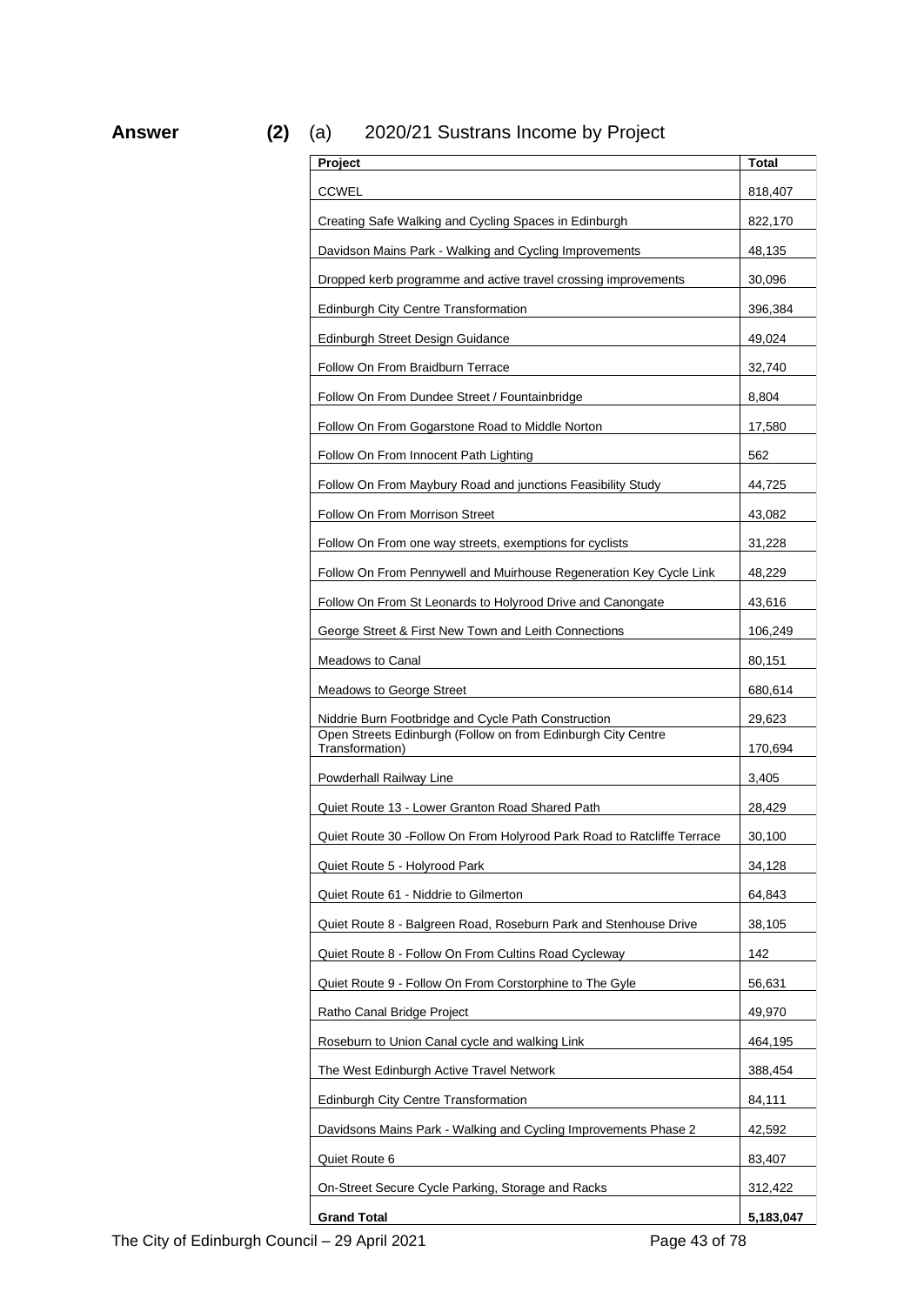**Answer (2)** (a) 2020/21 Sustrans Income by Project

| Project                                                                         | Total     |
|---------------------------------------------------------------------------------|-----------|
| <b>CCWEL</b>                                                                    | 818,407   |
| Creating Safe Walking and Cycling Spaces in Edinburgh                           | 822,170   |
| Davidson Mains Park - Walking and Cycling Improvements                          | 48,135    |
| Dropped kerb programme and active travel crossing improvements                  | 30,096    |
| <b>Edinburgh City Centre Transformation</b>                                     | 396,384   |
| Edinburgh Street Design Guidance                                                | 49,024    |
| Follow On From Braidburn Terrace                                                | 32,740    |
| Follow On From Dundee Street / Fountainbridge                                   | 8,804     |
| Follow On From Gogarstone Road to Middle Norton                                 | 17,580    |
| Follow On From Innocent Path Lighting                                           | 562       |
| Follow On From Maybury Road and junctions Feasibility Study                     | 44,725    |
| Follow On From Morrison Street                                                  | 43,082    |
| Follow On From one way streets, exemptions for cyclists                         | 31,228    |
| Follow On From Pennywell and Muirhouse Regeneration Key Cycle Link              | 48,229    |
| Follow On From St Leonards to Holyrood Drive and Canongate                      | 43,616    |
| George Street & First New Town and Leith Connections                            | 106,249   |
| Meadows to Canal                                                                | 80,151    |
| <b>Meadows to George Street</b>                                                 | 680,614   |
| Niddrie Burn Footbridge and Cycle Path Construction                             | 29,623    |
| Open Streets Edinburgh (Follow on from Edinburgh City Centre<br>Transformation) | 170,694   |
| Powderhall Railway Line                                                         | 3,405     |
| Quiet Route 13 - Lower Granton Road Shared Path                                 | 28,429    |
| Quiet Route 30 - Follow On From Holyrood Park Road to Ratcliffe Terrace         | 30,100    |
| Quiet Route 5 - Holyrood Park                                                   | 34,128    |
| Quiet Route 61 - Niddrie to Gilmerton                                           | 64,843    |
| Quiet Route 8 - Balgreen Road, Roseburn Park and Stenhouse Drive                | 38,105    |
| Quiet Route 8 - Follow On From Cultins Road Cycleway                            | 142       |
| Quiet Route 9 - Follow On From Corstorphine to The Gyle                         | 56,631    |
| Ratho Canal Bridge Project                                                      | 49,970    |
| Roseburn to Union Canal cycle and walking Link                                  | 464,195   |
| The West Edinburgh Active Travel Network                                        | 388,454   |
| <b>Edinburgh City Centre Transformation</b>                                     | 84,111    |
| Davidsons Mains Park - Walking and Cycling Improvements Phase 2                 | 42,592    |
| Quiet Route 6                                                                   | 83,407    |
| On-Street Secure Cycle Parking, Storage and Racks                               | 312,422   |
| <b>Grand Total</b>                                                              | 5,183,047 |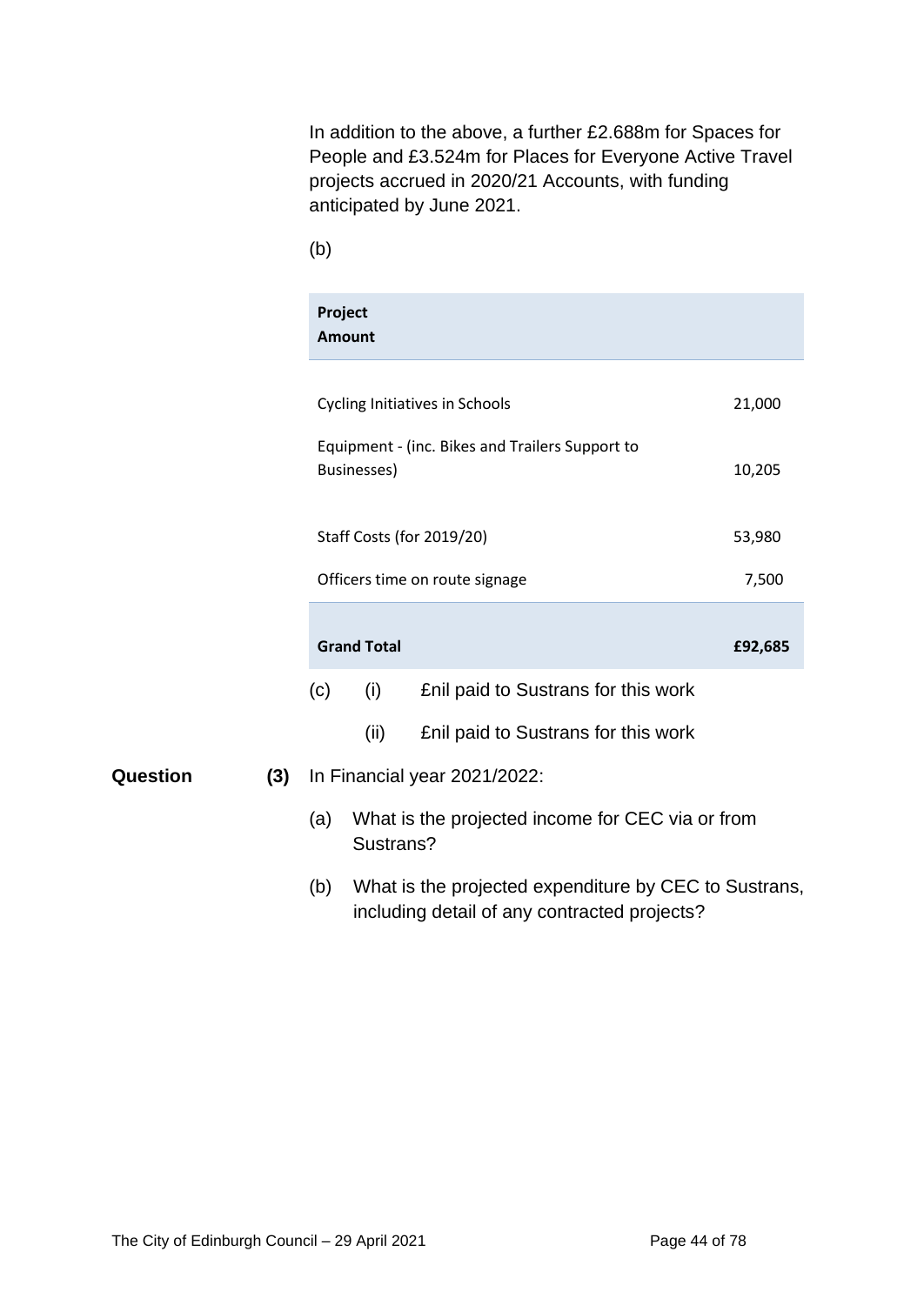In addition to the above, a further £2.688m for Spaces for People and £3.524m for Places for Everyone Active Travel projects accrued in 2020/21 Accounts, with funding anticipated by June 2021.

(b)

|     |     | Project<br><b>Amount</b> |                                                       |         |
|-----|-----|--------------------------|-------------------------------------------------------|---------|
|     |     |                          | <b>Cycling Initiatives in Schools</b>                 | 21,000  |
|     |     |                          | Equipment - (inc. Bikes and Trailers Support to       |         |
|     |     | <b>Businesses)</b>       |                                                       | 10,205  |
|     |     |                          | <b>Staff Costs (for 2019/20)</b>                      | 53,980  |
|     |     |                          | Officers time on route signage                        | 7,500   |
|     |     | <b>Grand Total</b>       |                                                       | £92,685 |
|     | (c) | (i)                      | Enil paid to Sustrans for this work                   |         |
|     |     | (ii)                     | Enil paid to Sustrans for this work                   |         |
| (3) |     |                          | In Financial year 2021/2022:                          |         |
|     | (a) | Sustrans?                | What is the projected income for CEC via or from      |         |
|     | (b) |                          | What is the projected expenditure by CEC to Sustrans, |         |

including detail of any contracted projects?

**Question**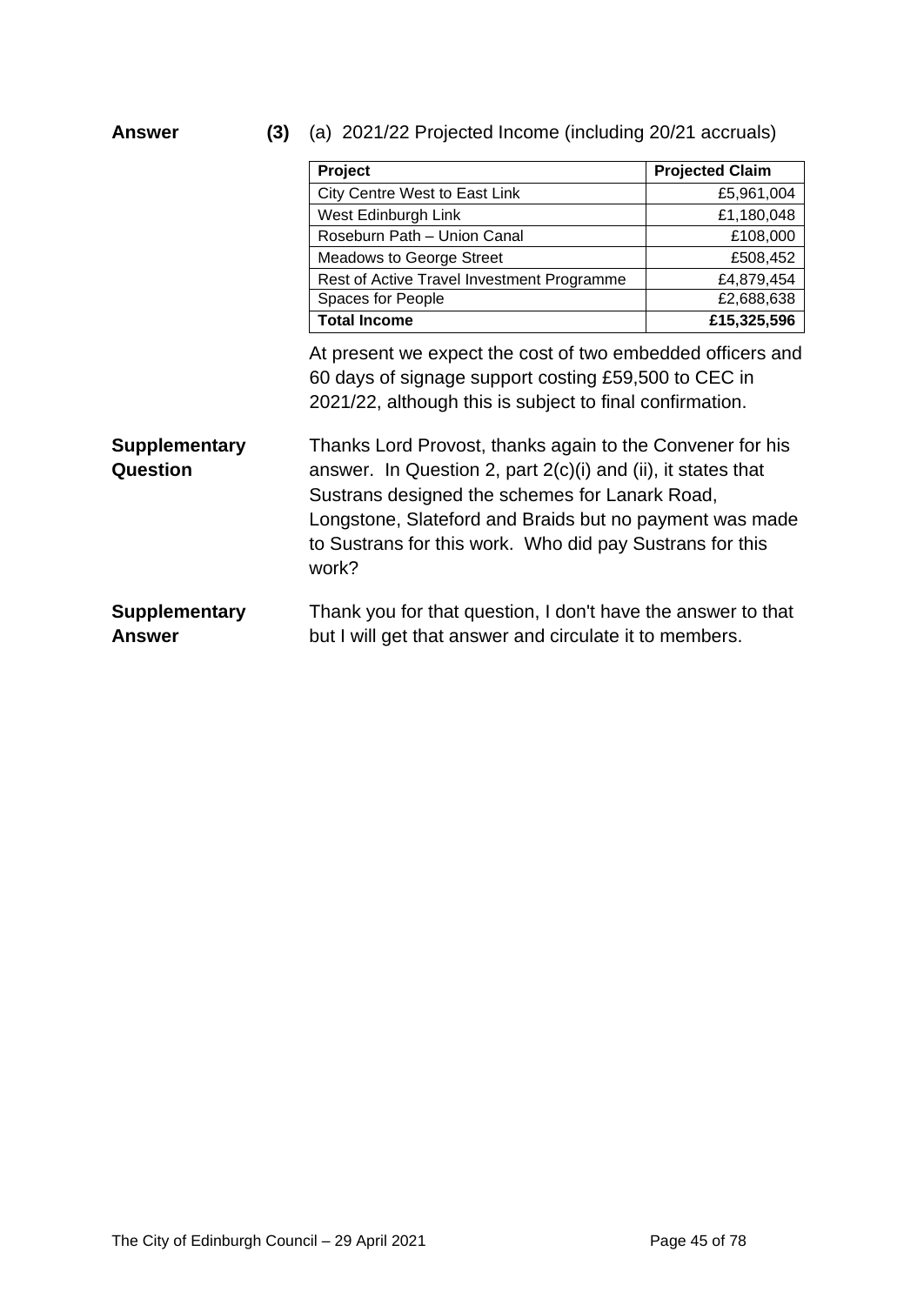**Answer (3)** (a) 2021/22 Projected Income (including 20/21 accruals)

|                                       | Project                                                                                                                                                                                                                                                                                                       | <b>Projected Claim</b> |
|---------------------------------------|---------------------------------------------------------------------------------------------------------------------------------------------------------------------------------------------------------------------------------------------------------------------------------------------------------------|------------------------|
|                                       | City Centre West to East Link                                                                                                                                                                                                                                                                                 | £5,961,004             |
|                                       | West Edinburgh Link                                                                                                                                                                                                                                                                                           | £1,180,048             |
|                                       | Roseburn Path - Union Canal                                                                                                                                                                                                                                                                                   | £108,000               |
|                                       | <b>Meadows to George Street</b>                                                                                                                                                                                                                                                                               | £508,452               |
|                                       | Rest of Active Travel Investment Programme                                                                                                                                                                                                                                                                    | £4,879,454             |
|                                       | Spaces for People                                                                                                                                                                                                                                                                                             | £2,688,638             |
|                                       | <b>Total Income</b>                                                                                                                                                                                                                                                                                           | £15,325,596            |
|                                       | At present we expect the cost of two embedded officers and<br>60 days of signage support costing £59,500 to CEC in<br>2021/22, although this is subject to final confirmation.                                                                                                                                |                        |
| <b>Supplementary</b><br>Question      | Thanks Lord Provost, thanks again to the Convener for his<br>answer. In Question 2, part $2(c)(i)$ and (ii), it states that<br>Sustrans designed the schemes for Lanark Road,<br>Longstone, Slateford and Braids but no payment was made<br>to Sustrans for this work. Who did pay Sustrans for this<br>work? |                        |
| <b>Supplementary</b><br><b>Answer</b> | Thank you for that question, I don't have the answer to that<br>but I will get that answer and circulate it to members.                                                                                                                                                                                       |                        |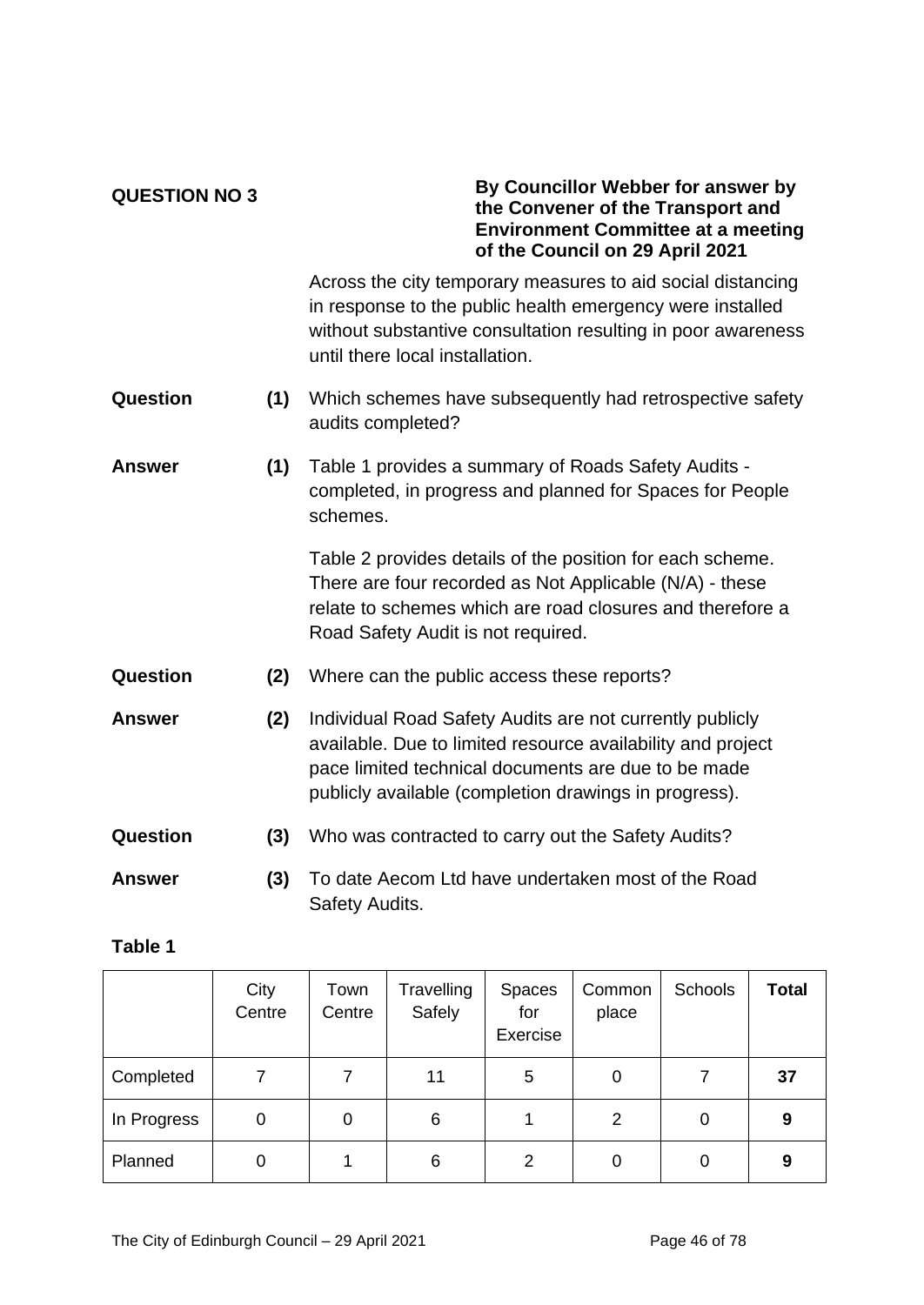### **QUESTION NO 3**

### **By Councillor Webber for answer by the Convener of the Transport and Environment Committee at a meeting of the Council on 29 April 2021**

Across the city temporary measures to aid social distancing in response to the public health emergency were installed without substantive consultation resulting in poor awareness until there local installation.

- **Question (1)** Which schemes have subsequently had retrospective safety audits completed?
- **Answer (1)** Table 1 provides a summary of Roads Safety Audits completed, in progress and planned for Spaces for People schemes.

Table 2 provides details of the position for each scheme. There are four recorded as Not Applicable (N/A) - these relate to schemes which are road closures and therefore a Road Safety Audit is not required.

- **Question (2)** Where can the public access these reports?
- **Answer (2)** Individual Road Safety Audits are not currently publicly available. Due to limited resource availability and project pace limited technical documents are due to be made publicly available (completion drawings in progress).
- **Question (3)** Who was contracted to carry out the Safety Audits?
- **Answer (3)** To date Aecom Ltd have undertaken most of the Road Safety Audits.

### **Table 1**

|             | City<br>Centre | Town<br>Centre | Travelling<br>Safely | <b>Spaces</b><br>for<br>Exercise | Common<br>place | Schools | <b>Total</b> |
|-------------|----------------|----------------|----------------------|----------------------------------|-----------------|---------|--------------|
| Completed   |                |                | 11                   | 5                                | 0               |         | 37           |
| In Progress | 0              | 0              | 6                    |                                  | 2               | 0       | 9            |
| Planned     | 0              |                | 6                    | 2                                | 0               | 0       | 9            |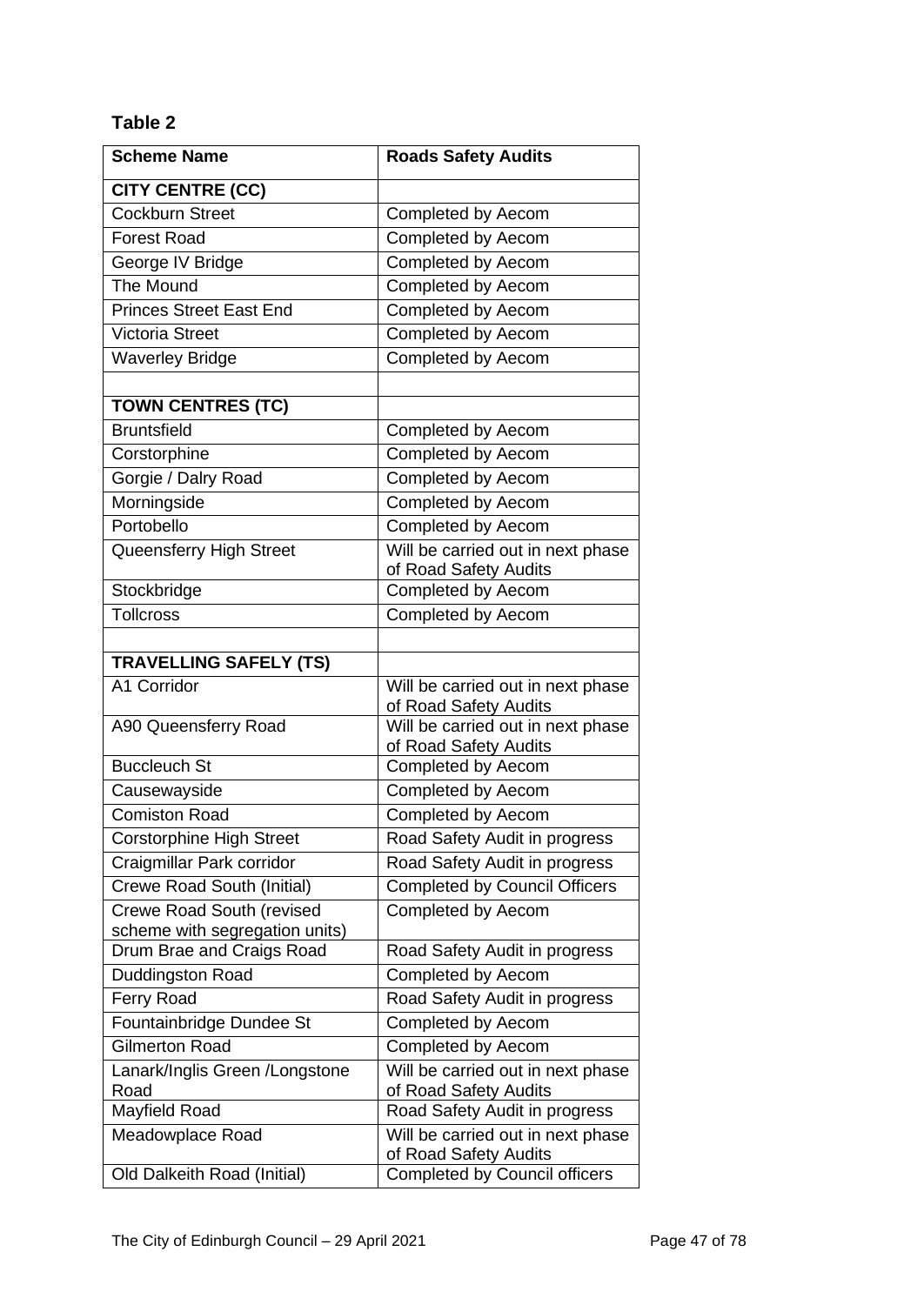# **Table 2**

| <b>Scheme Name</b>               | <b>Roads Safety Audits</b>                                 |
|----------------------------------|------------------------------------------------------------|
| <b>CITY CENTRE (CC)</b>          |                                                            |
| <b>Cockburn Street</b>           | Completed by Aecom                                         |
| <b>Forest Road</b>               | Completed by Aecom                                         |
| George IV Bridge                 | Completed by Aecom                                         |
| The Mound                        | Completed by Aecom                                         |
| <b>Princes Street East End</b>   | Completed by Aecom                                         |
| <b>Victoria Street</b>           | Completed by Aecom                                         |
| <b>Waverley Bridge</b>           | Completed by Aecom                                         |
|                                  |                                                            |
| <b>TOWN CENTRES (TC)</b>         |                                                            |
| Bruntsfield                      | Completed by Aecom                                         |
| Corstorphine                     | Completed by Aecom                                         |
| Gorgie / Dalry Road              | Completed by Aecom                                         |
| Morningside                      | Completed by Aecom                                         |
| Portobello                       | Completed by Aecom                                         |
| Queensferry High Street          | Will be carried out in next phase                          |
|                                  | of Road Safety Audits                                      |
| Stockbridge                      | Completed by Aecom                                         |
| <b>Tollcross</b>                 | Completed by Aecom                                         |
|                                  |                                                            |
| <b>TRAVELLING SAFELY (TS)</b>    |                                                            |
| A1 Corridor                      | Will be carried out in next phase<br>of Road Safety Audits |
| A90 Queensferry Road             | Will be carried out in next phase<br>of Road Safety Audits |
| <b>Buccleuch St</b>              | Completed by Aecom                                         |
| Causewayside                     | Completed by Aecom                                         |
| <b>Comiston Road</b>             | Completed by Aecom                                         |
| <b>Corstorphine High Street</b>  | Road Safety Audit in progress                              |
| Craigmillar Park corridor        | Road Safety Audit in progress                              |
| Crewe Road South (Initial)       | <b>Completed by Council Officers</b>                       |
| <b>Crewe Road South (revised</b> | Completed by Aecom                                         |
| scheme with segregation units)   |                                                            |
| Drum Brae and Craigs Road        | Road Safety Audit in progress                              |
| Duddingston Road                 | Completed by Aecom                                         |
| Ferry Road                       | Road Safety Audit in progress                              |
| Fountainbridge Dundee St         | Completed by Aecom                                         |
| <b>Gilmerton Road</b>            | Completed by Aecom                                         |
| Lanark/Inglis Green /Longstone   | Will be carried out in next phase                          |
| Road                             | of Road Safety Audits                                      |
| Mayfield Road                    | Road Safety Audit in progress                              |
| Meadowplace Road                 | Will be carried out in next phase<br>of Road Safety Audits |
| Old Dalkeith Road (Initial)      | <b>Completed by Council officers</b>                       |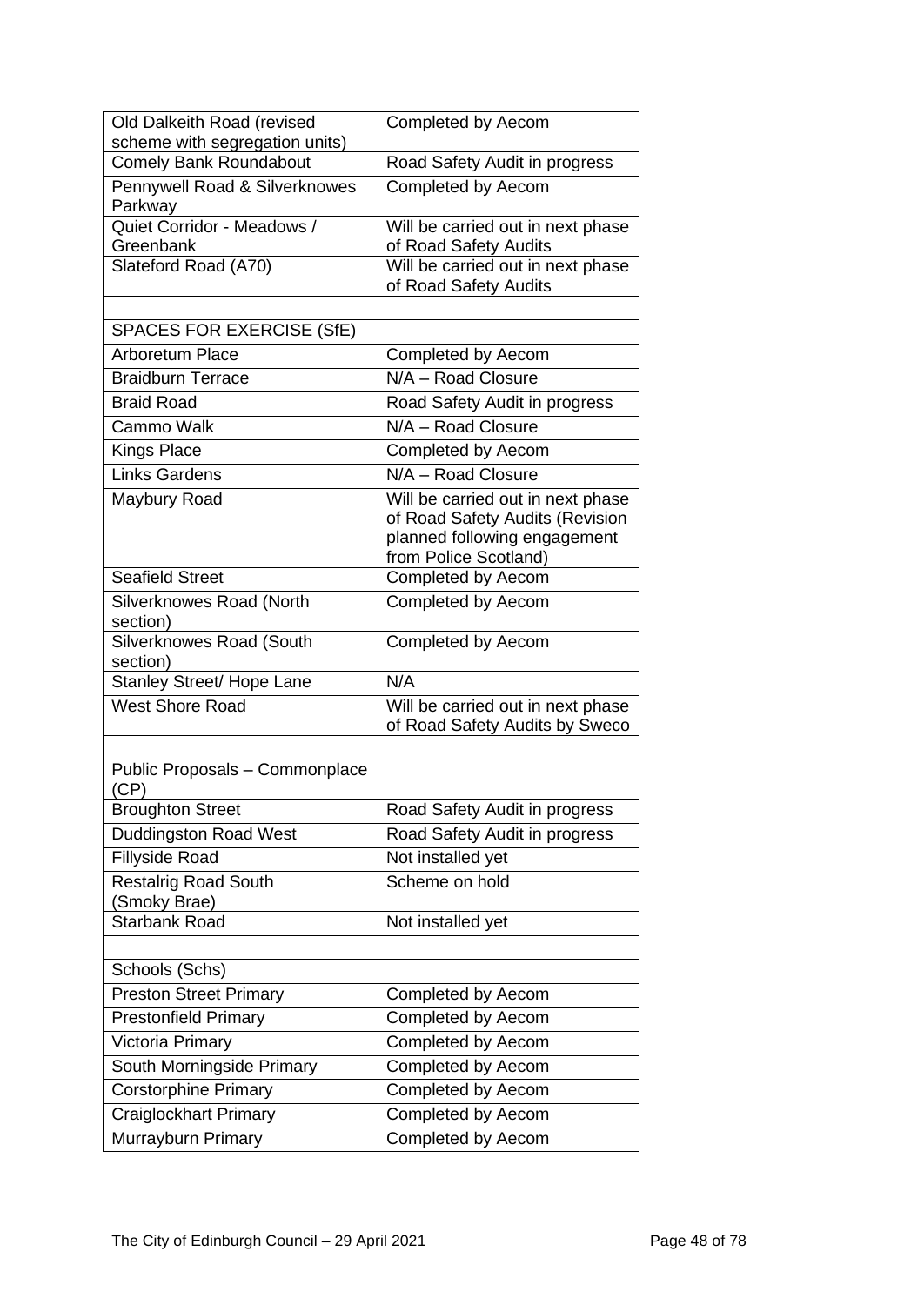| Old Dalkeith Road (revised                  | Completed by Aecom                                    |
|---------------------------------------------|-------------------------------------------------------|
| scheme with segregation units)              |                                                       |
| <b>Comely Bank Roundabout</b>               | Road Safety Audit in progress                         |
| Pennywell Road & Silverknowes<br>Parkway    | <b>Completed by Aecom</b>                             |
| Quiet Corridor - Meadows /                  | Will be carried out in next phase                     |
| Greenbank                                   | of Road Safety Audits                                 |
| Slateford Road (A70)                        | Will be carried out in next phase                     |
|                                             | of Road Safety Audits                                 |
| <b>SPACES FOR EXERCISE (SfE)</b>            |                                                       |
| <b>Arboretum Place</b>                      |                                                       |
|                                             | Completed by Aecom<br>N/A - Road Closure              |
| <b>Braidburn Terrace</b>                    |                                                       |
| <b>Braid Road</b>                           | Road Safety Audit in progress                         |
| Cammo Walk                                  | N/A - Road Closure                                    |
| <b>Kings Place</b>                          | <b>Completed by Aecom</b>                             |
| <b>Links Gardens</b>                        | N/A - Road Closure                                    |
| Maybury Road                                | Will be carried out in next phase                     |
|                                             | of Road Safety Audits (Revision                       |
|                                             | planned following engagement<br>from Police Scotland) |
| <b>Seafield Street</b>                      | Completed by Aecom                                    |
| Silverknowes Road (North                    | <b>Completed by Aecom</b>                             |
| section)                                    |                                                       |
| Silverknowes Road (South                    | Completed by Aecom                                    |
| section)                                    |                                                       |
| Stanley Street/ Hope Lane                   | N/A                                                   |
| <b>West Shore Road</b>                      | Will be carried out in next phase                     |
|                                             | of Road Safety Audits by Sweco                        |
| Public Proposals - Commonplace              |                                                       |
|                                             |                                                       |
| (CP)                                        |                                                       |
| <b>Broughton Street</b>                     | Road Safety Audit in progress                         |
| <b>Duddingston Road West</b>                | Road Safety Audit in progress                         |
| <b>Fillyside Road</b>                       | Not installed yet                                     |
| <b>Restalrig Road South</b>                 | Scheme on hold                                        |
| (Smoky Brae)                                |                                                       |
| <b>Starbank Road</b>                        | Not installed yet                                     |
|                                             |                                                       |
| Schools (Schs)                              |                                                       |
| <b>Preston Street Primary</b>               | Completed by Aecom                                    |
| <b>Prestonfield Primary</b>                 | Completed by Aecom                                    |
| Victoria Primary                            | <b>Completed by Aecom</b>                             |
| South Morningside Primary                   | <b>Completed by Aecom</b>                             |
| <b>Corstorphine Primary</b>                 | Completed by Aecom                                    |
| Craiglockhart Primary<br>Murrayburn Primary | Completed by Aecom<br>Completed by Aecom              |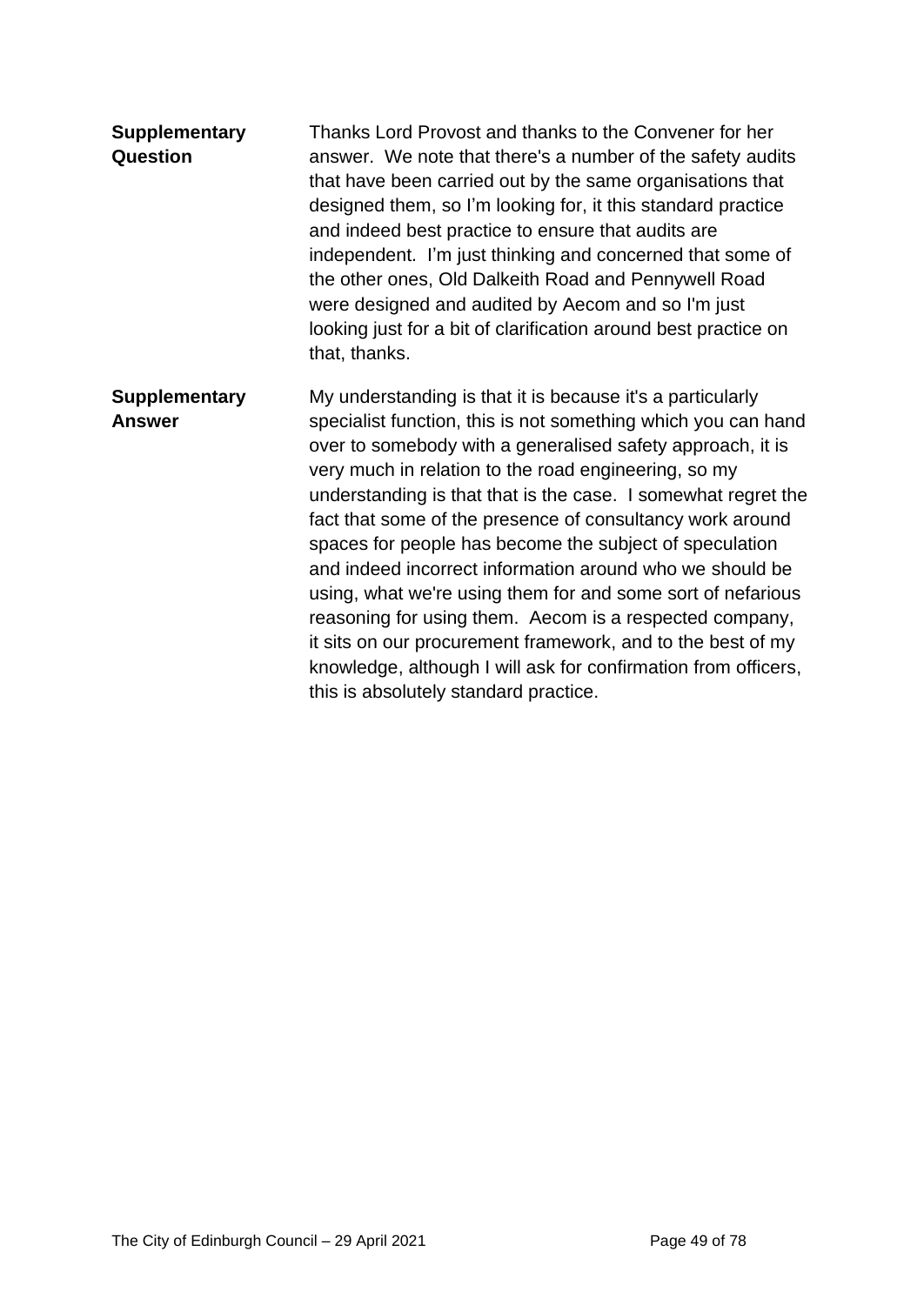| <b>Supplementary</b><br><b>Question</b> | Thanks Lord Provost and thanks to the Convener for her<br>answer. We note that there's a number of the safety audits<br>that have been carried out by the same organisations that<br>designed them, so I'm looking for, it this standard practice<br>and indeed best practice to ensure that audits are<br>independent. I'm just thinking and concerned that some of<br>the other ones, Old Dalkeith Road and Pennywell Road<br>were designed and audited by Aecom and so I'm just<br>looking just for a bit of clarification around best practice on<br>that, thanks.                                                                                                                                                                                                                                     |
|-----------------------------------------|------------------------------------------------------------------------------------------------------------------------------------------------------------------------------------------------------------------------------------------------------------------------------------------------------------------------------------------------------------------------------------------------------------------------------------------------------------------------------------------------------------------------------------------------------------------------------------------------------------------------------------------------------------------------------------------------------------------------------------------------------------------------------------------------------------|
| <b>Supplementary</b><br><b>Answer</b>   | My understanding is that it is because it's a particularly<br>specialist function, this is not something which you can hand<br>over to somebody with a generalised safety approach, it is<br>very much in relation to the road engineering, so my<br>understanding is that that is the case. I somewhat regret the<br>fact that some of the presence of consultancy work around<br>spaces for people has become the subject of speculation<br>and indeed incorrect information around who we should be<br>using, what we're using them for and some sort of nefarious<br>reasoning for using them. Aecom is a respected company,<br>it sits on our procurement framework, and to the best of my<br>knowledge, although I will ask for confirmation from officers,<br>this is absolutely standard practice. |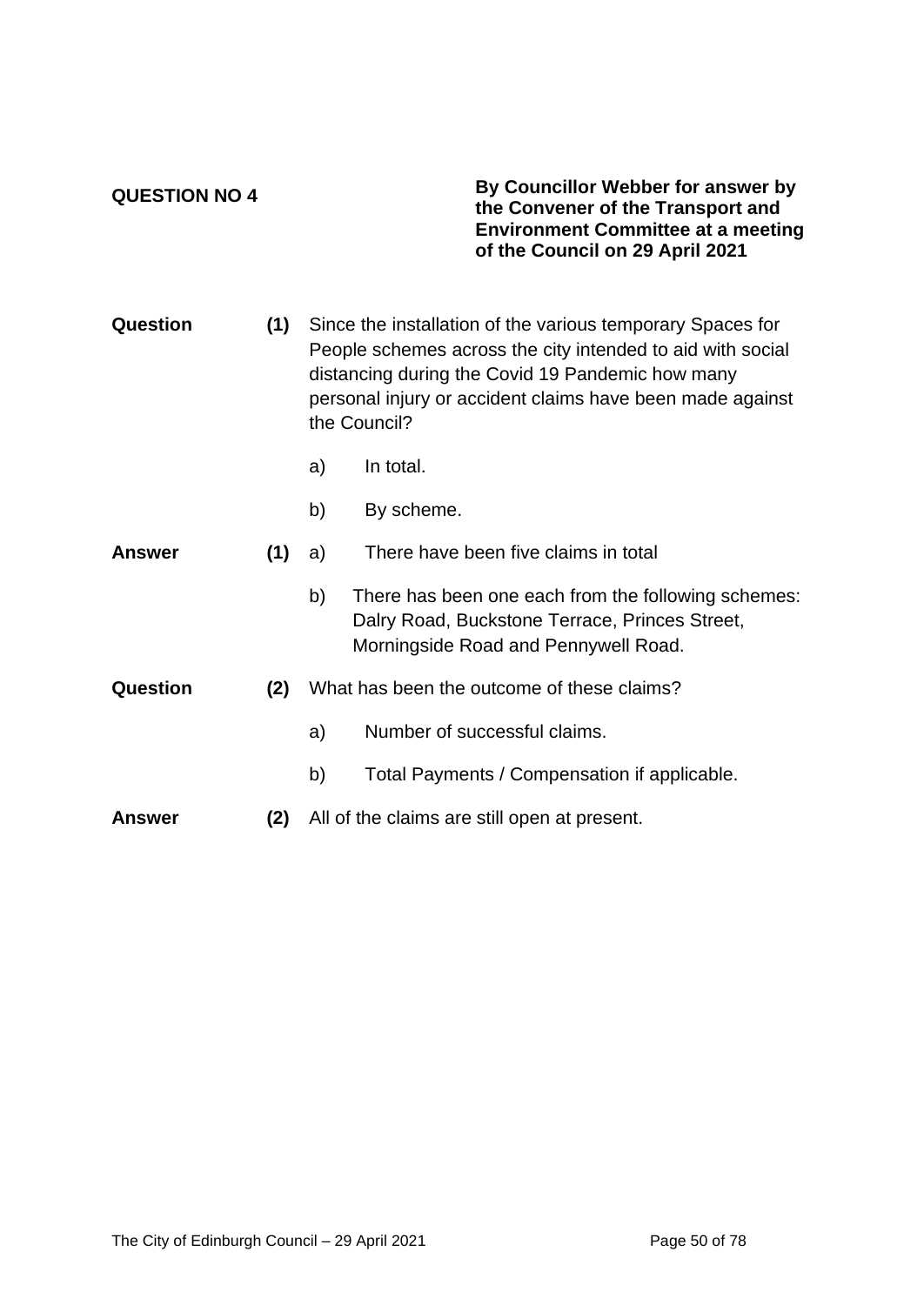### **QUESTION NO 4**

### **By Councillor Webber for answer by the Convener of the Transport and Environment Committee at a meeting of the Council on 29 April 2021**

| Question      | (1) | Since the installation of the various temporary Spaces for<br>People schemes across the city intended to aid with social<br>distancing during the Covid 19 Pandemic how many<br>personal injury or accident claims have been made against<br>the Council? |                                                                                                                                               |
|---------------|-----|-----------------------------------------------------------------------------------------------------------------------------------------------------------------------------------------------------------------------------------------------------------|-----------------------------------------------------------------------------------------------------------------------------------------------|
|               |     | a)                                                                                                                                                                                                                                                        | In total.                                                                                                                                     |
|               |     | b)                                                                                                                                                                                                                                                        | By scheme.                                                                                                                                    |
| <b>Answer</b> | (1) | a)                                                                                                                                                                                                                                                        | There have been five claims in total                                                                                                          |
|               |     | b)                                                                                                                                                                                                                                                        | There has been one each from the following schemes:<br>Dalry Road, Buckstone Terrace, Princes Street,<br>Morningside Road and Pennywell Road. |
| Question      | (2) |                                                                                                                                                                                                                                                           | What has been the outcome of these claims?                                                                                                    |
|               |     | a)                                                                                                                                                                                                                                                        | Number of successful claims.                                                                                                                  |
|               |     | b)                                                                                                                                                                                                                                                        | Total Payments / Compensation if applicable.                                                                                                  |
| <b>Answer</b> | (2) |                                                                                                                                                                                                                                                           | All of the claims are still open at present.                                                                                                  |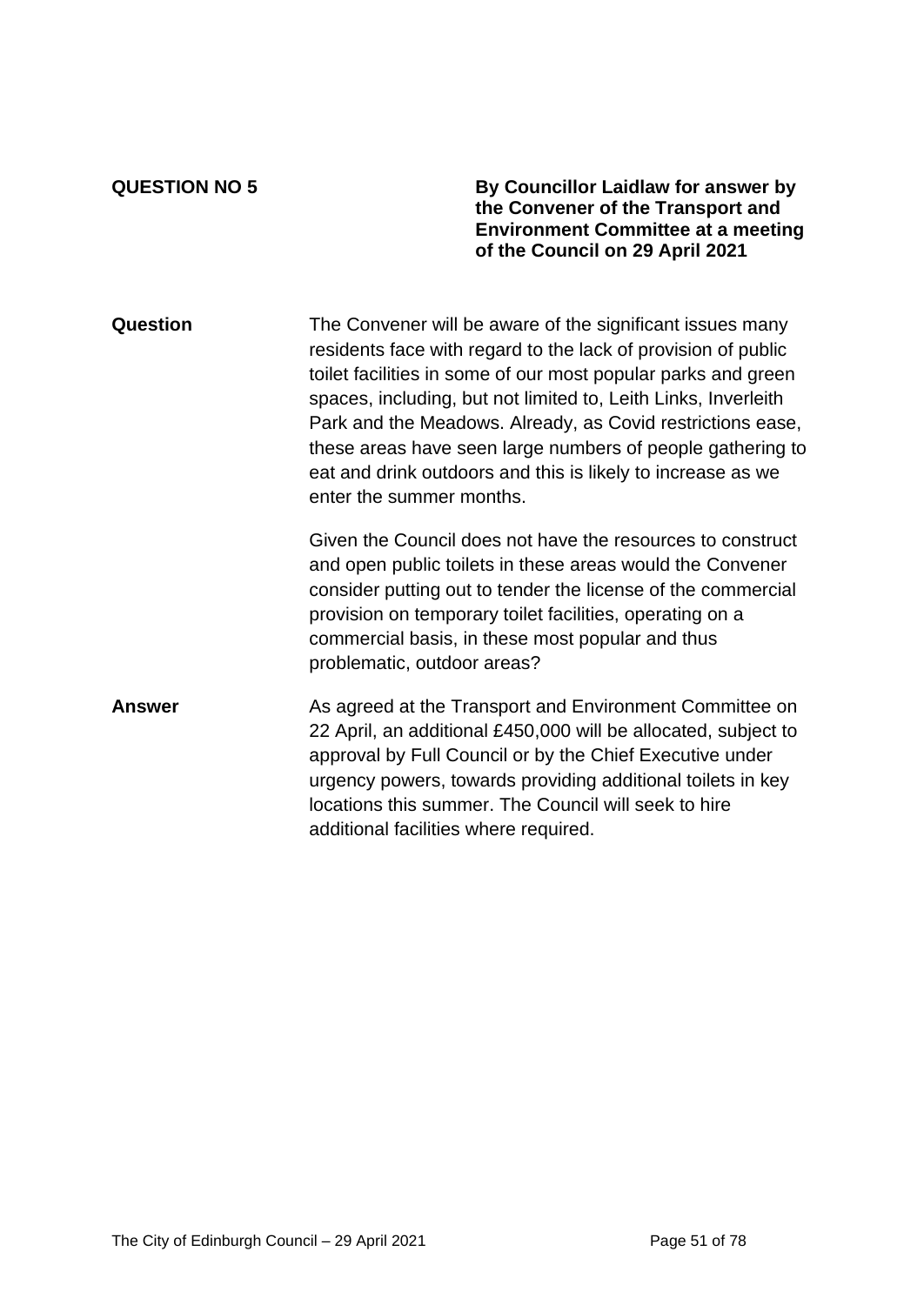**QUESTION NO 5 By Councillor Laidlaw for answer by the Convener of the Transport and Environment Committee at a meeting of the Council on 29 April 2021**

**Question** The Convener will be aware of the significant issues many residents face with regard to the lack of provision of public toilet facilities in some of our most popular parks and green spaces, including, but not limited to, Leith Links, Inverleith Park and the Meadows. Already, as Covid restrictions ease, these areas have seen large numbers of people gathering to eat and drink outdoors and this is likely to increase as we enter the summer months.

> Given the Council does not have the resources to construct and open public toilets in these areas would the Convener consider putting out to tender the license of the commercial provision on temporary toilet facilities, operating on a commercial basis, in these most popular and thus problematic, outdoor areas?

## **Answer** As agreed at the Transport and Environment Committee on 22 April, an additional £450,000 will be allocated, subject to approval by Full Council or by the Chief Executive under urgency powers, towards providing additional toilets in key locations this summer. The Council will seek to hire additional facilities where required.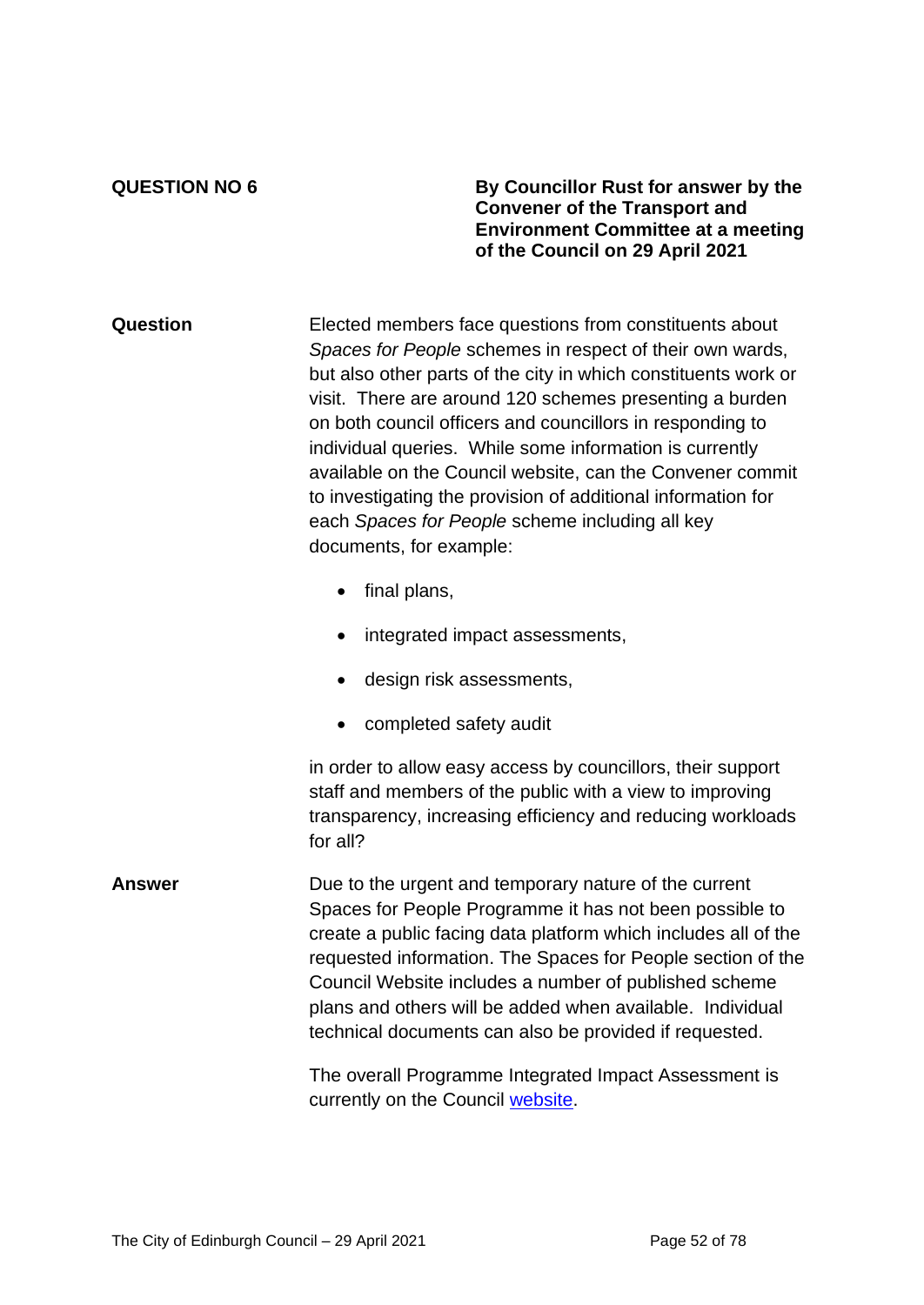**QUESTION NO 6 By Councillor Rust for answer by the Convener of the Transport and Environment Committee at a meeting of the Council on 29 April 2021**

**Question** Elected members face questions from constituents about *Spaces for People* schemes in respect of their own wards, but also other parts of the city in which constituents work or visit. There are around 120 schemes presenting a burden on both council officers and councillors in responding to individual queries. While some information is currently available on the Council website, can the Convener commit to investigating the provision of additional information for each *Spaces for People* scheme including all key documents, for example:

- final plans,
- integrated impact assessments,
- design risk assessments,
- completed safety audit

in order to allow easy access by councillors, their support staff and members of the public with a view to improving transparency, increasing efficiency and reducing workloads for all?

**Answer** Due to the urgent and temporary nature of the current Spaces for People Programme it has not been possible to create a public facing data platform which includes all of the requested information. The Spaces for People section of the Council Website includes a number of published scheme plans and others will be added when available. Individual technical documents can also be provided if requested.

> The overall Programme Integrated Impact Assessment is currently on the Council [website.](https://www.edinburgh.gov.uk/downloads/file/27293/creating-safe-spaces-for-walking-and-cycling)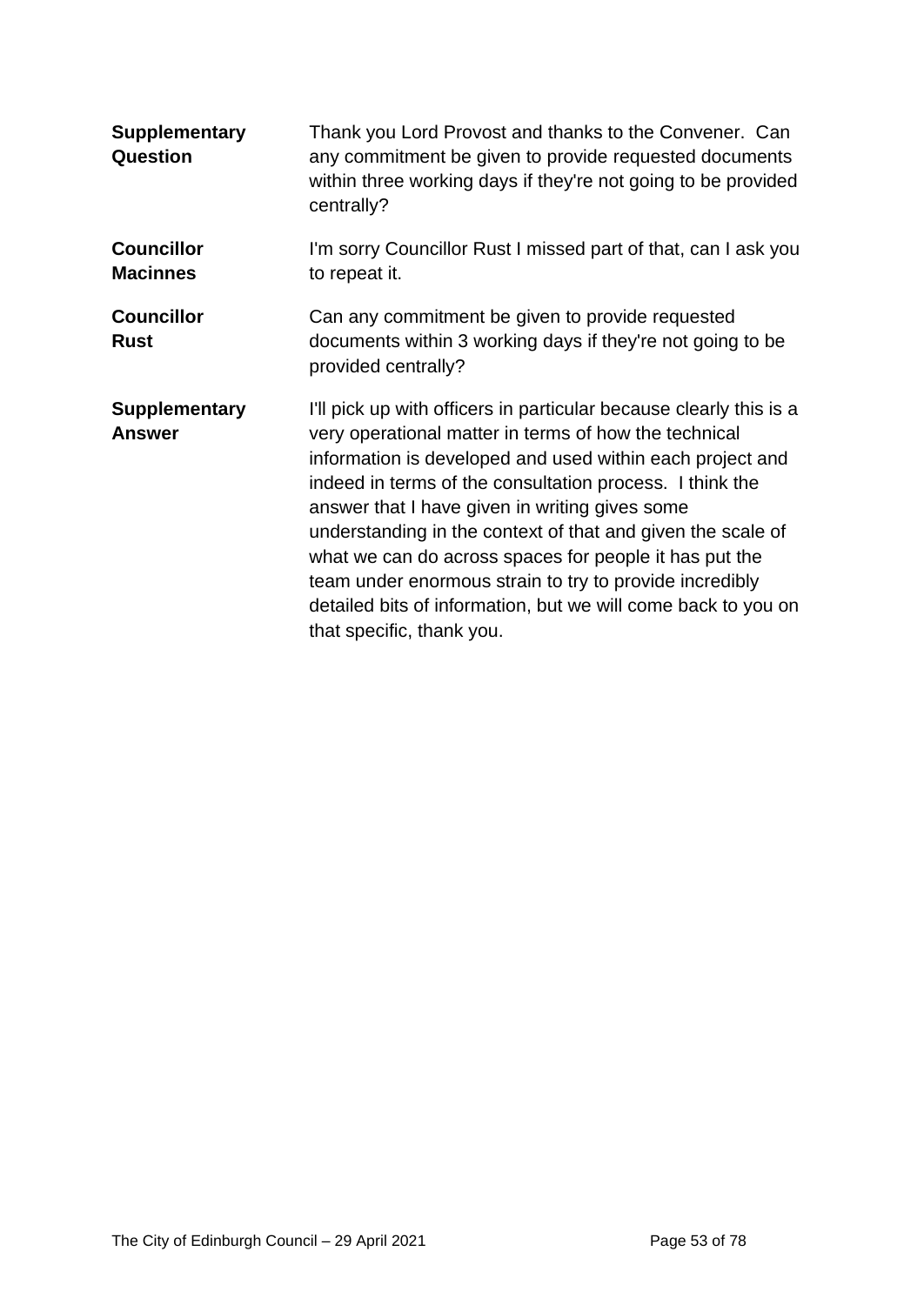| <b>Supplementary</b><br><b>Question</b> | Thank you Lord Provost and thanks to the Convener. Can<br>any commitment be given to provide requested documents<br>within three working days if they're not going to be provided<br>centrally?                                                                                                                                                                                                                                                                                                                                                                                          |
|-----------------------------------------|------------------------------------------------------------------------------------------------------------------------------------------------------------------------------------------------------------------------------------------------------------------------------------------------------------------------------------------------------------------------------------------------------------------------------------------------------------------------------------------------------------------------------------------------------------------------------------------|
| <b>Councillor</b><br><b>Macinnes</b>    | I'm sorry Councillor Rust I missed part of that, can I ask you<br>to repeat it.                                                                                                                                                                                                                                                                                                                                                                                                                                                                                                          |
| <b>Councillor</b><br><b>Rust</b>        | Can any commitment be given to provide requested<br>documents within 3 working days if they're not going to be<br>provided centrally?                                                                                                                                                                                                                                                                                                                                                                                                                                                    |
| <b>Supplementary</b><br><b>Answer</b>   | I'll pick up with officers in particular because clearly this is a<br>very operational matter in terms of how the technical<br>information is developed and used within each project and<br>indeed in terms of the consultation process. I think the<br>answer that I have given in writing gives some<br>understanding in the context of that and given the scale of<br>what we can do across spaces for people it has put the<br>team under enormous strain to try to provide incredibly<br>detailed bits of information, but we will come back to you on<br>that specific, thank you. |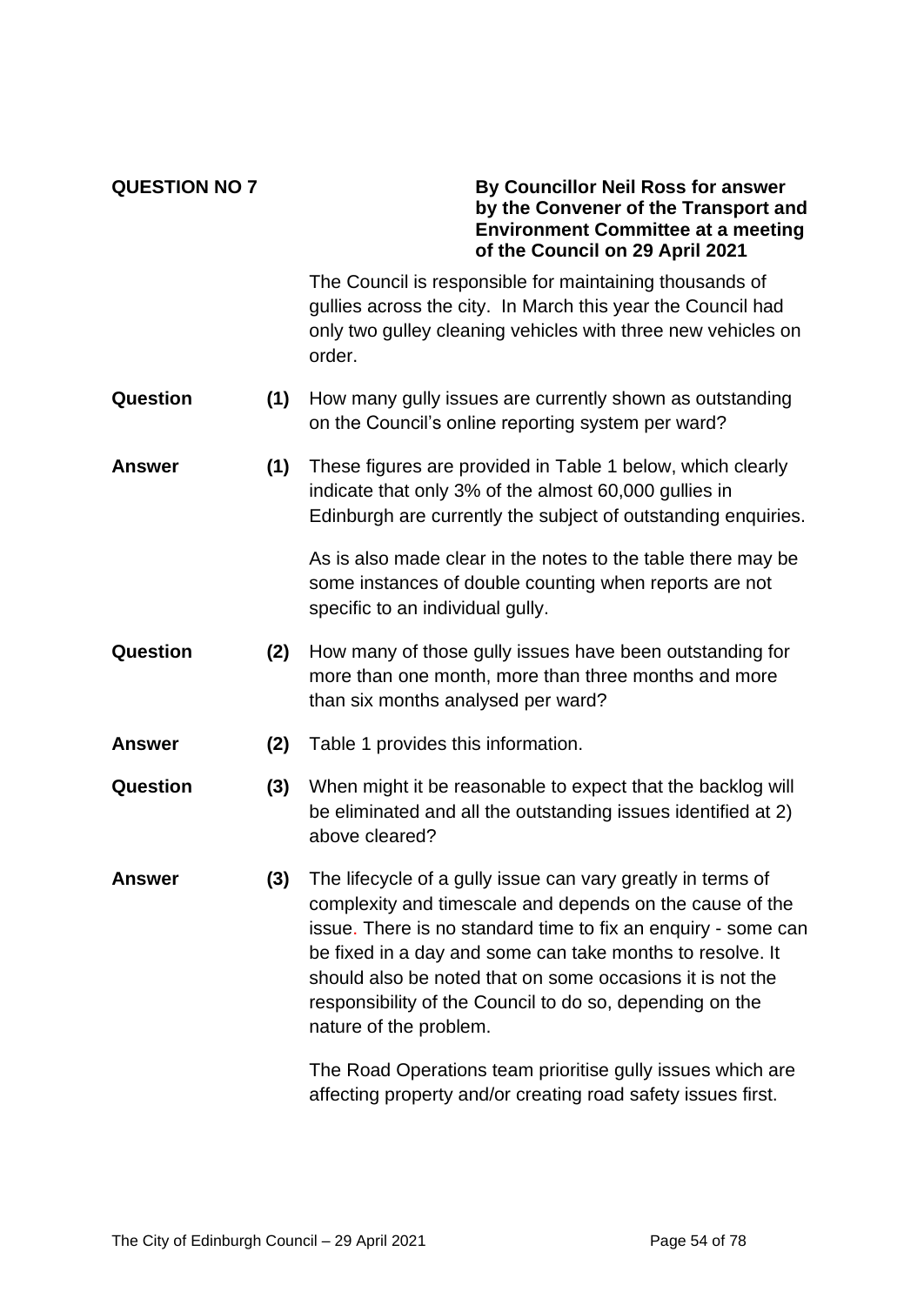### **QUESTION NO 7 By Councillor Neil Ross for answer by the Convener of the Transport and Environment Committee at a meeting of the Council on 29 April 2021**

The Council is responsible for maintaining thousands of gullies across the city. In March this year the Council had only two gulley cleaning vehicles with three new vehicles on order.

- **Question (1)** How many gully issues are currently shown as outstanding on the Council's online reporting system per ward?
- **Answer (1)** These figures are provided in Table 1 below, which clearly indicate that only 3% of the almost 60,000 gullies in Edinburgh are currently the subject of outstanding enquiries.

As is also made clear in the notes to the table there may be some instances of double counting when reports are not specific to an individual gully.

- **Question (2)** How many of those gully issues have been outstanding for more than one month, more than three months and more than six months analysed per ward?
- **Answer (2)** Table 1 provides this information.
- **Question (3)** When might it be reasonable to expect that the backlog will be eliminated and all the outstanding issues identified at 2) above cleared?
- **Answer (3)** The lifecycle of a gully issue can vary greatly in terms of complexity and timescale and depends on the cause of the issue. There is no standard time to fix an enquiry - some can be fixed in a day and some can take months to resolve. It should also be noted that on some occasions it is not the responsibility of the Council to do so, depending on the nature of the problem.

The Road Operations team prioritise gully issues which are affecting property and/or creating road safety issues first.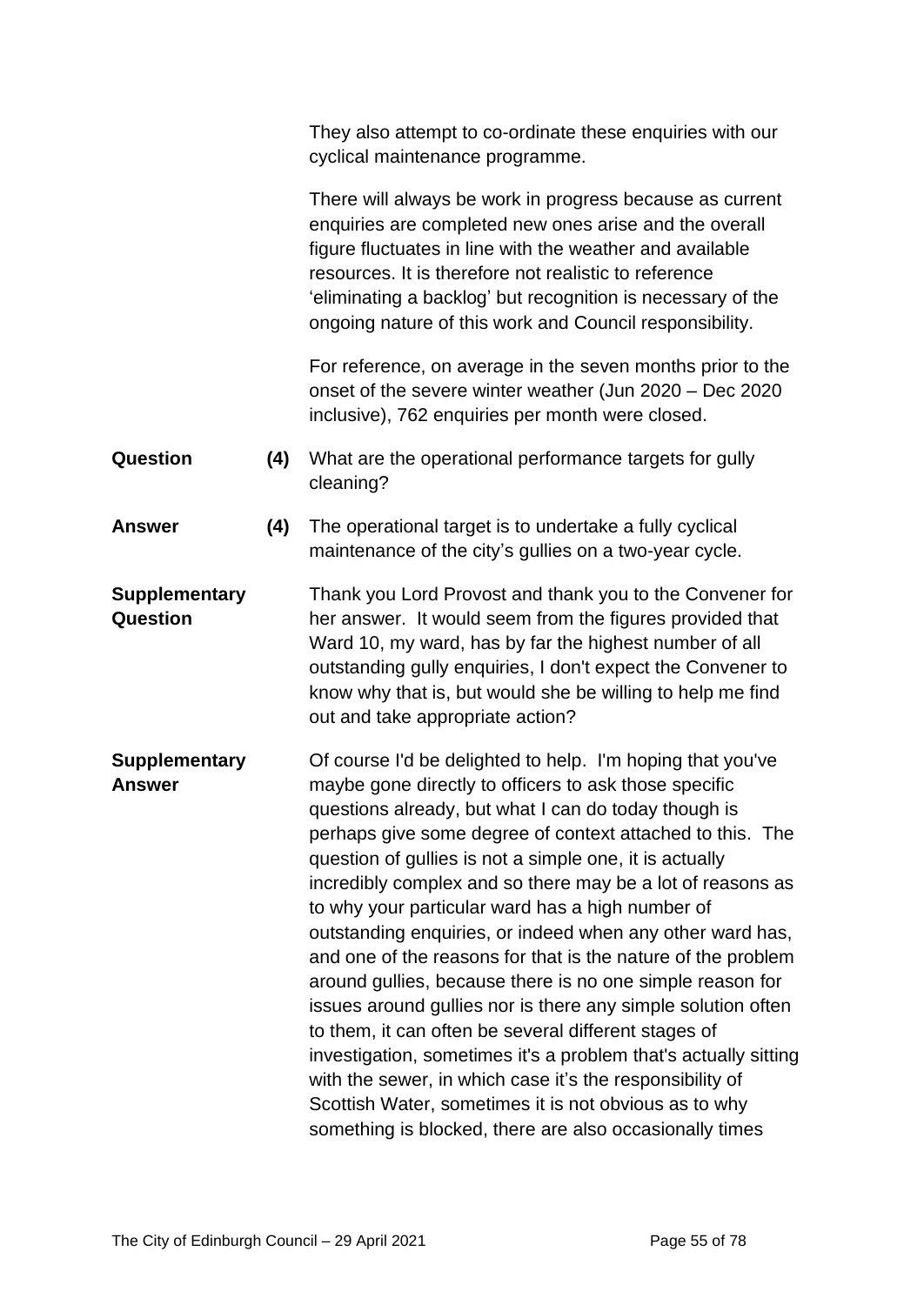|                                         |     | They also attempt to co-ordinate these enquiries with our<br>cyclical maintenance programme.                                                                                                                                                                                                                                                                                                                                                                                                                                                                                                                                                                                                                                                                                                                                                                                                                                                                                               |
|-----------------------------------------|-----|--------------------------------------------------------------------------------------------------------------------------------------------------------------------------------------------------------------------------------------------------------------------------------------------------------------------------------------------------------------------------------------------------------------------------------------------------------------------------------------------------------------------------------------------------------------------------------------------------------------------------------------------------------------------------------------------------------------------------------------------------------------------------------------------------------------------------------------------------------------------------------------------------------------------------------------------------------------------------------------------|
|                                         |     | There will always be work in progress because as current<br>enquiries are completed new ones arise and the overall<br>figure fluctuates in line with the weather and available<br>resources. It is therefore not realistic to reference<br>'eliminating a backlog' but recognition is necessary of the<br>ongoing nature of this work and Council responsibility.                                                                                                                                                                                                                                                                                                                                                                                                                                                                                                                                                                                                                          |
|                                         |     | For reference, on average in the seven months prior to the<br>onset of the severe winter weather (Jun 2020 - Dec 2020<br>inclusive), 762 enquiries per month were closed.                                                                                                                                                                                                                                                                                                                                                                                                                                                                                                                                                                                                                                                                                                                                                                                                                  |
| Question                                | (4) | What are the operational performance targets for gully<br>cleaning?                                                                                                                                                                                                                                                                                                                                                                                                                                                                                                                                                                                                                                                                                                                                                                                                                                                                                                                        |
| <b>Answer</b>                           | (4) | The operational target is to undertake a fully cyclical<br>maintenance of the city's gullies on a two-year cycle.                                                                                                                                                                                                                                                                                                                                                                                                                                                                                                                                                                                                                                                                                                                                                                                                                                                                          |
| <b>Supplementary</b><br><b>Question</b> |     | Thank you Lord Provost and thank you to the Convener for<br>her answer. It would seem from the figures provided that<br>Ward 10, my ward, has by far the highest number of all<br>outstanding gully enquiries, I don't expect the Convener to<br>know why that is, but would she be willing to help me find<br>out and take appropriate action?                                                                                                                                                                                                                                                                                                                                                                                                                                                                                                                                                                                                                                            |
| <b>Supplementary</b><br><b>Answer</b>   |     | Of course I'd be delighted to help. I'm hoping that you've<br>maybe gone directly to officers to ask those specific<br>questions already, but what I can do today though is<br>perhaps give some degree of context attached to this. The<br>question of gullies is not a simple one, it is actually<br>incredibly complex and so there may be a lot of reasons as<br>to why your particular ward has a high number of<br>outstanding enquiries, or indeed when any other ward has,<br>and one of the reasons for that is the nature of the problem<br>around gullies, because there is no one simple reason for<br>issues around gullies nor is there any simple solution often<br>to them, it can often be several different stages of<br>investigation, sometimes it's a problem that's actually sitting<br>with the sewer, in which case it's the responsibility of<br>Scottish Water, sometimes it is not obvious as to why<br>something is blocked, there are also occasionally times |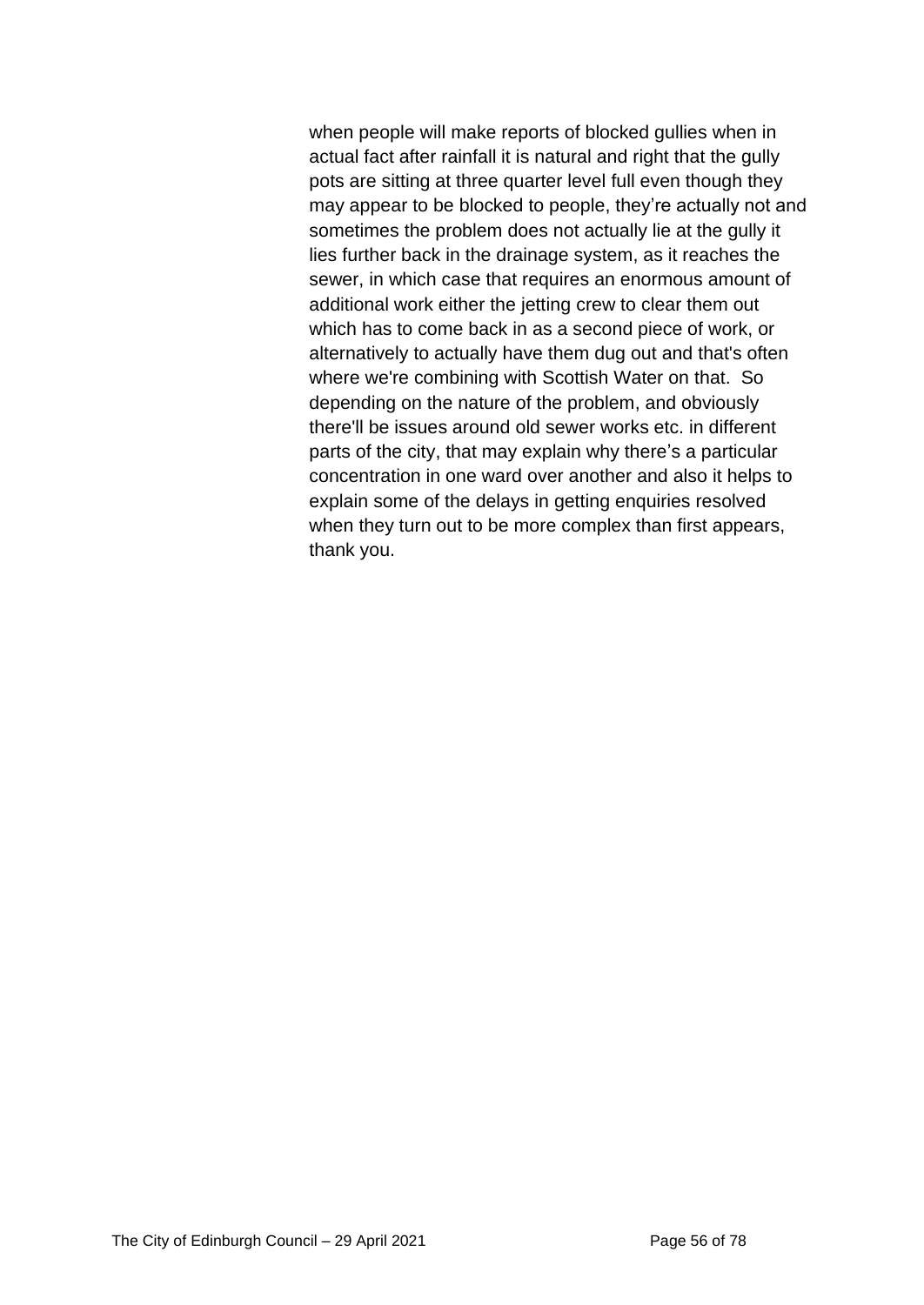when people will make reports of blocked gullies when in actual fact after rainfall it is natural and right that the gully pots are sitting at three quarter level full even though they may appear to be blocked to people, they're actually not and sometimes the problem does not actually lie at the gully it lies further back in the drainage system, as it reaches the sewer, in which case that requires an enormous amount of additional work either the jetting crew to clear them out which has to come back in as a second piece of work, or alternatively to actually have them dug out and that's often where we're combining with Scottish Water on that. So depending on the nature of the problem, and obviously there'll be issues around old sewer works etc. in different parts of the city, that may explain why there's a particular concentration in one ward over another and also it helps to explain some of the delays in getting enquiries resolved when they turn out to be more complex than first appears, thank you.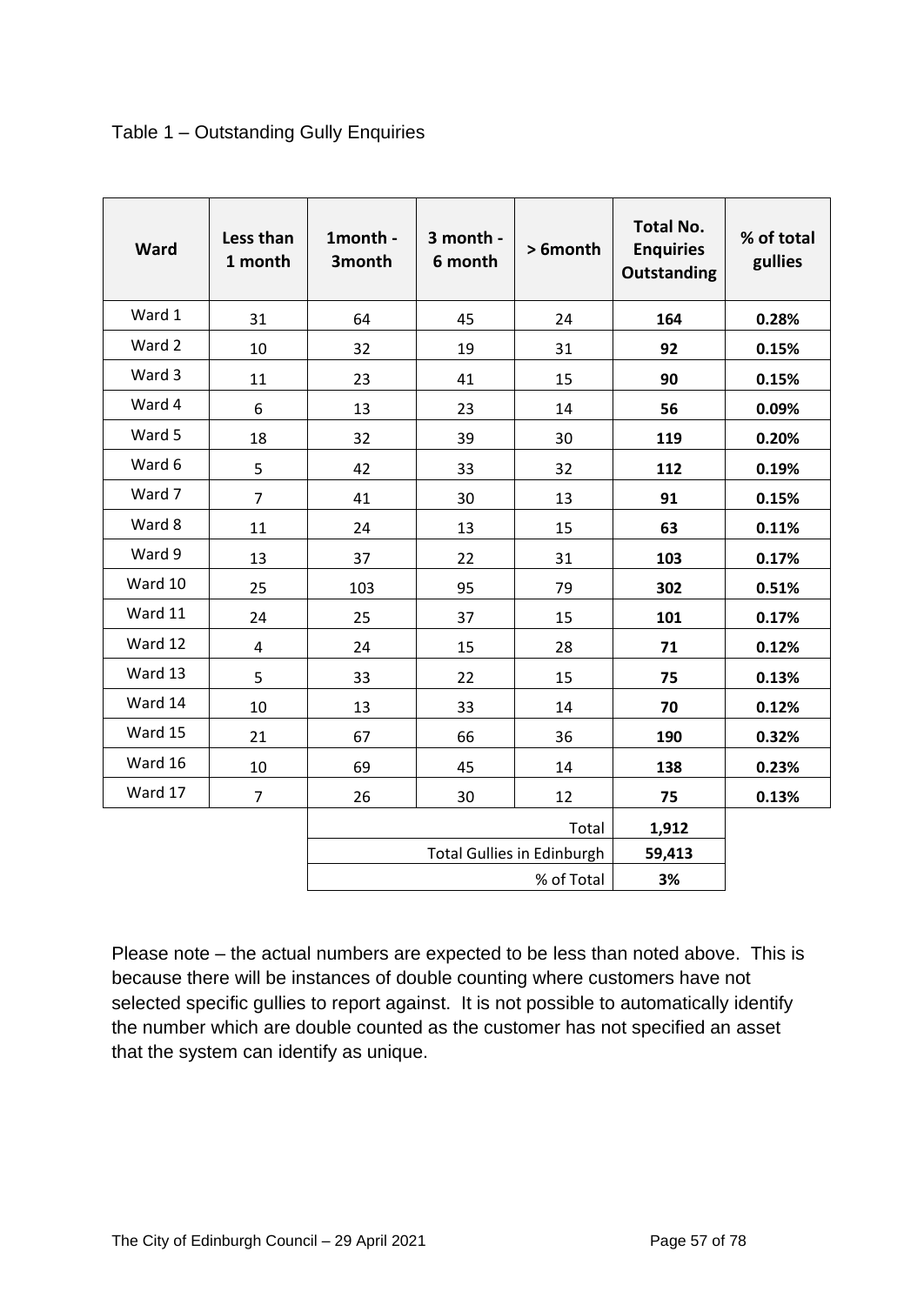|  | Table 1 - Outstanding Gully Enquiries |  |  |
|--|---------------------------------------|--|--|
|--|---------------------------------------|--|--|

| Ward    | Less than<br>1 month | 1month -<br>3month | 3 month -<br>6 month | > 6month                          | <b>Total No.</b><br><b>Enquiries</b><br><b>Outstanding</b> | % of total<br>gullies |
|---------|----------------------|--------------------|----------------------|-----------------------------------|------------------------------------------------------------|-----------------------|
| Ward 1  | 31                   | 64                 | 45                   | 24                                | 164                                                        | 0.28%                 |
| Ward 2  | 10                   | 32                 | 19                   | 31                                | 92                                                         | 0.15%                 |
| Ward 3  | 11                   | 23                 | 41                   | 15                                | 90                                                         | 0.15%                 |
| Ward 4  | 6                    | 13                 | 23                   | 14                                | 56                                                         | 0.09%                 |
| Ward 5  | 18                   | 32                 | 39                   | 30                                | 119                                                        | 0.20%                 |
| Ward 6  | 5                    | 42                 | 33                   | 32                                | 112                                                        | 0.19%                 |
| Ward 7  | $\overline{7}$       | 41                 | 30                   | 13                                | 91                                                         | 0.15%                 |
| Ward 8  | 11                   | 24                 | 13                   | 15                                | 63                                                         | 0.11%                 |
| Ward 9  | 13                   | 37                 | 22                   | 31                                | 103                                                        | 0.17%                 |
| Ward 10 | 25                   | 103                | 95                   | 79                                | 302                                                        | 0.51%                 |
| Ward 11 | 24                   | 25                 | 37                   | 15                                | 101                                                        | 0.17%                 |
| Ward 12 | $\overline{4}$       | 24                 | 15                   | 28                                | 71                                                         | 0.12%                 |
| Ward 13 | 5                    | 33                 | 22                   | 15                                | 75                                                         | 0.13%                 |
| Ward 14 | 10                   | 13                 | 33                   | 14                                | 70                                                         | 0.12%                 |
| Ward 15 | 21                   | 67                 | 66                   | 36                                | 190                                                        | 0.32%                 |
| Ward 16 | 10                   | 69                 | 45                   | 14                                | 138                                                        | 0.23%                 |
| Ward 17 | $\overline{7}$       | 26                 | 30                   | 12                                | 75                                                         | 0.13%                 |
|         |                      |                    |                      | Total                             | 1,912                                                      |                       |
|         |                      |                    |                      | <b>Total Gullies in Edinburgh</b> | 59,413                                                     |                       |
|         |                      |                    |                      | % of Total                        | 3%                                                         |                       |

Please note – the actual numbers are expected to be less than noted above. This is because there will be instances of double counting where customers have not selected specific gullies to report against. It is not possible to automatically identify the number which are double counted as the customer has not specified an asset that the system can identify as unique.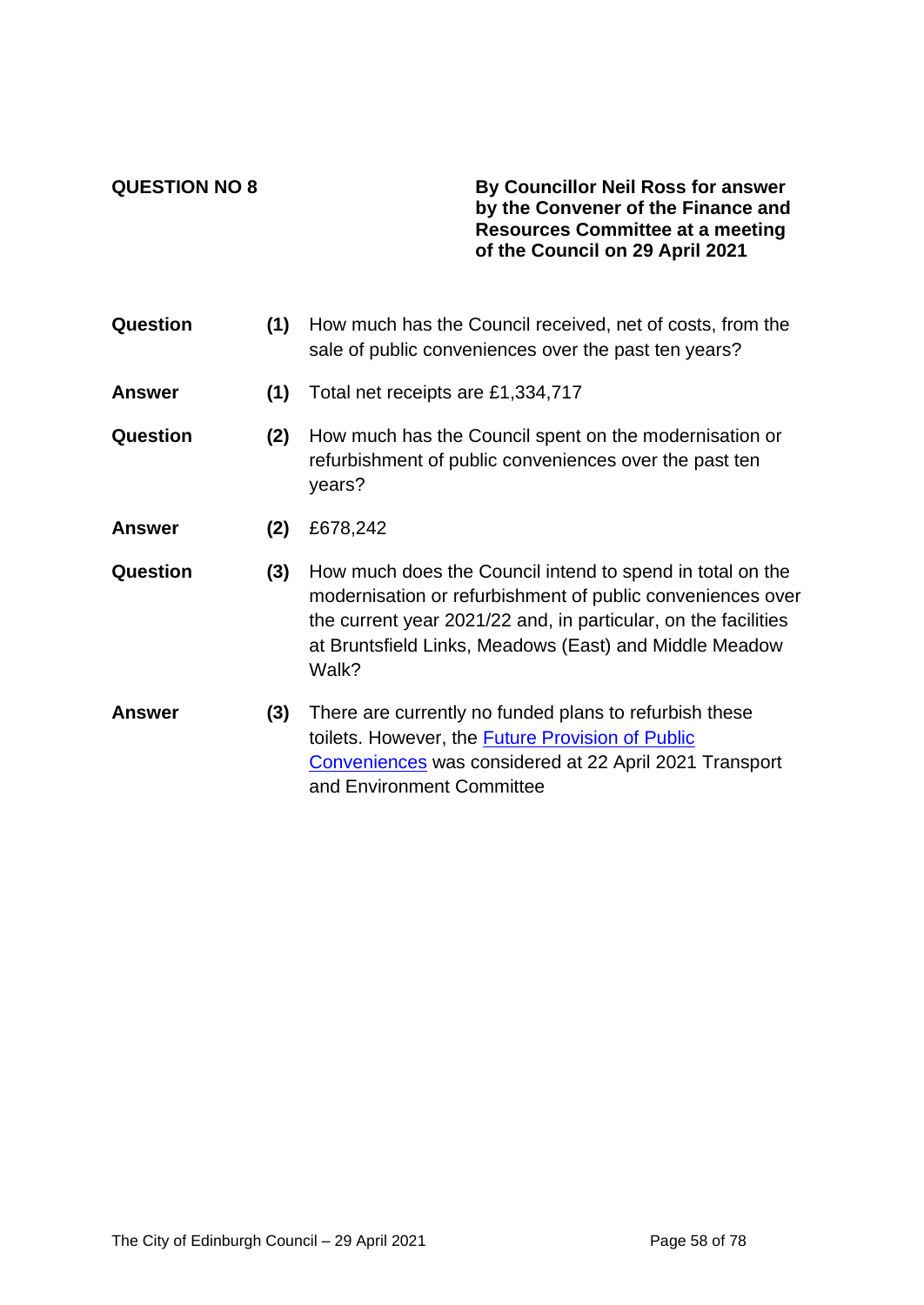### **QUESTION NO 8 By Councillor Neil Ross for answer by the Convener of the Finance and Resources Committee at a meeting of the Council on 29 April 2021**

| Question      | (1) | How much has the Council received, net of costs, from the<br>sale of public conveniences over the past ten years?                                                                                                                                            |
|---------------|-----|--------------------------------------------------------------------------------------------------------------------------------------------------------------------------------------------------------------------------------------------------------------|
| <b>Answer</b> | (1) | Total net receipts are £1,334,717                                                                                                                                                                                                                            |
| Question      | (2) | How much has the Council spent on the modernisation or<br>refurbishment of public conveniences over the past ten<br>years?                                                                                                                                   |
| <b>Answer</b> | (2) | £678,242                                                                                                                                                                                                                                                     |
| Question      | (3) | How much does the Council intend to spend in total on the<br>modernisation or refurbishment of public conveniences over<br>the current year 2021/22 and, in particular, on the facilities<br>at Bruntsfield Links, Meadows (East) and Middle Meadow<br>Walk? |
| <b>Answer</b> | (3) | There are currently no funded plans to refurbish these<br>toilets. However, the <b>Future Provision of Public</b><br>Conveniences was considered at 22 April 2021 Transport<br>and Environment Committee                                                     |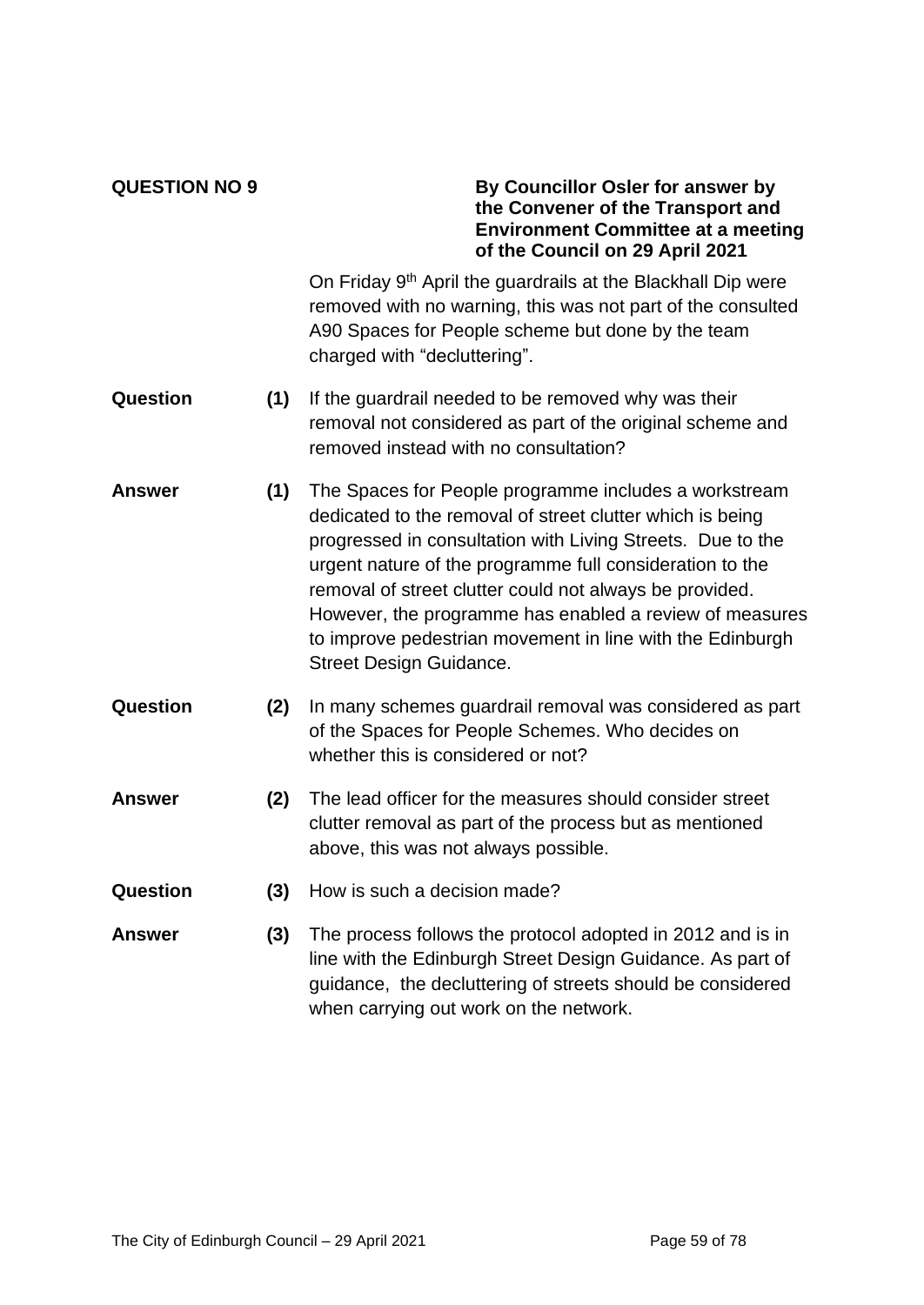### **QUESTION NO 9 By Councillor Osler for answer by the Convener of the Transport and Environment Committee at a meeting of the Council on 29 April 2021**

On Friday 9<sup>th</sup> April the guardrails at the Blackhall Dip were removed with no warning, this was not part of the consulted A90 Spaces for People scheme but done by the team charged with "decluttering".

- **Question (1)** If the guardrail needed to be removed why was their removal not considered as part of the original scheme and removed instead with no consultation?
- **Answer (1)** The Spaces for People programme includes a workstream dedicated to the removal of street clutter which is being progressed in consultation with Living Streets. Due to the urgent nature of the programme full consideration to the removal of street clutter could not always be provided. However, the programme has enabled a review of measures to improve pedestrian movement in line with the Edinburgh Street Design Guidance.
- **Question (2)** In many schemes guardrail removal was considered as part of the Spaces for People Schemes. Who decides on whether this is considered or not?
- **Answer (2)** The lead officer for the measures should consider street clutter removal as part of the process but as mentioned above, this was not always possible.
- **Question (3)** How is such a decision made?
- **Answer (3)** The process follows the protocol adopted in 2012 and is in line with the Edinburgh Street Design Guidance. As part of guidance, the decluttering of streets should be considered when carrying out work on the network.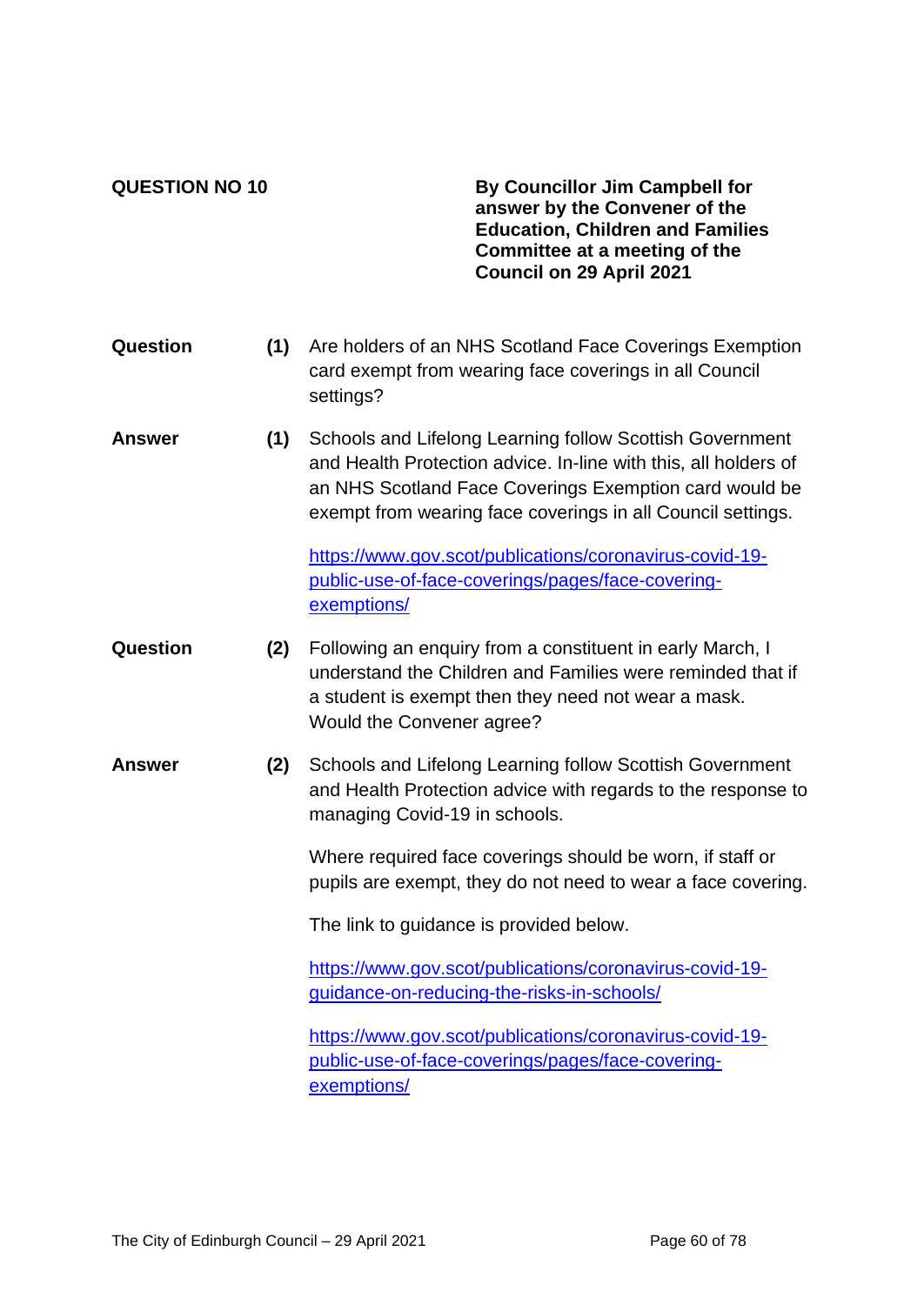**QUESTION NO 10 By Councillor Jim Campbell for answer by the Convener of the Education, Children and Families Committee at a meeting of the Council on 29 April 2021**

- **Question (1)** Are holders of an NHS Scotland Face Coverings Exemption card exempt from wearing face coverings in all Council settings?
- **Answer (1)** Schools and Lifelong Learning follow Scottish Government and Health Protection advice. In-line with this, all holders of an NHS Scotland Face Coverings Exemption card would be exempt from wearing face coverings in all Council settings.

[https://www.gov.scot/publications/coronavirus-covid-19](https://www.gov.scot/publications/coronavirus-covid-19-public-use-of-face-coverings/pages/face-covering-exemptions/) [public-use-of-face-coverings/pages/face-covering](https://www.gov.scot/publications/coronavirus-covid-19-public-use-of-face-coverings/pages/face-covering-exemptions/)[exemptions/](https://www.gov.scot/publications/coronavirus-covid-19-public-use-of-face-coverings/pages/face-covering-exemptions/)

- **Question (2)** Following an enquiry from a constituent in early March, I understand the Children and Families were reminded that if a student is exempt then they need not wear a mask. Would the Convener agree?
- **Answer (2)** Schools and Lifelong Learning follow Scottish Government and Health Protection advice with regards to the response to managing Covid-19 in schools.

Where required face coverings should be worn, if staff or pupils are exempt, they do not need to wear a face covering.

The link to guidance is provided below.

[https://www.gov.scot/publications/coronavirus-covid-19](https://www.gov.scot/publications/coronavirus-covid-19-guidance-on-reducing-the-risks-in-schools/) [guidance-on-reducing-the-risks-in-schools/](https://www.gov.scot/publications/coronavirus-covid-19-guidance-on-reducing-the-risks-in-schools/)

[https://www.gov.scot/publications/coronavirus-covid-19](https://www.gov.scot/publications/coronavirus-covid-19-public-use-of-face-coverings/pages/face-covering-exemptions/) [public-use-of-face-coverings/pages/face-covering](https://www.gov.scot/publications/coronavirus-covid-19-public-use-of-face-coverings/pages/face-covering-exemptions/)[exemptions/](https://www.gov.scot/publications/coronavirus-covid-19-public-use-of-face-coverings/pages/face-covering-exemptions/)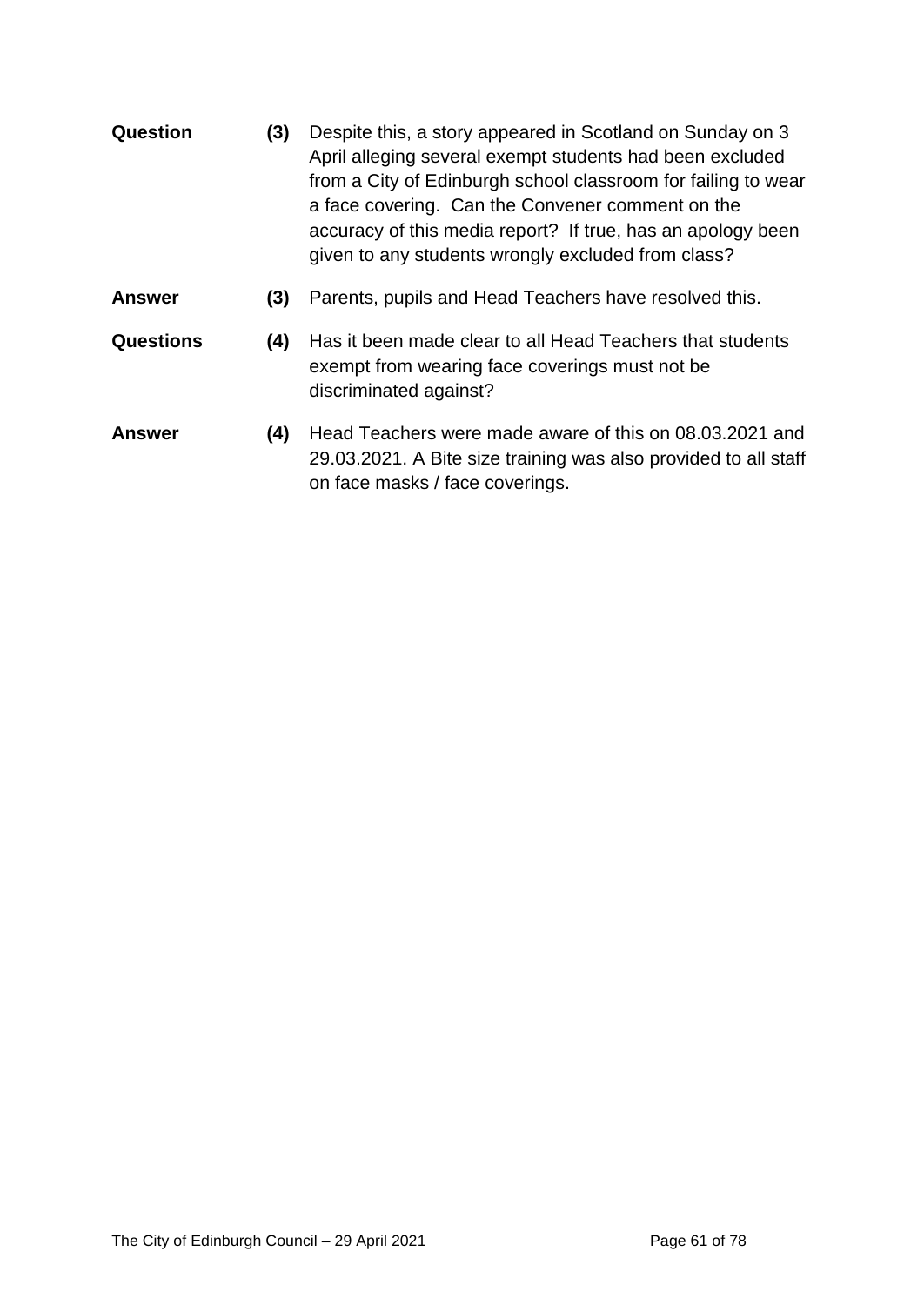- **Question (3)** Despite this, a story appeared in Scotland on Sunday on 3 April alleging several exempt students had been excluded from a City of Edinburgh school classroom for failing to wear a face covering. Can the Convener comment on the accuracy of this media report? If true, has an apology been given to any students wrongly excluded from class?
- **Answer (3)** Parents, pupils and Head Teachers have resolved this.
- **Questions (4)** Has it been made clear to all Head Teachers that students exempt from wearing face coverings must not be discriminated against?
- **Answer (4)** Head Teachers were made aware of this on 08.03.2021 and 29.03.2021. A Bite size training was also provided to all staff on face masks / face coverings.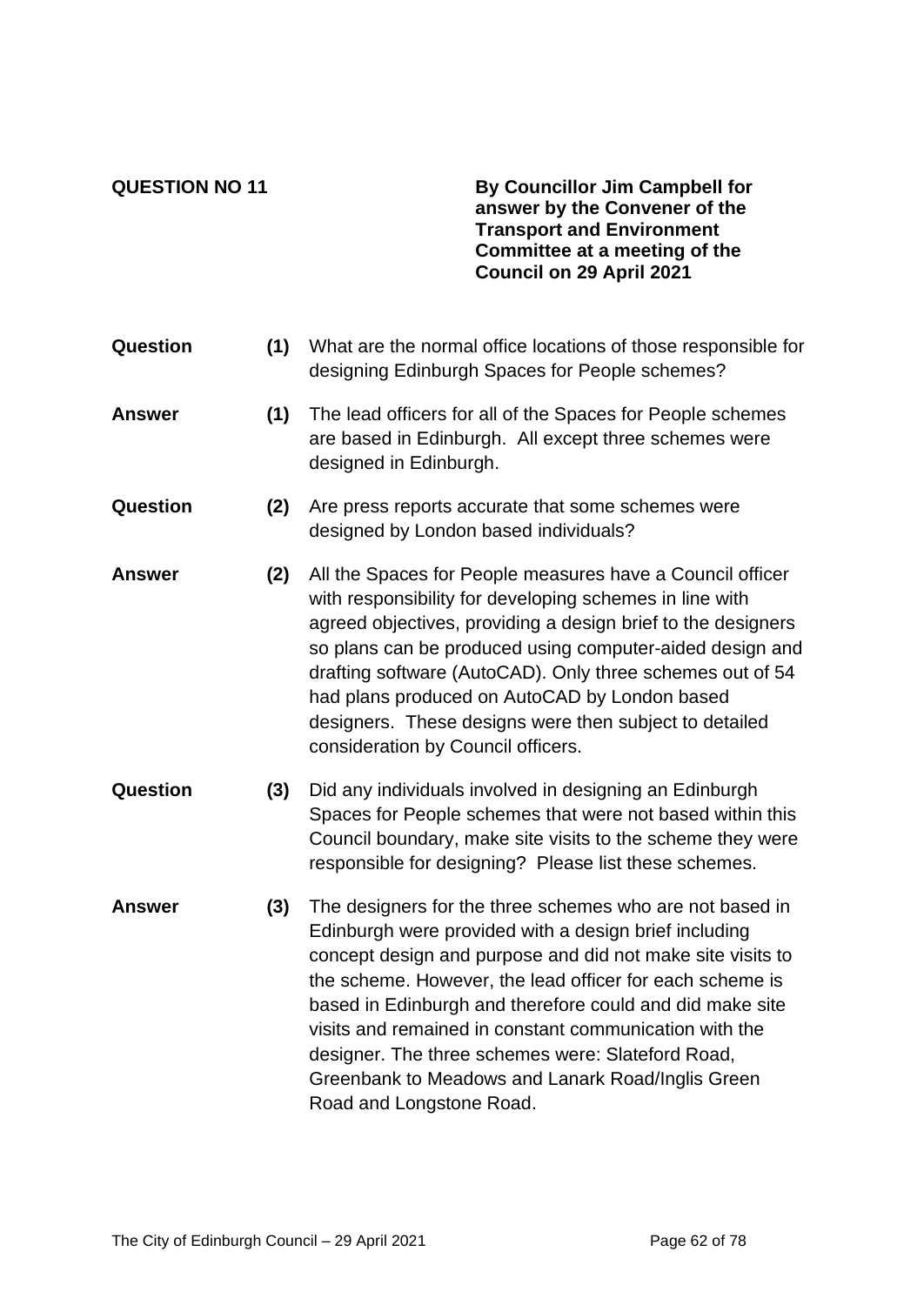**QUESTION NO 11 By Councillor Jim Campbell for answer by the Convener of the Transport and Environment Committee at a meeting of the Council on 29 April 2021**

- **Question (1)** What are the normal office locations of those responsible for designing Edinburgh Spaces for People schemes? **Answer (1)** The lead officers for all of the Spaces for People schemes are based in Edinburgh. All except three schemes were designed in Edinburgh. **Question (2)** Are press reports accurate that some schemes were designed by London based individuals? **Answer (2)** All the Spaces for People measures have a Council officer with responsibility for developing schemes in line with agreed objectives, providing a design brief to the designers so plans can be produced using computer-aided design and drafting software (AutoCAD). Only three schemes out of 54 had plans produced on AutoCAD by London based designers. These designs were then subject to detailed consideration by Council officers. **Question (3)** Did any individuals involved in designing an Edinburgh Spaces for People schemes that were not based within this Council boundary, make site visits to the scheme they were responsible for designing? Please list these schemes.
- **Answer (3)** The designers for the three schemes who are not based in Edinburgh were provided with a design brief including concept design and purpose and did not make site visits to the scheme. However, the lead officer for each scheme is based in Edinburgh and therefore could and did make site visits and remained in constant communication with the designer. The three schemes were: Slateford Road, Greenbank to Meadows and Lanark Road/Inglis Green Road and Longstone Road.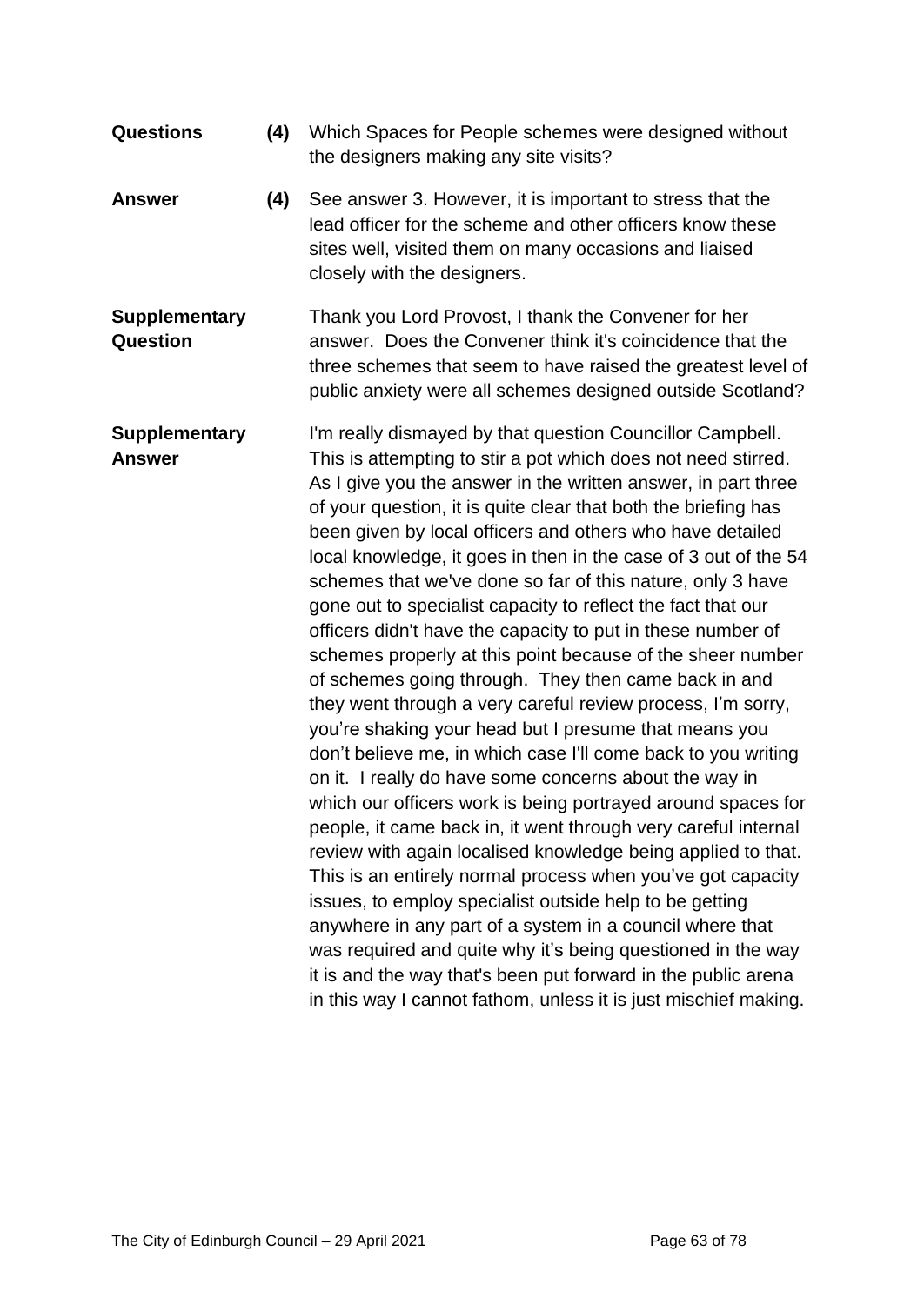| <b>Questions</b>                        | (4) | Which Spaces for People schemes were designed without<br>the designers making any site visits?                                                                                                                                                                                                                                                                                                                                                                                                                                                                                                                                                                                                                                                                                                                                                                                                                                                                                                                                                                                                                                                                                                                                                                                                                                                                                                                                                                                                                                                                 |
|-----------------------------------------|-----|----------------------------------------------------------------------------------------------------------------------------------------------------------------------------------------------------------------------------------------------------------------------------------------------------------------------------------------------------------------------------------------------------------------------------------------------------------------------------------------------------------------------------------------------------------------------------------------------------------------------------------------------------------------------------------------------------------------------------------------------------------------------------------------------------------------------------------------------------------------------------------------------------------------------------------------------------------------------------------------------------------------------------------------------------------------------------------------------------------------------------------------------------------------------------------------------------------------------------------------------------------------------------------------------------------------------------------------------------------------------------------------------------------------------------------------------------------------------------------------------------------------------------------------------------------------|
| <b>Answer</b>                           | (4) | See answer 3. However, it is important to stress that the<br>lead officer for the scheme and other officers know these<br>sites well, visited them on many occasions and liaised<br>closely with the designers.                                                                                                                                                                                                                                                                                                                                                                                                                                                                                                                                                                                                                                                                                                                                                                                                                                                                                                                                                                                                                                                                                                                                                                                                                                                                                                                                                |
| <b>Supplementary</b><br><b>Question</b> |     | Thank you Lord Provost, I thank the Convener for her<br>answer. Does the Convener think it's coincidence that the<br>three schemes that seem to have raised the greatest level of<br>public anxiety were all schemes designed outside Scotland?                                                                                                                                                                                                                                                                                                                                                                                                                                                                                                                                                                                                                                                                                                                                                                                                                                                                                                                                                                                                                                                                                                                                                                                                                                                                                                                |
| <b>Supplementary</b><br><b>Answer</b>   |     | I'm really dismayed by that question Councillor Campbell.<br>This is attempting to stir a pot which does not need stirred.<br>As I give you the answer in the written answer, in part three<br>of your question, it is quite clear that both the briefing has<br>been given by local officers and others who have detailed<br>local knowledge, it goes in then in the case of 3 out of the 54<br>schemes that we've done so far of this nature, only 3 have<br>gone out to specialist capacity to reflect the fact that our<br>officers didn't have the capacity to put in these number of<br>schemes properly at this point because of the sheer number<br>of schemes going through. They then came back in and<br>they went through a very careful review process, I'm sorry,<br>you're shaking your head but I presume that means you<br>don't believe me, in which case I'll come back to you writing<br>on it. I really do have some concerns about the way in<br>which our officers work is being portrayed around spaces for<br>people, it came back in, it went through very careful internal<br>review with again localised knowledge being applied to that.<br>This is an entirely normal process when you've got capacity<br>issues, to employ specialist outside help to be getting<br>anywhere in any part of a system in a council where that<br>was required and quite why it's being questioned in the way<br>it is and the way that's been put forward in the public arena<br>in this way I cannot fathom, unless it is just mischief making. |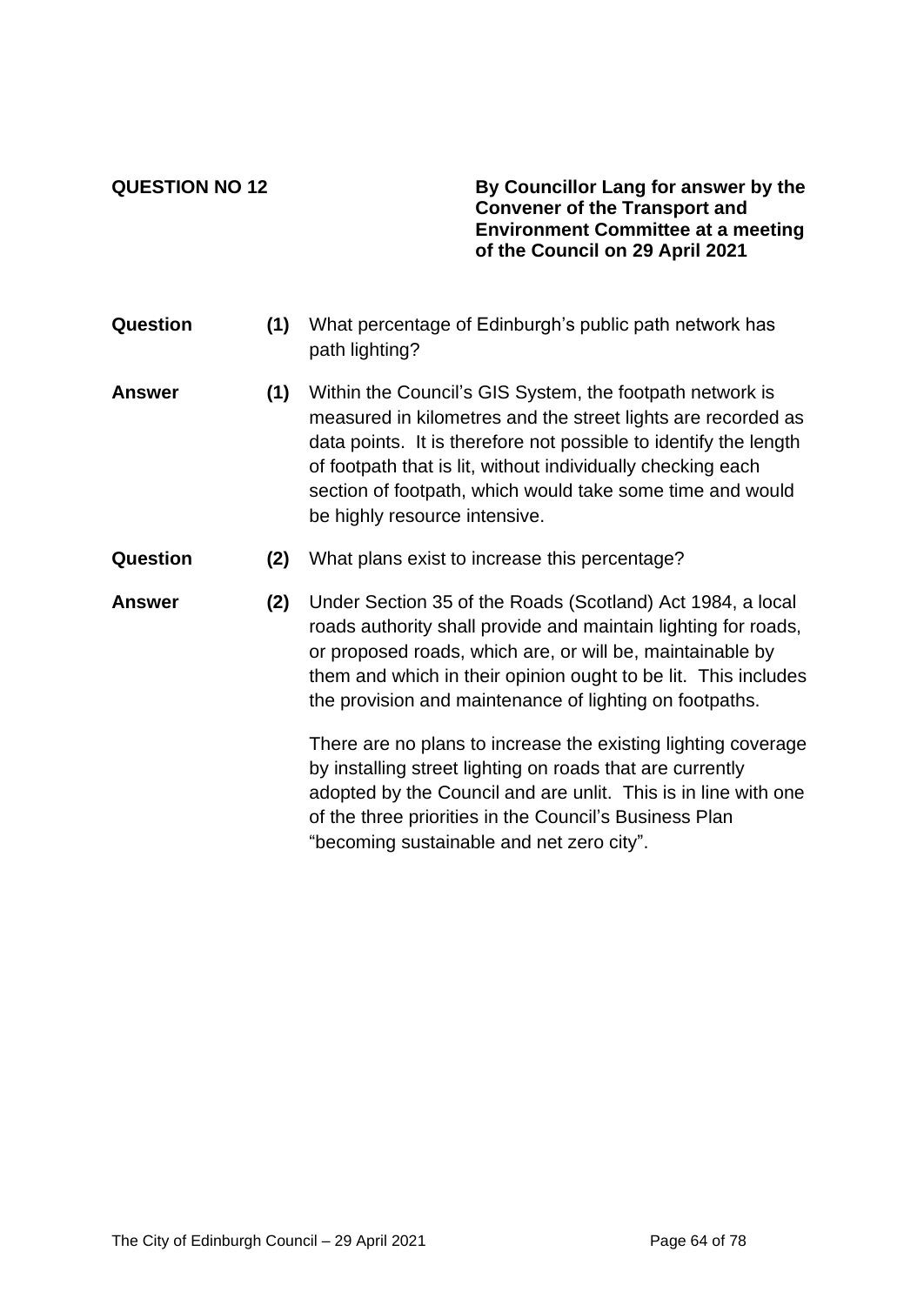**QUESTION NO 12 By Councillor Lang for answer by the Convener of the Transport and Environment Committee at a meeting of the Council on 29 April 2021**

- **Question (1)** What percentage of Edinburgh's public path network has path lighting?
- **Answer (1)** Within the Council's GIS System, the footpath network is measured in kilometres and the street lights are recorded as data points. It is therefore not possible to identify the length of footpath that is lit, without individually checking each section of footpath, which would take some time and would be highly resource intensive.
- **Question (2)** What plans exist to increase this percentage?
- **Answer (2)** Under Section 35 of the Roads (Scotland) Act 1984, a local roads authority shall provide and maintain lighting for roads, or proposed roads, which are, or will be, maintainable by them and which in their opinion ought to be lit. This includes the provision and maintenance of lighting on footpaths.

There are no plans to increase the existing lighting coverage by installing street lighting on roads that are currently adopted by the Council and are unlit. This is in line with one of the three priorities in the Council's Business Plan "becoming sustainable and net zero city".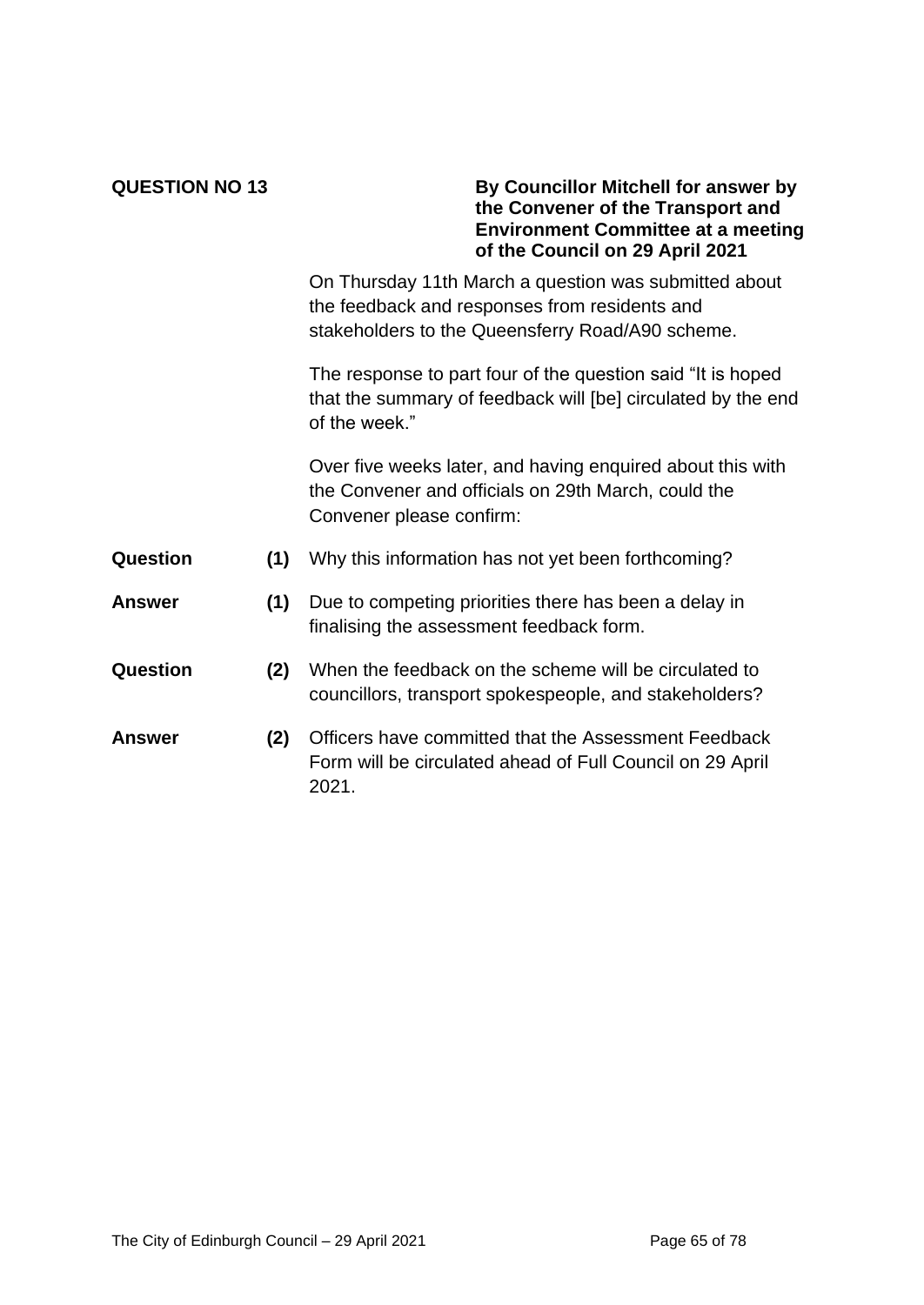### **QUESTION NO 13 By Councillor Mitchell for answer by the Convener of the Transport and Environment Committee at a meeting of the Council on 29 April 2021**

On Thursday 11th March a question was submitted about the feedback and responses from residents and stakeholders to the Queensferry Road/A90 scheme.

The response to part four of the question said "It is hoped that the summary of feedback will [be] circulated by the end of the week."

Over five weeks later, and having enquired about this with the Convener and officials on 29th March, could the Convener please confirm:

- **Question (1)** Why this information has not yet been forthcoming?
- **Answer (1)** Due to competing priorities there has been a delay in finalising the assessment feedback form.
- **Question (2)** When the feedback on the scheme will be circulated to councillors, transport spokespeople, and stakeholders?
- **Answer (2)** Officers have committed that the Assessment Feedback Form will be circulated ahead of Full Council on 29 April 2021.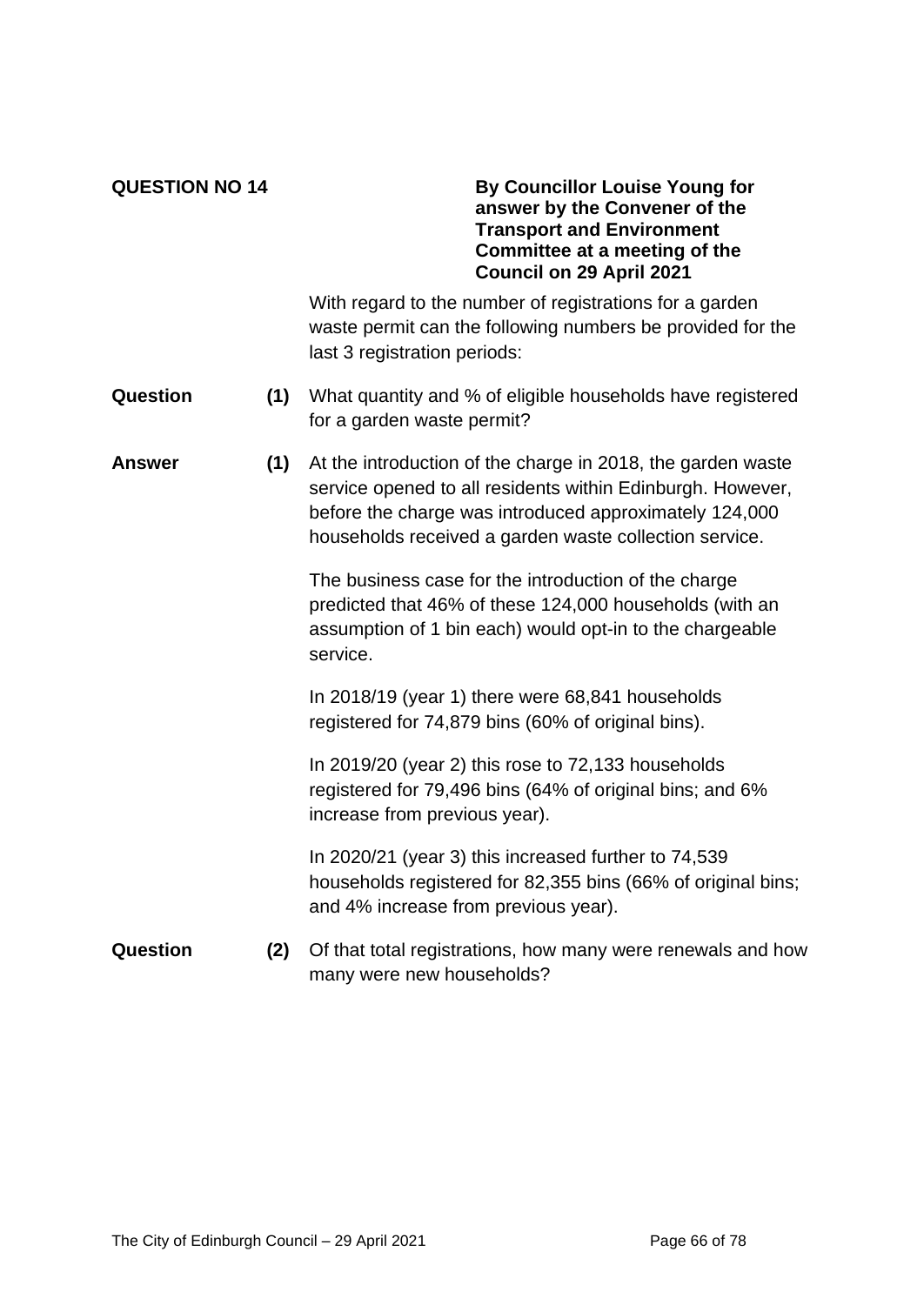### **QUESTION NO 14 By Councillor Louise Young for answer by the Convener of the Transport and Environment Committee at a meeting of the Council on 29 April 2021**

With regard to the number of registrations for a garden waste permit can the following numbers be provided for the last 3 registration periods:

- **Question (1)** What quantity and % of eligible households have registered for a garden waste permit?
- **Answer (1)** At the introduction of the charge in 2018, the garden waste service opened to all residents within Edinburgh. However, before the charge was introduced approximately 124,000 households received a garden waste collection service.

The business case for the introduction of the charge predicted that 46% of these 124,000 households (with an assumption of 1 bin each) would opt-in to the chargeable service.

In 2018/19 (year 1) there were 68,841 households registered for 74,879 bins (60% of original bins).

In 2019/20 (year 2) this rose to 72,133 households registered for 79,496 bins (64% of original bins; and 6% increase from previous year).

In 2020/21 (year 3) this increased further to 74,539 households registered for 82,355 bins (66% of original bins; and 4% increase from previous year).

**Question (2)** Of that total registrations, how many were renewals and how many were new households?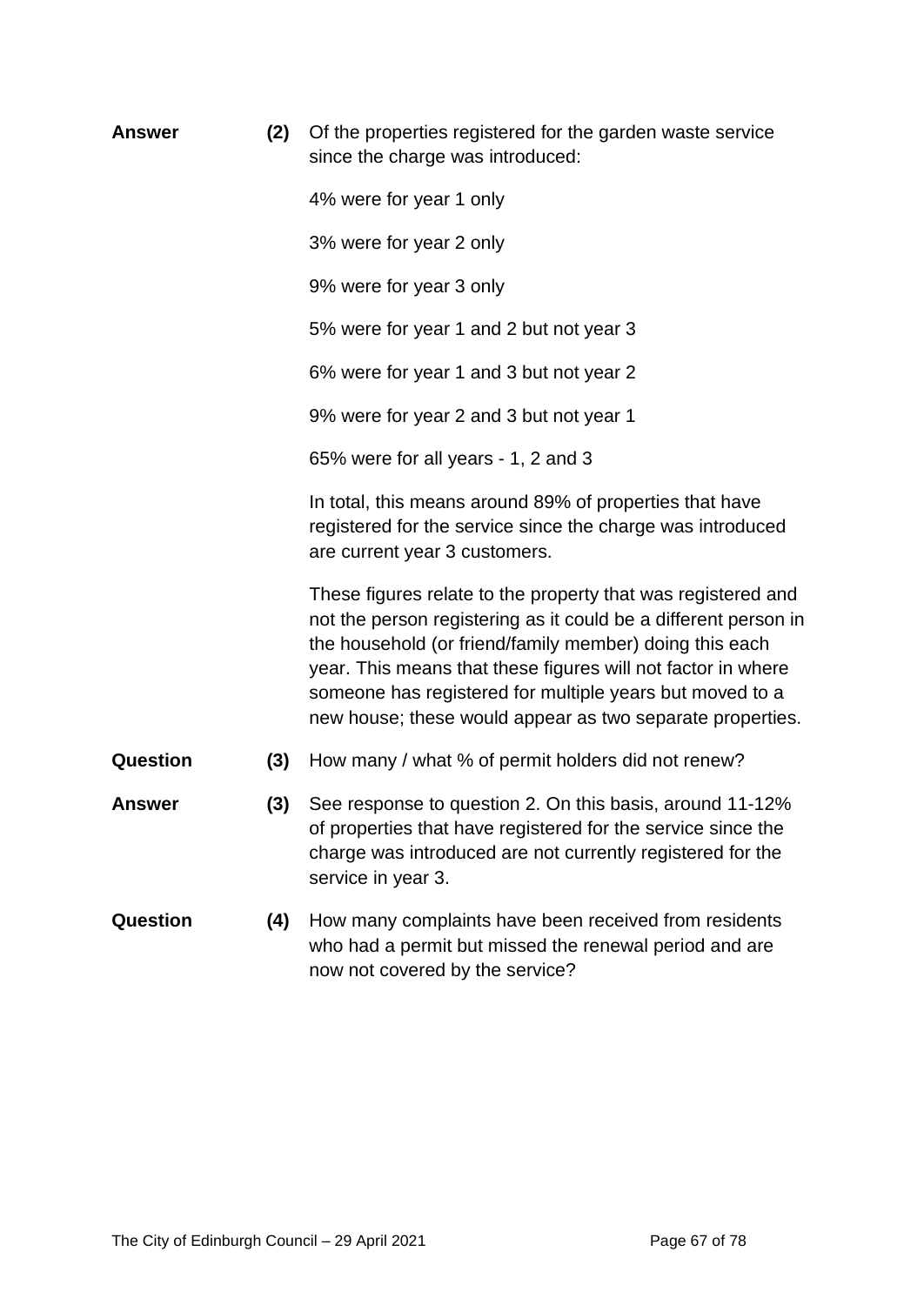| <b>Answer</b> | (2) | Of the properties registered for the garden waste service<br>since the charge was introduced:                                                                                                                                                                                                                                                                                       |
|---------------|-----|-------------------------------------------------------------------------------------------------------------------------------------------------------------------------------------------------------------------------------------------------------------------------------------------------------------------------------------------------------------------------------------|
|               |     | 4% were for year 1 only                                                                                                                                                                                                                                                                                                                                                             |
|               |     | 3% were for year 2 only                                                                                                                                                                                                                                                                                                                                                             |
|               |     | 9% were for year 3 only                                                                                                                                                                                                                                                                                                                                                             |
|               |     | 5% were for year 1 and 2 but not year 3                                                                                                                                                                                                                                                                                                                                             |
|               |     | 6% were for year 1 and 3 but not year 2                                                                                                                                                                                                                                                                                                                                             |
|               |     | 9% were for year 2 and 3 but not year 1                                                                                                                                                                                                                                                                                                                                             |
|               |     | 65% were for all years - 1, 2 and 3                                                                                                                                                                                                                                                                                                                                                 |
|               |     | In total, this means around 89% of properties that have<br>registered for the service since the charge was introduced<br>are current year 3 customers.                                                                                                                                                                                                                              |
|               |     | These figures relate to the property that was registered and<br>not the person registering as it could be a different person in<br>the household (or friend/family member) doing this each<br>year. This means that these figures will not factor in where<br>someone has registered for multiple years but moved to a<br>new house; these would appear as two separate properties. |
| Question      | (3) | How many / what % of permit holders did not renew?                                                                                                                                                                                                                                                                                                                                  |
| <b>Answer</b> | (3) | See response to question 2. On this basis, around 11-12%<br>of properties that have registered for the service since the<br>charge was introduced are not currently registered for the<br>service in year 3.                                                                                                                                                                        |
| Question      | (4) | How many complaints have been received from residents<br>who had a permit but missed the renewal period and are<br>now not covered by the service?                                                                                                                                                                                                                                  |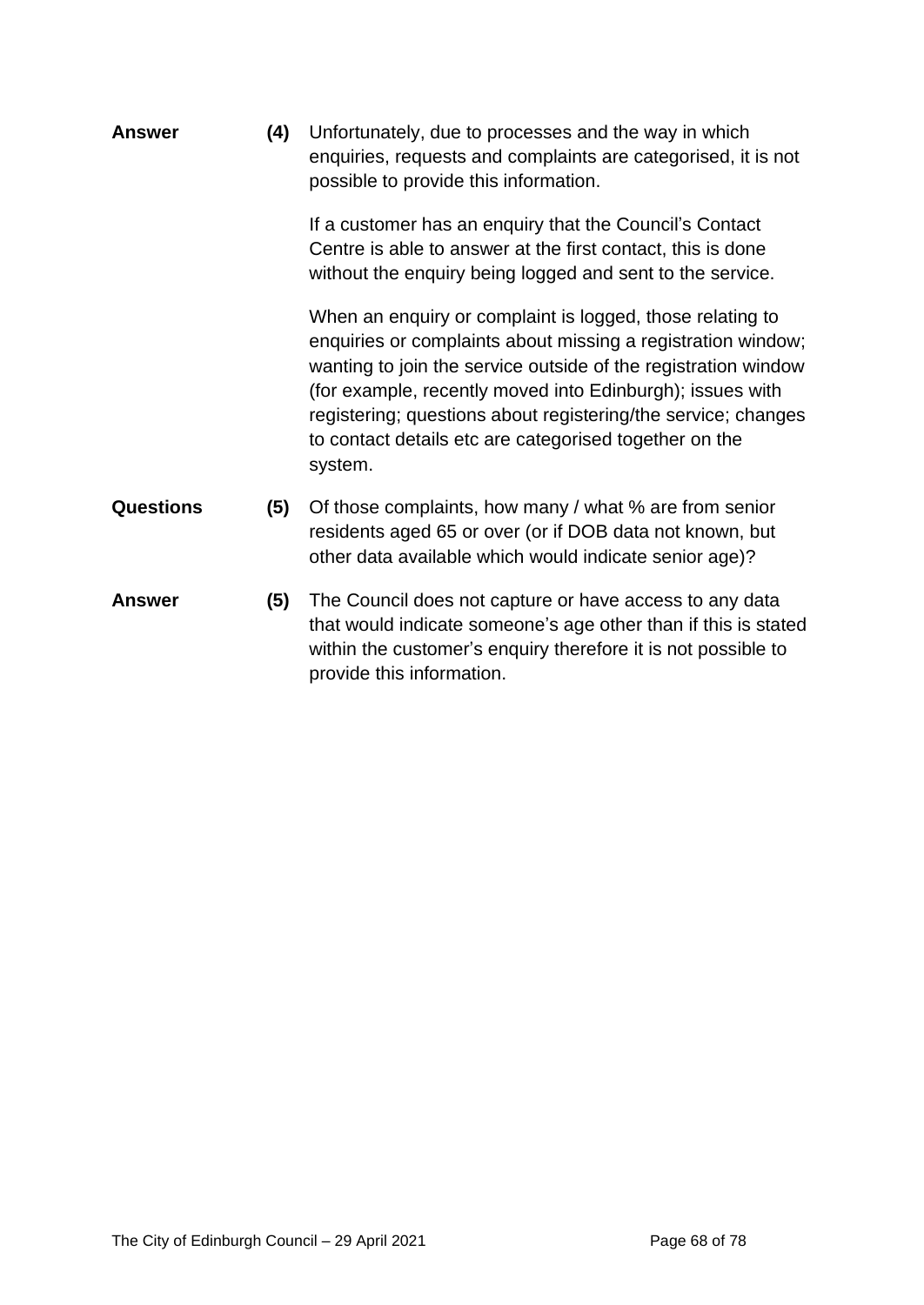**Answer (4)** Unfortunately, due to processes and the way in which enquiries, requests and complaints are categorised, it is not possible to provide this information.

> If a customer has an enquiry that the Council's Contact Centre is able to answer at the first contact, this is done without the enquiry being logged and sent to the service.

When an enquiry or complaint is logged, those relating to enquiries or complaints about missing a registration window; wanting to join the service outside of the registration window (for example, recently moved into Edinburgh); issues with registering; questions about registering/the service; changes to contact details etc are categorised together on the system.

- **Questions (5)** Of those complaints, how many / what % are from senior residents aged 65 or over (or if DOB data not known, but other data available which would indicate senior age)?
- **Answer (5)** The Council does not capture or have access to any data that would indicate someone's age other than if this is stated within the customer's enquiry therefore it is not possible to provide this information.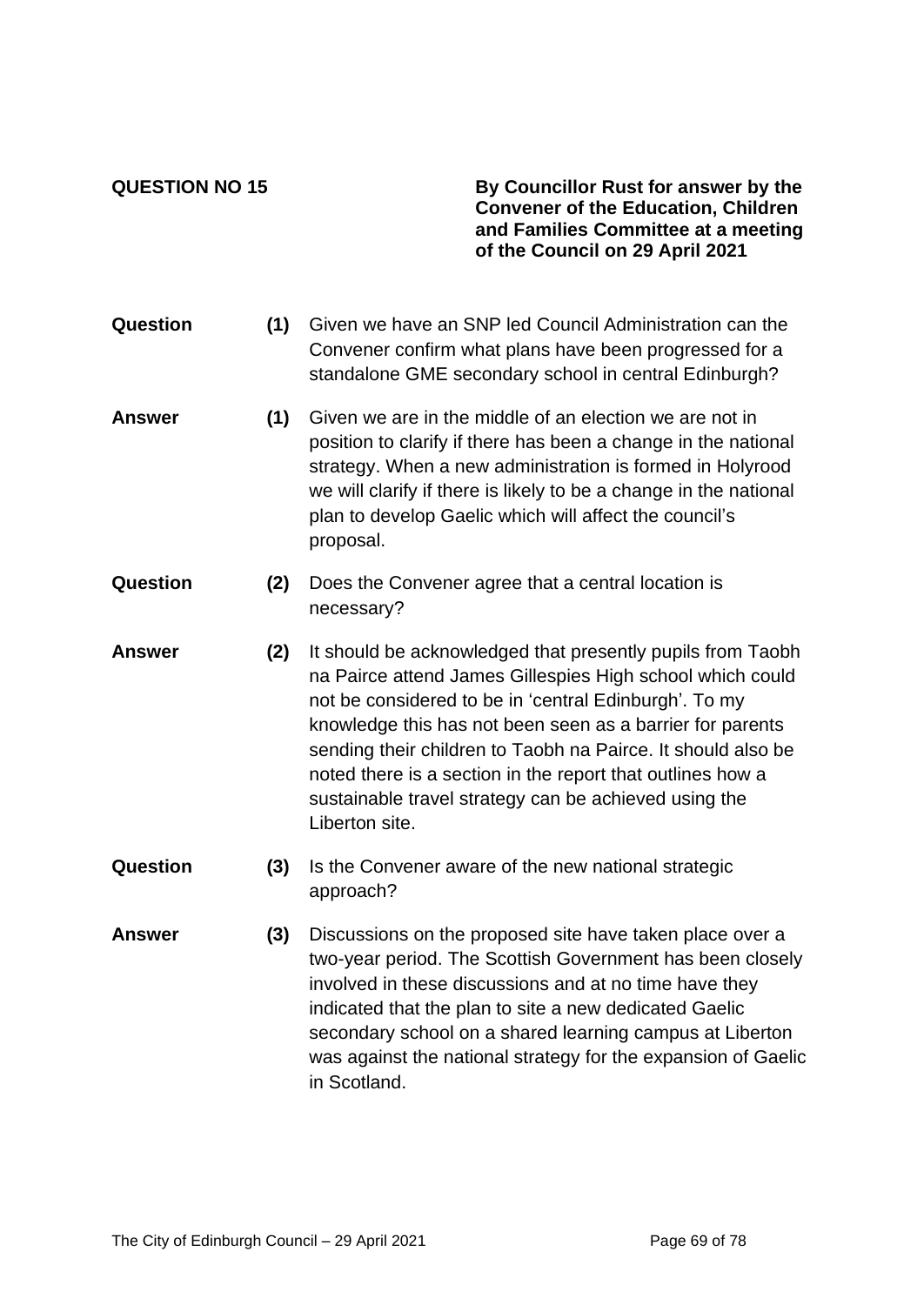**QUESTION NO 15 By Councillor Rust for answer by the Convener of the Education, Children and Families Committee at a meeting of the Council on 29 April 2021**

- **Question (1)** Given we have an SNP led Council Administration can the Convener confirm what plans have been progressed for a standalone GME secondary school in central Edinburgh?
- **Answer (1)** Given we are in the middle of an election we are not in position to clarify if there has been a change in the national strategy. When a new administration is formed in Holyrood we will clarify if there is likely to be a change in the national plan to develop Gaelic which will affect the council's proposal.
- **Question (2)** Does the Convener agree that a central location is necessary?
- **Answer (2)** It should be acknowledged that presently pupils from Taobh na Pairce attend James Gillespies High school which could not be considered to be in 'central Edinburgh'. To my knowledge this has not been seen as a barrier for parents sending their children to Taobh na Pairce. It should also be noted there is a section in the report that outlines how a sustainable travel strategy can be achieved using the Liberton site.
- **Question (3)** Is the Convener aware of the new national strategic approach?
- **Answer (3)** Discussions on the proposed site have taken place over a two-year period. The Scottish Government has been closely involved in these discussions and at no time have they indicated that the plan to site a new dedicated Gaelic secondary school on a shared learning campus at Liberton was against the national strategy for the expansion of Gaelic in Scotland.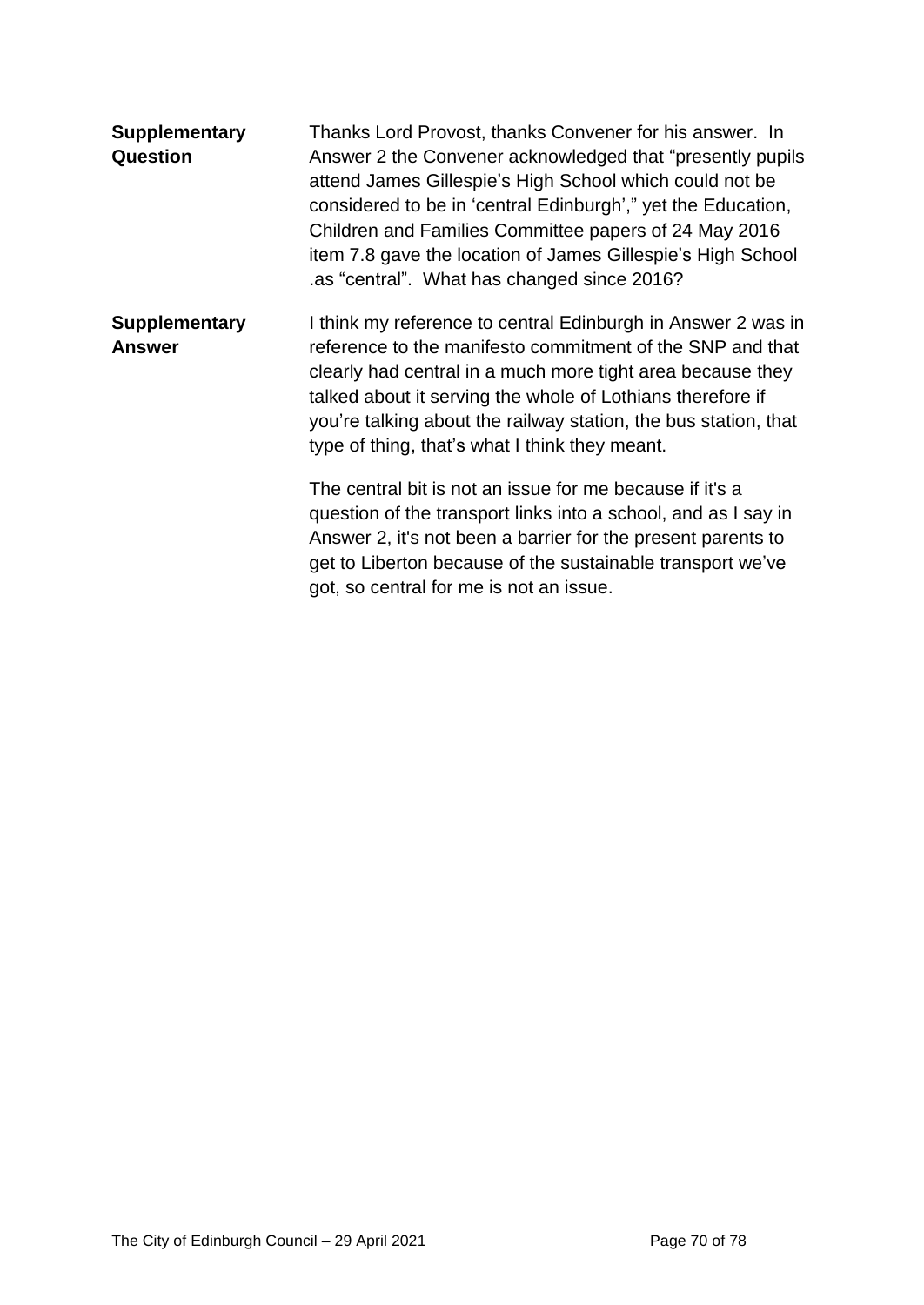| <b>Supplementary</b><br>Question      | Thanks Lord Provost, thanks Convener for his answer. In<br>Answer 2 the Convener acknowledged that "presently pupils"<br>attend James Gillespie's High School which could not be<br>considered to be in 'central Edinburgh'," yet the Education,<br>Children and Families Committee papers of 24 May 2016<br>item 7.8 gave the location of James Gillespie's High School<br>as "central". What has changed since 2016? |
|---------------------------------------|------------------------------------------------------------------------------------------------------------------------------------------------------------------------------------------------------------------------------------------------------------------------------------------------------------------------------------------------------------------------------------------------------------------------|
| <b>Supplementary</b><br><b>Answer</b> | I think my reference to central Edinburgh in Answer 2 was in<br>reference to the manifesto commitment of the SNP and that<br>clearly had central in a much more tight area because they<br>talked about it serving the whole of Lothians therefore if<br>you're talking about the railway station, the bus station, that<br>type of thing, that's what I think they meant.                                             |
|                                       | The central bit is not an issue for me because if it's a<br>question of the transport links into a school, and as I say in<br>Answer 2, it's not been a barrier for the present parents to<br>get to Liberton because of the sustainable transport we've<br>got, so central for me is not an issue.                                                                                                                    |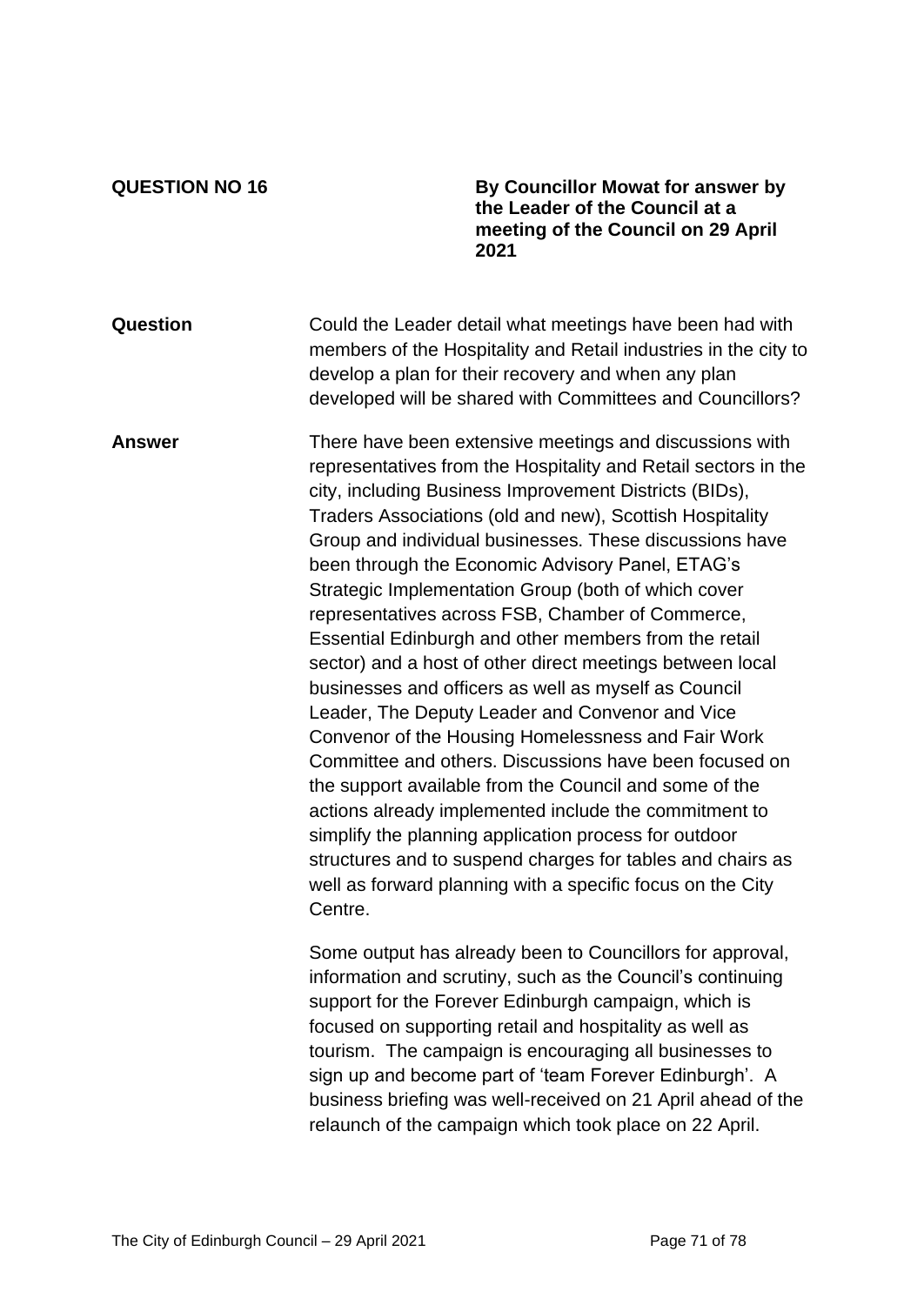**QUESTION NO 16 By Councillor Mowat for answer by the Leader of the Council at a meeting of the Council on 29 April 2021**

**Question** Could the Leader detail what meetings have been had with members of the Hospitality and Retail industries in the city to develop a plan for their recovery and when any plan developed will be shared with Committees and Councillors?

**Answer** There have been extensive meetings and discussions with representatives from the Hospitality and Retail sectors in the city, including Business Improvement Districts (BIDs), Traders Associations (old and new), Scottish Hospitality Group and individual businesses. These discussions have been through the Economic Advisory Panel, ETAG's Strategic Implementation Group (both of which cover representatives across FSB, Chamber of Commerce, Essential Edinburgh and other members from the retail sector) and a host of other direct meetings between local businesses and officers as well as myself as Council Leader, The Deputy Leader and Convenor and Vice Convenor of the Housing Homelessness and Fair Work Committee and others. Discussions have been focused on the support available from the Council and some of the actions already implemented include the commitment to simplify the planning application process for outdoor structures and to suspend charges for tables and chairs as well as forward planning with a specific focus on the City Centre.

> Some output has already been to Councillors for approval, information and scrutiny, such as the Council's continuing support for the Forever Edinburgh campaign, which is focused on supporting retail and hospitality as well as tourism. The campaign is encouraging all businesses to sign up and become part of 'team Forever Edinburgh'. A business briefing was well-received on 21 April ahead of the relaunch of the campaign which took place on 22 April.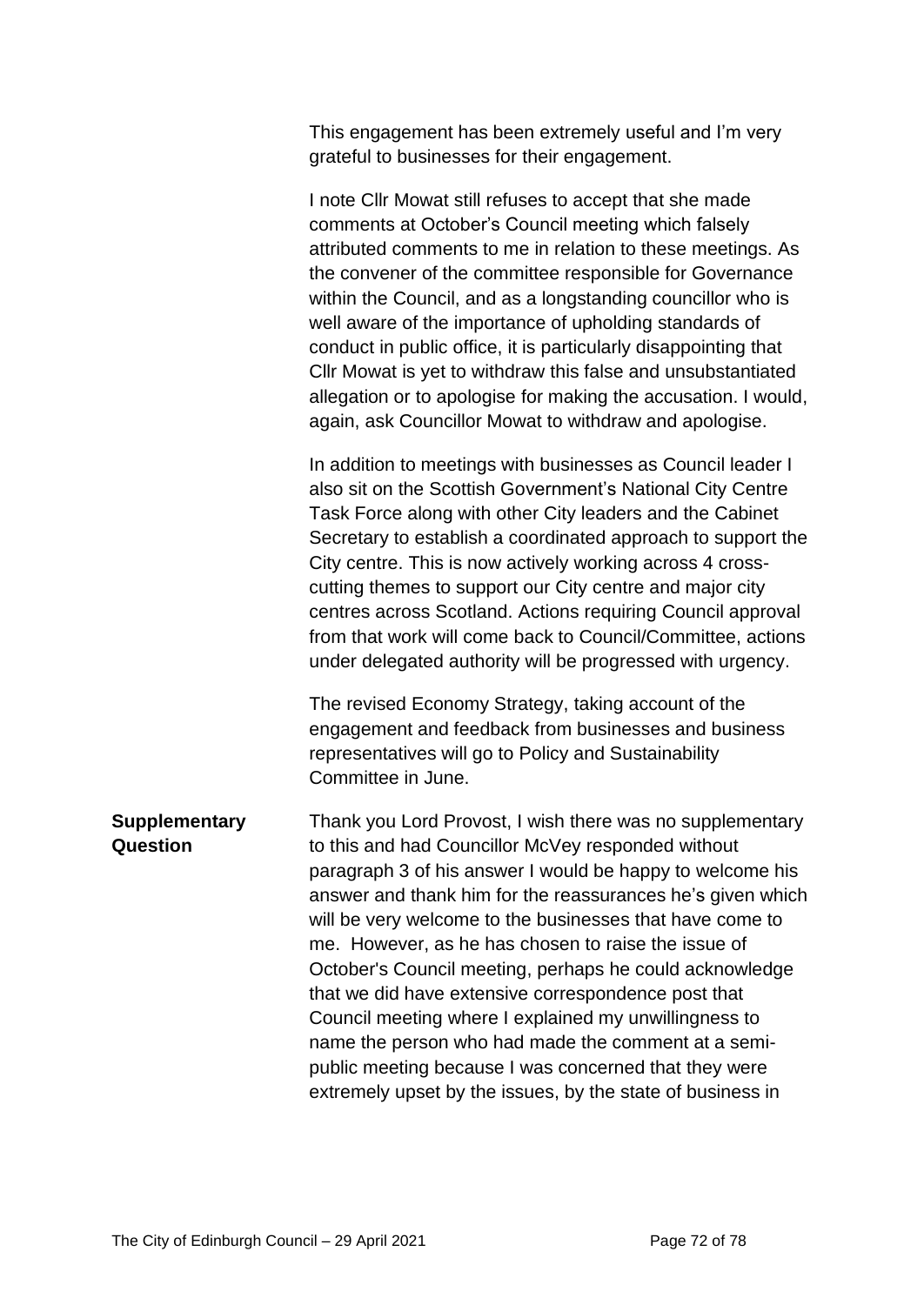This engagement has been extremely useful and I'm very grateful to businesses for their engagement.

I note Cllr Mowat still refuses to accept that she made comments at October's Council meeting which falsely attributed comments to me in relation to these meetings. As the convener of the committee responsible for Governance within the Council, and as a longstanding councillor who is well aware of the importance of upholding standards of conduct in public office, it is particularly disappointing that Cllr Mowat is yet to withdraw this false and unsubstantiated allegation or to apologise for making the accusation. I would, again, ask Councillor Mowat to withdraw and apologise.

In addition to meetings with businesses as Council leader I also sit on the Scottish Government's National City Centre Task Force along with other City leaders and the Cabinet Secretary to establish a coordinated approach to support the City centre. This is now actively working across 4 crosscutting themes to support our City centre and major city centres across Scotland. Actions requiring Council approval from that work will come back to Council/Committee, actions under delegated authority will be progressed with urgency.

The revised Economy Strategy, taking account of the engagement and feedback from businesses and business representatives will go to Policy and Sustainability Committee in June.

**Supplementary Question** Thank you Lord Provost, I wish there was no supplementary to this and had Councillor McVey responded without paragraph 3 of his answer I would be happy to welcome his answer and thank him for the reassurances he's given which will be very welcome to the businesses that have come to me. However, as he has chosen to raise the issue of October's Council meeting, perhaps he could acknowledge that we did have extensive correspondence post that Council meeting where I explained my unwillingness to name the person who had made the comment at a semipublic meeting because I was concerned that they were extremely upset by the issues, by the state of business in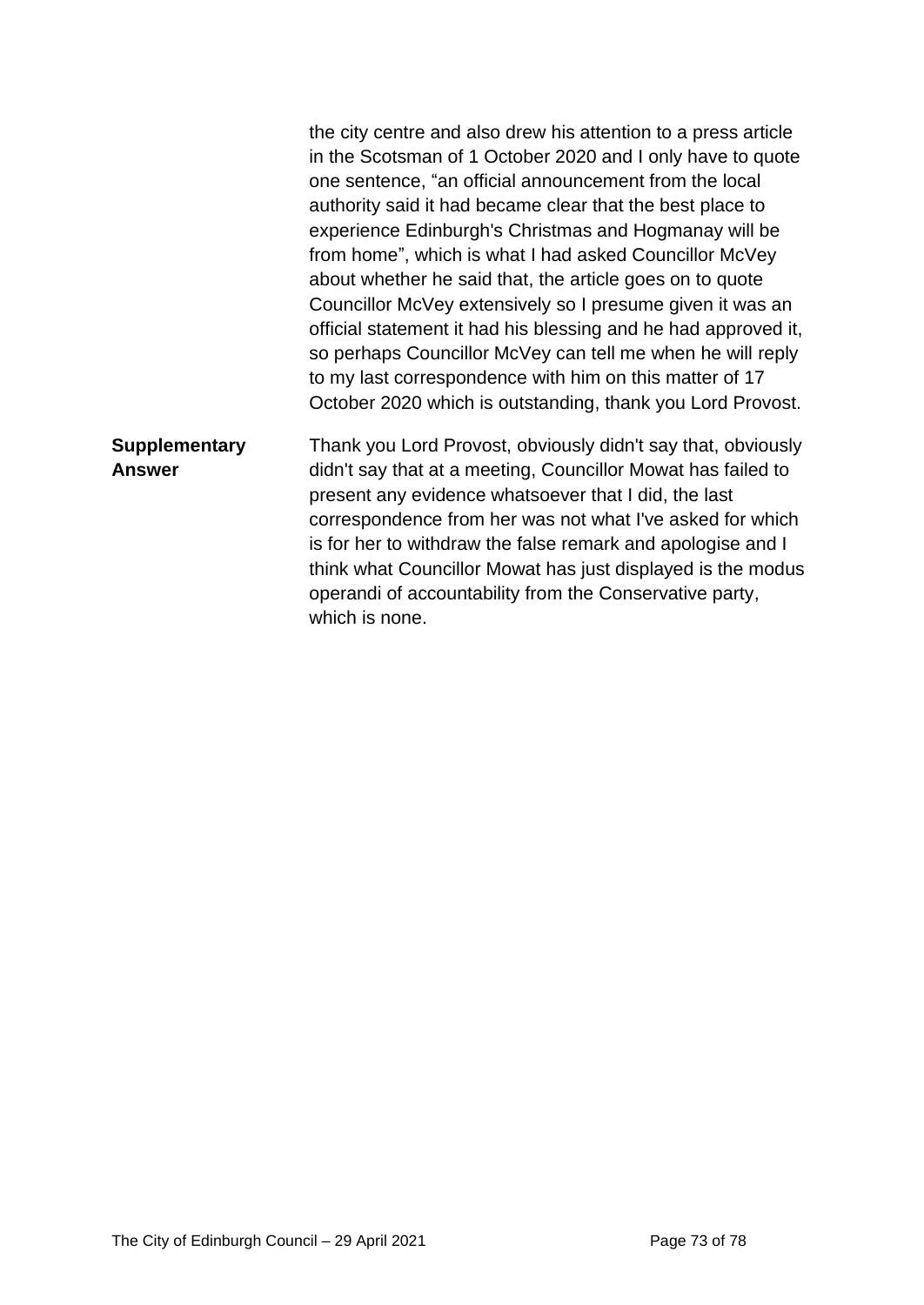|                                       | the city centre and also drew his attention to a press article<br>in the Scotsman of 1 October 2020 and I only have to quote<br>one sentence, "an official announcement from the local<br>authority said it had became clear that the best place to<br>experience Edinburgh's Christmas and Hogmanay will be<br>from home", which is what I had asked Councillor McVey<br>about whether he said that, the article goes on to quote<br>Councillor McVey extensively so I presume given it was an<br>official statement it had his blessing and he had approved it,<br>so perhaps Councillor McVey can tell me when he will reply<br>to my last correspondence with him on this matter of 17<br>October 2020 which is outstanding, thank you Lord Provost. |
|---------------------------------------|----------------------------------------------------------------------------------------------------------------------------------------------------------------------------------------------------------------------------------------------------------------------------------------------------------------------------------------------------------------------------------------------------------------------------------------------------------------------------------------------------------------------------------------------------------------------------------------------------------------------------------------------------------------------------------------------------------------------------------------------------------|
| <b>Supplementary</b><br><b>Answer</b> | Thank you Lord Provost, obviously didn't say that, obviously<br>didn't say that at a meeting, Councillor Mowat has failed to<br>present any evidence whatsoever that I did, the last<br>correspondence from her was not what I've asked for which<br>is for her to withdraw the false remark and apologise and I<br>think what Councillor Mowat has just displayed is the modus<br>operandi of accountability from the Conservative party,<br>which is none.                                                                                                                                                                                                                                                                                             |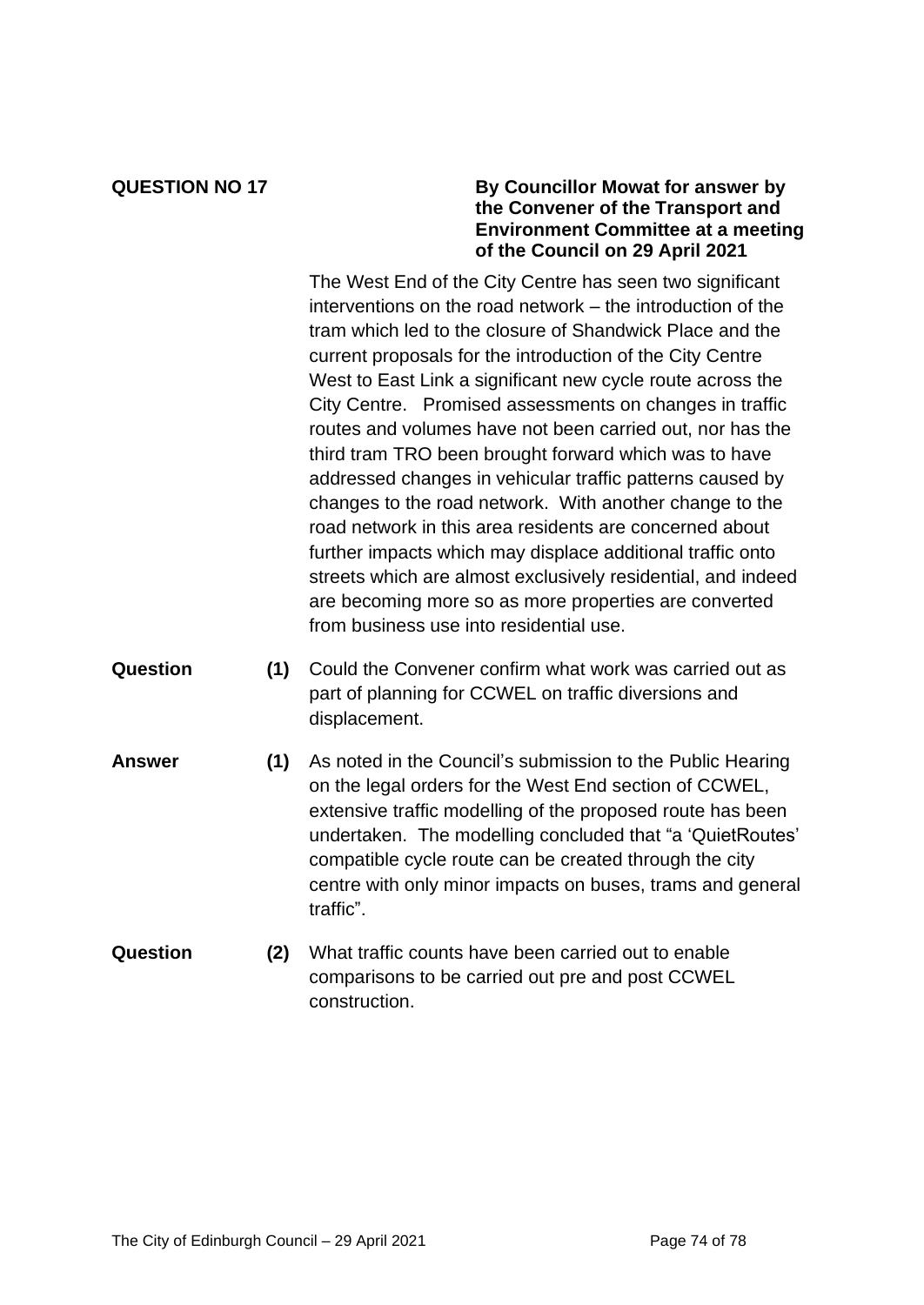# **QUESTION NO 17 By Councillor Mowat for answer by the Convener of the Transport and Environment Committee at a meeting of the Council on 29 April 2021**

The West End of the City Centre has seen two significant interventions on the road network – the introduction of the tram which led to the closure of Shandwick Place and the current proposals for the introduction of the City Centre West to East Link a significant new cycle route across the City Centre. Promised assessments on changes in traffic routes and volumes have not been carried out, nor has the third tram TRO been brought forward which was to have addressed changes in vehicular traffic patterns caused by changes to the road network. With another change to the road network in this area residents are concerned about further impacts which may displace additional traffic onto streets which are almost exclusively residential, and indeed are becoming more so as more properties are converted from business use into residential use.

- **Question (1)** Could the Convener confirm what work was carried out as part of planning for CCWEL on traffic diversions and displacement.
- **Answer (1)** As noted in the Council's submission to the Public Hearing on the legal orders for the West End section of CCWEL, extensive traffic modelling of the proposed route has been undertaken. The modelling concluded that "a 'QuietRoutes' compatible cycle route can be created through the city centre with only minor impacts on buses, trams and general traffic".
- **Question (2)** What traffic counts have been carried out to enable comparisons to be carried out pre and post CCWEL construction.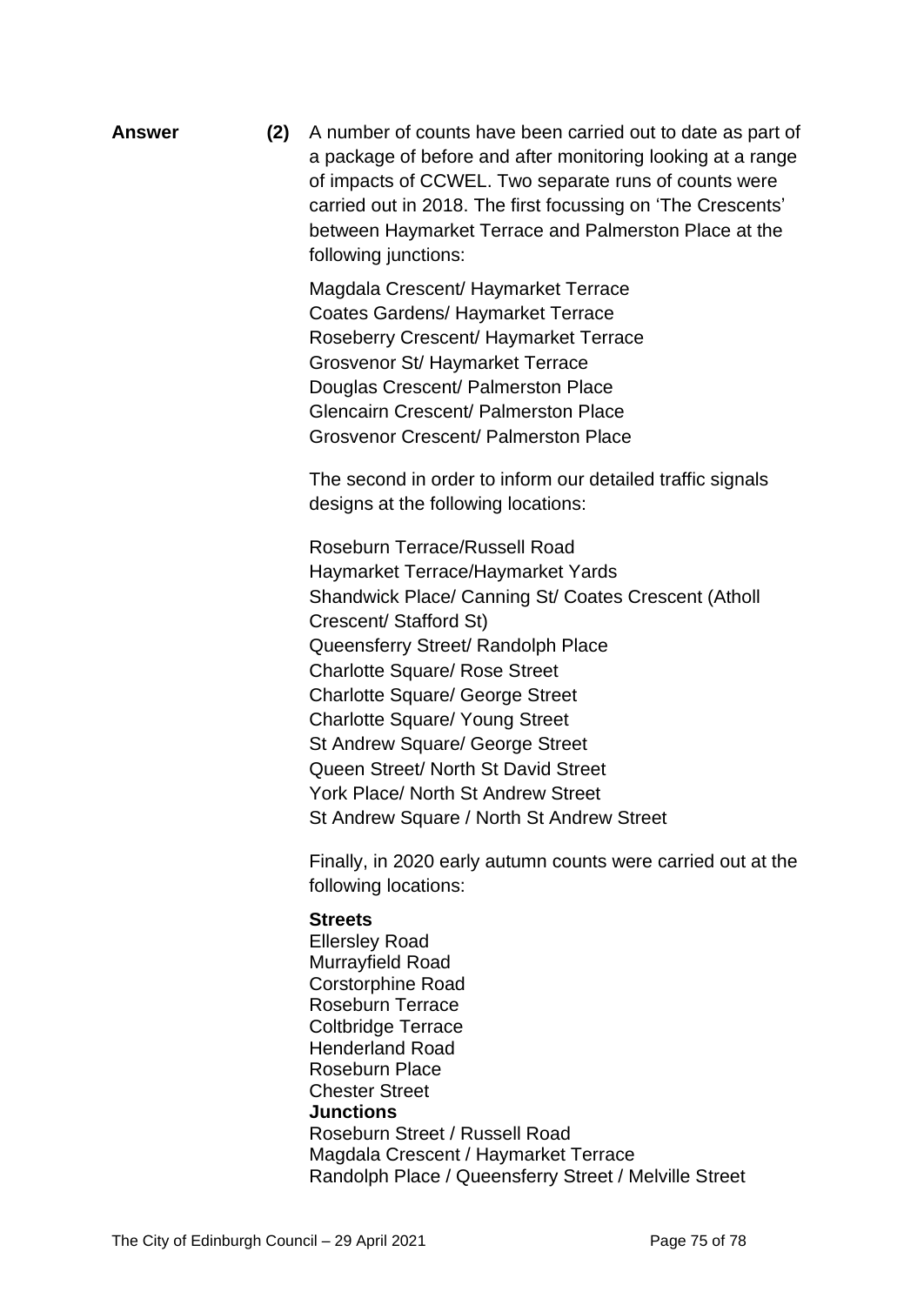**Answer (2)** A number of counts have been carried out to date as part of a package of before and after monitoring looking at a range of impacts of CCWEL. Two separate runs of counts were carried out in 2018. The first focussing on 'The Crescents' between Haymarket Terrace and Palmerston Place at the following junctions:

> Magdala Crescent/ Haymarket Terrace Coates Gardens/ Haymarket Terrace Roseberry Crescent/ Haymarket Terrace Grosvenor St/ Haymarket Terrace Douglas Crescent/ Palmerston Place Glencairn Crescent/ Palmerston Place Grosvenor Crescent/ Palmerston Place

The second in order to inform our detailed traffic signals designs at the following locations:

Roseburn Terrace/Russell Road Haymarket Terrace/Haymarket Yards Shandwick Place/ Canning St/ Coates Crescent (Atholl Crescent/ Stafford St) Queensferry Street/ Randolph Place Charlotte Square/ Rose Street Charlotte Square/ George Street Charlotte Square/ Young Street St Andrew Square/ George Street Queen Street/ North St David Street York Place/ North St Andrew Street St Andrew Square / North St Andrew Street

Finally, in 2020 early autumn counts were carried out at the following locations:

## **Streets**

Ellersley Road Murrayfield Road Corstorphine Road Roseburn Terrace Coltbridge Terrace Henderland Road Roseburn Place Chester Street **Junctions** Roseburn Street / Russell Road Magdala Crescent / Haymarket Terrace Randolph Place / Queensferry Street / Melville Street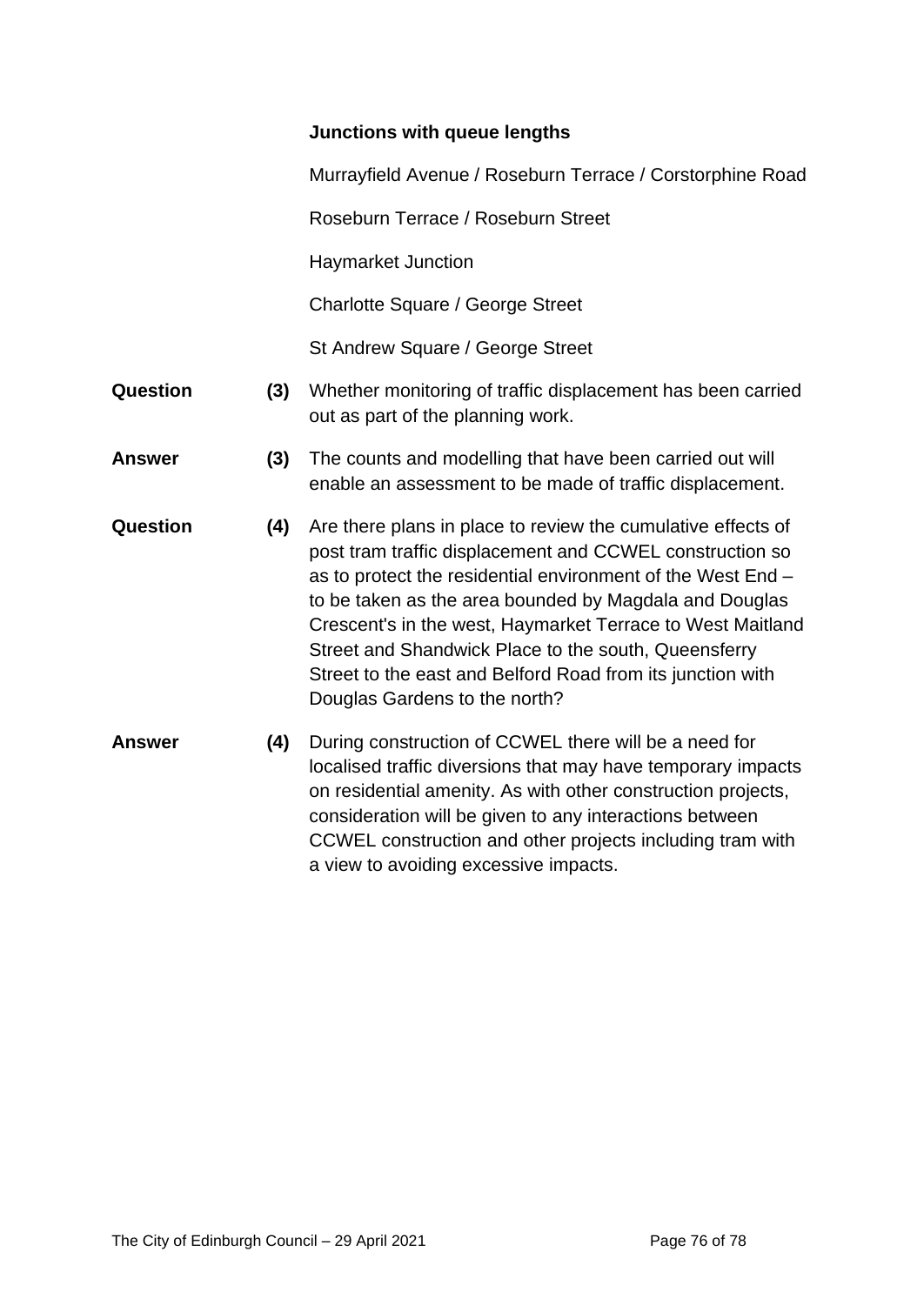## **Junctions with queue lengths**

Murrayfield Avenue / Roseburn Terrace / Corstorphine Road

Roseburn Terrace / Roseburn Street

Haymarket Junction

Charlotte Square / George Street

St Andrew Square / George Street

- **Question (3)** Whether monitoring of traffic displacement has been carried out as part of the planning work.
- **Answer (3)** The counts and modelling that have been carried out will enable an assessment to be made of traffic displacement.
- **Question (4)** Are there plans in place to review the cumulative effects of post tram traffic displacement and CCWEL construction so as to protect the residential environment of the West End – to be taken as the area bounded by Magdala and Douglas Crescent's in the west, Haymarket Terrace to West Maitland Street and Shandwick Place to the south, Queensferry Street to the east and Belford Road from its junction with Douglas Gardens to the north?
- **Answer (4)** During construction of CCWEL there will be a need for localised traffic diversions that may have temporary impacts on residential amenity. As with other construction projects, consideration will be given to any interactions between CCWEL construction and other projects including tram with a view to avoiding excessive impacts.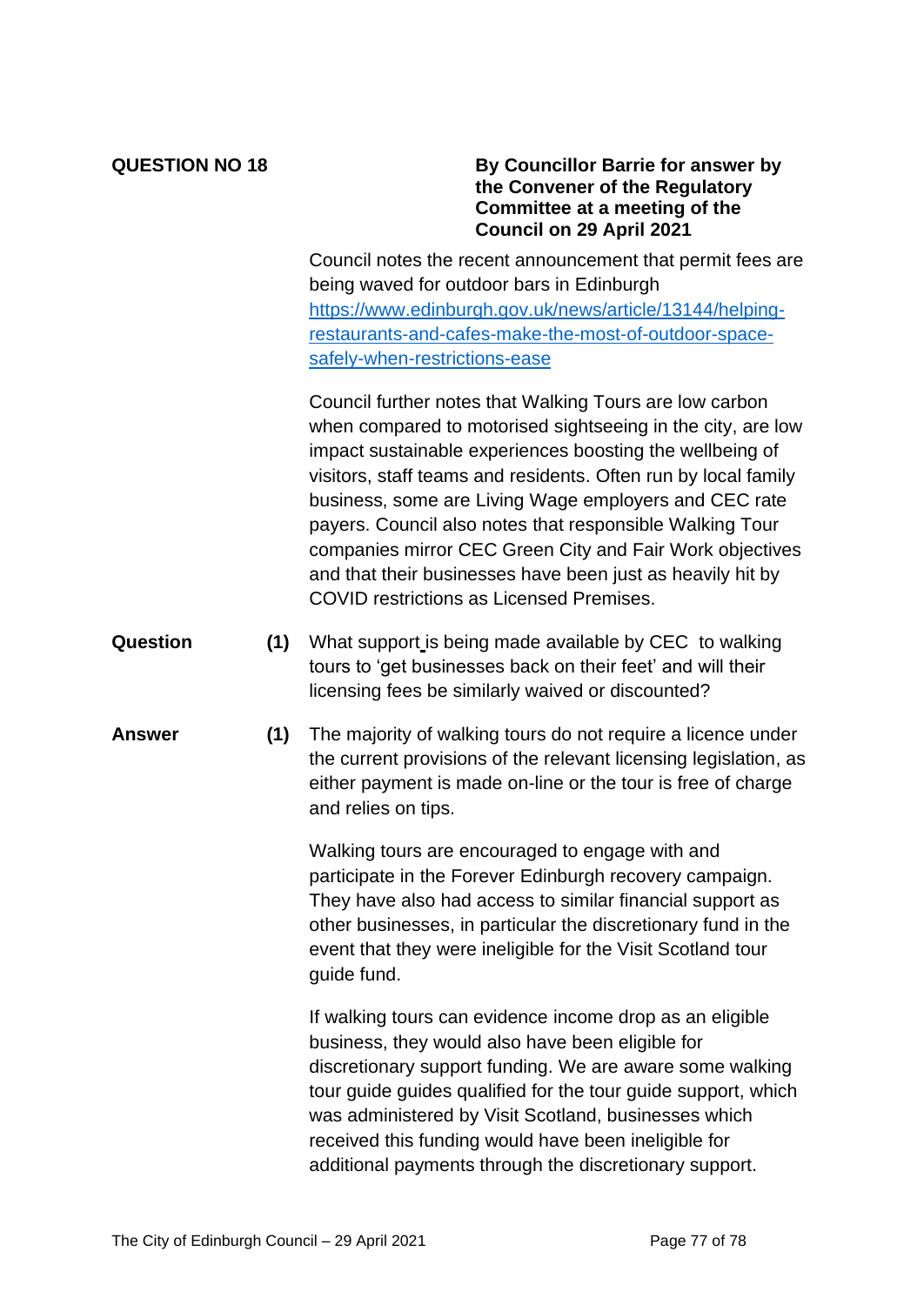### **QUESTION NO 18 By Councillor Barrie for answer by the Convener of the Regulatory Committee at a meeting of the Council on 29 April 2021**

Council notes the recent announcement that permit fees are being waved for outdoor bars in Edinburgh [https://www.edinburgh.gov.uk/news/article/13144/helping](https://www.edinburgh.gov.uk/news/article/13144/helping-restaurants-and-cafes-make-the-most-of-outdoor-space-safely-when-restrictions-ease)[restaurants-and-cafes-make-the-most-of-outdoor-space](https://www.edinburgh.gov.uk/news/article/13144/helping-restaurants-and-cafes-make-the-most-of-outdoor-space-safely-when-restrictions-ease)[safely-when-restrictions-ease](https://www.edinburgh.gov.uk/news/article/13144/helping-restaurants-and-cafes-make-the-most-of-outdoor-space-safely-when-restrictions-ease)

Council further notes that Walking Tours are low carbon when compared to motorised sightseeing in the city, are low impact sustainable experiences boosting the wellbeing of visitors, staff teams and residents. Often run by local family business, some are Living Wage employers and CEC rate payers. Council also notes that responsible Walking Tour companies mirror CEC Green City and Fair Work objectives and that their businesses have been just as heavily hit by COVID restrictions as Licensed Premises.

- **Question (1)** What support is being made available by CEC to walking tours to 'get businesses back on their feet' and will their licensing fees be similarly waived or discounted?
- **Answer (1)** The majority of walking tours do not require a licence under the current provisions of the relevant licensing legislation, as either payment is made on-line or the tour is free of charge and relies on tips.

Walking tours are encouraged to engage with and participate in the Forever Edinburgh recovery campaign. They have also had access to similar financial support as other businesses, in particular the discretionary fund in the event that they were ineligible for the Visit Scotland tour guide fund.

If walking tours can evidence income drop as an eligible business, they would also have been eligible for discretionary support funding. We are aware some walking tour guide guides qualified for the tour guide support, which was administered by Visit Scotland, businesses which received this funding would have been ineligible for additional payments through the discretionary support.